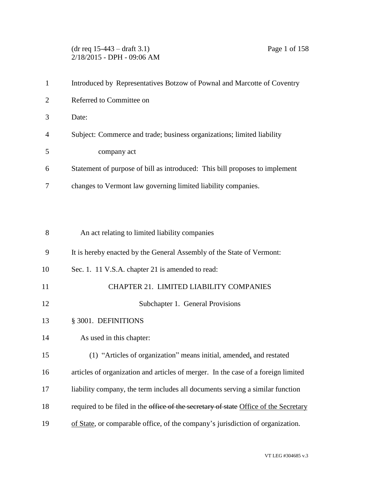(dr req 15-443 – draft 3.1) Page 1 of 158 2/18/2015 - DPH - 09:06 AM

|                | Introduced by Representatives Botzow of Pownal and Marcotte of Coventry     |
|----------------|-----------------------------------------------------------------------------|
| 2              | Referred to Committee on                                                    |
| $\mathcal{R}$  | Date:                                                                       |
| $\overline{4}$ | Subject: Commerce and trade; business organizations; limited liability      |
| -5             | company act                                                                 |
| 6              | Statement of purpose of bill as introduced: This bill proposes to implement |
|                | changes to Vermont law governing limited liability companies.               |

| 8  | An act relating to limited liability companies                                       |
|----|--------------------------------------------------------------------------------------|
| 9  | It is hereby enacted by the General Assembly of the State of Vermont:                |
| 10 | Sec. 1. 11 V.S.A. chapter 21 is amended to read:                                     |
| 11 | CHAPTER 21. LIMITED LIABILITY COMPANIES                                              |
| 12 | Subchapter 1. General Provisions                                                     |
| 13 | § 3001. DEFINITIONS                                                                  |
| 14 | As used in this chapter:                                                             |
| 15 | (1) "Articles of organization" means initial, amended, and restated                  |
| 16 | articles of organization and articles of merger. In the case of a foreign limited    |
| 17 | liability company, the term includes all documents serving a similar function        |
| 18 | required to be filed in the office of the secretary of state Office of the Secretary |
| 19 | of State, or comparable office, of the company's jurisdiction of organization.       |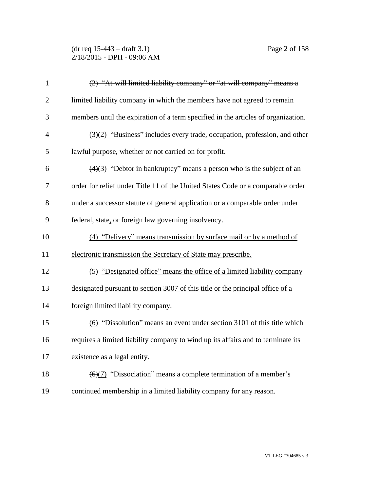## (dr req 15-443 – draft 3.1) Page 2 of 158 2/18/2015 - DPH - 09:06 AM

| $\mathbf{1}$   | (2) "At will limited liability company" or "at will company" means a                          |
|----------------|-----------------------------------------------------------------------------------------------|
| $\overline{2}$ | limited liability company in which the members have not agreed to remain                      |
| 3              | members until the expiration of a term specified in the articles of organization.             |
| $\overline{4}$ | $\left(\frac{3}{2}\right)$ "Business" includes every trade, occupation, profession, and other |
| 5              | lawful purpose, whether or not carried on for profit.                                         |
| 6              | $\left(\frac{4}{3}\right)$ "Debtor in bankruptcy" means a person who is the subject of an     |
| 7              | order for relief under Title 11 of the United States Code or a comparable order               |
| 8              | under a successor statute of general application or a comparable order under                  |
| 9              | federal, state, or foreign law governing insolvency.                                          |
| 10             | (4) "Delivery" means transmission by surface mail or by a method of                           |
| 11             | electronic transmission the Secretary of State may prescribe.                                 |
| 12             | (5) "Designated office" means the office of a limited liability company                       |
| 13             | designated pursuant to section 3007 of this title or the principal office of a                |
| 14             | foreign limited liability company.                                                            |
| 15             | (6) "Dissolution" means an event under section 3101 of this title which                       |
| 16             | requires a limited liability company to wind up its affairs and to terminate its              |
| 17             | existence as a legal entity.                                                                  |
| 18             | $\left(\frac{6}{7}\right)$ "Dissociation" means a complete termination of a member's          |
| 19             | continued membership in a limited liability company for any reason.                           |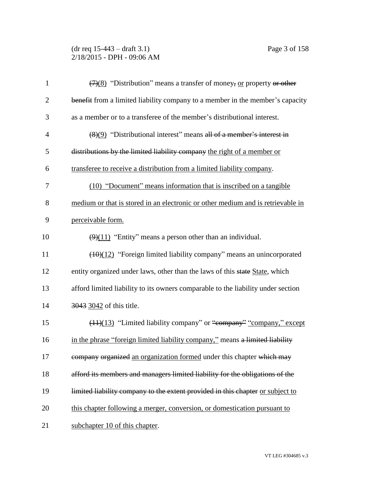(dr req 15-443 – draft 3.1) Page 3 of 158 2/18/2015 - DPH - 09:06 AM

| $\mathbf{1}$   | $\left(\frac{7}{8}\right)$ "Distribution" means a transfer of money, or property or other |
|----------------|-------------------------------------------------------------------------------------------|
| $\overline{2}$ | benefit from a limited liability company to a member in the member's capacity             |
| 3              | as a member or to a transferee of the member's distributional interest.                   |
| $\overline{4}$ | $\left(\frac{8}{9}\right)$ "Distributional interest" means all of a member's interest in  |
| 5              | distributions by the limited liability company the right of a member or                   |
| 6              | transferee to receive a distribution from a limited liability company.                    |
| 7              | (10) "Document" means information that is inscribed on a tangible                         |
| 8              | medium or that is stored in an electronic or other medium and is retrievable in           |
| 9              | perceivable form.                                                                         |
| 10             | $\left(\frac{9}{11}\right)$ "Entity" means a person other than an individual.             |
| 11             | $(10)(12)$ "Foreign limited liability company" means an unincorporated                    |
| 12             | entity organized under laws, other than the laws of this state State, which               |
| 13             | afford limited liability to its owners comparable to the liability under section          |
| 14             | 3043 3042 of this title.                                                                  |
| 15             | (11)(13) "Limited liability company" or "company" "company," except                       |
| 16             | in the phrase "foreign limited liability company," means a limited liability              |
| 17             | company organized an organization formed under this chapter which may                     |
| 18             | afford its members and managers limited liability for the obligations of the              |
| 19             | limited liability company to the extent provided in this chapter or subject to            |
| 20             | this chapter following a merger, conversion, or domestication pursuant to                 |
| 21             | subchapter 10 of this chapter.                                                            |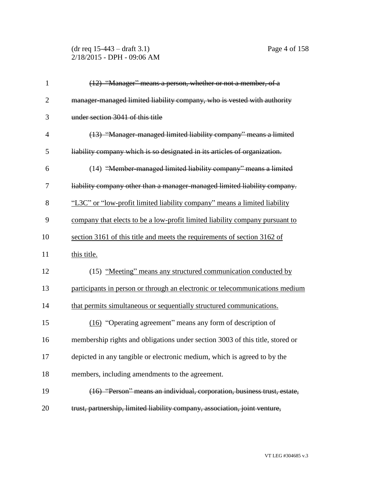(dr req 15-443 – draft 3.1) Page 4 of 158 2/18/2015 - DPH - 09:06 AM

| $\mathbf{1}$   | (12) "Manager" means a person, whether or not a member, of a                  |
|----------------|-------------------------------------------------------------------------------|
| $\overline{2}$ | manager-managed limited liability company, who is vested with authority       |
| 3              | under section 3041 of this title                                              |
| $\overline{4}$ | (13) "Manager-managed limited liability company" means a limited              |
| 5              | liability company which is so designated in its articles of organization.     |
| 6              | (14) "Member-managed limited liability company" means a limited               |
| 7              | liability company other than a manager-managed limited liability company.     |
| 8              | "L3C" or "low-profit limited liability company" means a limited liability     |
| 9              | company that elects to be a low-profit limited liability company pursuant to  |
| 10             | section 3161 of this title and meets the requirements of section 3162 of      |
| 11             | this title.                                                                   |
| 12             | (15) "Meeting" means any structured communication conducted by                |
| 13             | participants in person or through an electronic or telecommunications medium  |
| 14             | that permits simultaneous or sequentially structured communications.          |
| 15             | (16) "Operating agreement" means any form of description of                   |
| 16             | membership rights and obligations under section 3003 of this title, stored or |
| 17             | depicted in any tangible or electronic medium, which is agreed to by the      |

members, including amendments to the agreement.

 (16) "Person" means an individual, corporation, business trust, estate, trust, partnership, limited liability company, association, joint venture,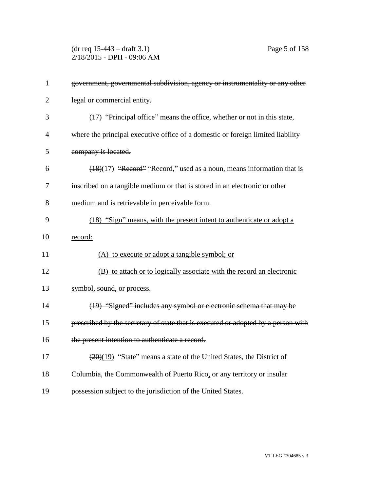(dr req 15-443 – draft 3.1) Page 5 of 158 2/18/2015 - DPH - 09:06 AM

| $\mathbf{1}$   | government, governmental subdivision, agency or instrumentality or any other                 |
|----------------|----------------------------------------------------------------------------------------------|
| $\overline{2}$ | legal or commercial entity.                                                                  |
| 3              | (17) "Principal office" means the office, whether or not in this state,                      |
| 4              | where the principal executive office of a domestic or foreign limited liability              |
| 5              | company is located.                                                                          |
| 6              | (18)(17) "Record" "Record," used as a noun, means information that is                        |
| 7              | inscribed on a tangible medium or that is stored in an electronic or other                   |
| 8              | medium and is retrievable in perceivable form.                                               |
| 9              | (18) "Sign" means, with the present intent to authenticate or adopt a                        |
| 10             | record:                                                                                      |
| 11             | (A) to execute or adopt a tangible symbol; or                                                |
| 12             | (B) to attach or to logically associate with the record an electronic                        |
| 13             | symbol, sound, or process.                                                                   |
| 14             | (19) "Signed" includes any symbol or electronic schema that may be                           |
| 15             | prescribed by the secretary of state that is executed or adopted by a person with            |
| 16             | the present intention to authenticate a record.                                              |
| 17             | $\left(\frac{20}{20}\right)(19)$ "State" means a state of the United States, the District of |
| 18             | Columbia, the Commonwealth of Puerto Rico, or any territory or insular                       |
| 19             | possession subject to the jurisdiction of the United States.                                 |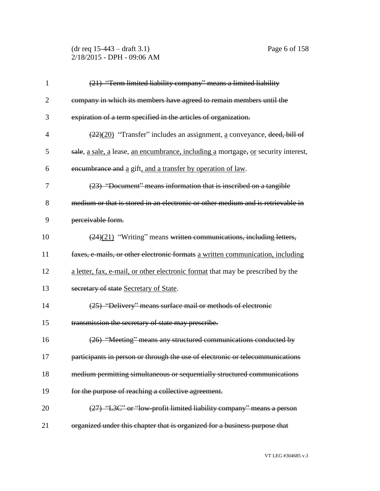(dr req 15-443 – draft 3.1) Page 6 of 158 2/18/2015 - DPH - 09:06 AM

| $\mathbf{1}$   | (21) "Term limited liability company" means a limited liability                             |
|----------------|---------------------------------------------------------------------------------------------|
| $\overline{2}$ | company in which its members have agreed to remain members until the                        |
| 3              | expiration of a term specified in the articles of organization.                             |
| $\overline{4}$ | $\left(\frac{22}{20}\right)$ "Transfer" includes an assignment, a conveyance, deed, bill of |
| 5              | sale, a sale, a lease, an encumbrance, including a mortgage, or security interest,          |
| 6              | encumbrance and a gift, and a transfer by operation of law.                                 |
| 7              | (23) "Document" means information that is inscribed on a tangible                           |
| 8              | medium or that is stored in an electronic or other medium and is retrievable in             |
| 9              | perceivable form.                                                                           |
| 10             | $\left(\frac{24}{21}\right)$ "Writing" means written communications, including letters,     |
| 11             | faxes, e-mails, or other electronic formats a written communication, including              |
| 12             | a letter, fax, e-mail, or other electronic format that may be prescribed by the             |
| 13             | secretary of state Secretary of State.                                                      |
| 14             | (25) "Delivery" means surface mail or methods of electronic                                 |
| 15             | transmission the secretary of state may prescribe.                                          |
| 16             | (26) "Meeting" means any structured communications conducted by                             |
| 17             | participants in person or through the use of electronic or telecommunications               |
| 18             | medium permitting simultaneous or sequentially structured communications                    |
| 19             | for the purpose of reaching a collective agreement.                                         |
| 20             | (27) "L3C" or "low-profit limited liability company" means a person                         |
| 21             | organized under this chapter that is organized for a business purpose that                  |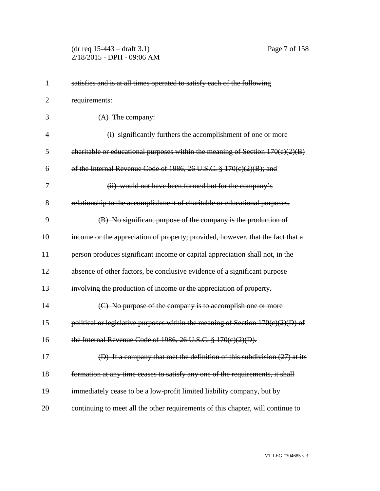(dr req 15-443 – draft 3.1) Page 7 of 158 2/18/2015 - DPH - 09:06 AM

| 1              | satisfies and is at all times operated to satisfy each of the following         |
|----------------|---------------------------------------------------------------------------------|
| $\overline{2}$ | requirements:                                                                   |
| 3              | $(A)$ The company:                                                              |
| 4              | (i) significantly furthers the accomplishment of one or more                    |
| 5              | charitable or educational purposes within the meaning of Section $170(c)(2)(B)$ |
| 6              | of the Internal Revenue Code of 1986, 26 U.S.C. $\frac{8}{9}$ 170(c)(2)(B); and |
| 7              | (ii) would not have been formed but for the company's                           |
| 8              | relationship to the accomplishment of charitable or educational purposes.       |
| 9              | (B) No significant purpose of the company is the production of                  |
| 10             | income or the appreciation of property; provided, however, that the fact that a |
| 11             | person produces significant income or capital appreciation shall not, in the    |
| 12             | absence of other factors, be conclusive evidence of a significant purpose       |
| 13             | involving the production of income or the appreciation of property.             |
| 14             | (C) No purpose of the company is to accomplish one or more                      |
| 15             | political or legislative purposes within the meaning of Section 170(c)(2)(D) of |
| 16             | the Internal Revenue Code of 1986, 26 U.S.C. $\frac{8}{9}$ 170(c)(2)(D).        |
| 17             | (D) If a company that met the definition of this subdivision (27) at its        |
| 18             | formation at any time ceases to satisfy any one of the requirements, it shall   |
| 19             | immediately cease to be a low-profit limited liability company, but by          |
| 20             | continuing to meet all the other requirements of this chapter, will continue to |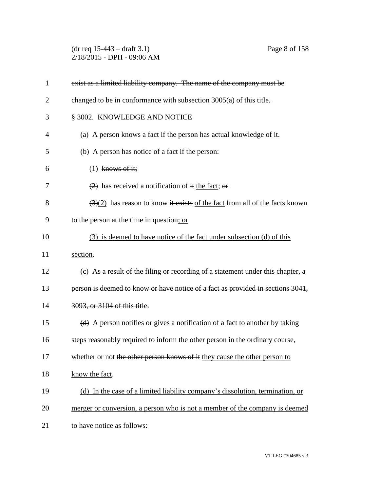(dr req 15-443 – draft 3.1) Page 8 of 158 2/18/2015 - DPH - 09:06 AM

| $\mathbf{1}$ | exist as a limited liability company. The name of the company must be                           |
|--------------|-------------------------------------------------------------------------------------------------|
| 2            | changed to be in conformance with subsection $3005(a)$ of this title.                           |
| 3            | § 3002. KNOWLEDGE AND NOTICE                                                                    |
| 4            | (a) A person knows a fact if the person has actual knowledge of it.                             |
| 5            | (b) A person has notice of a fact if the person:                                                |
| 6            | $(1)$ knows of it;                                                                              |
| 7            | $\left( \frac{2}{2} \right)$ has received a notification of it the fact; or                     |
| 8            | $\left(\frac{3}{2}\right)$ has reason to know it exists of the fact from all of the facts known |
| 9            | to the person at the time in question; or                                                       |
| 10           | (3) is deemed to have notice of the fact under subsection (d) of this                           |
| 11           | section.                                                                                        |
| 12           | (c) As a result of the filing or recording of a statement under this chapter, a                 |
| 13           | person is deemed to know or have notice of a fact as provided in sections 3041,                 |
| 14           | 3093, or 3104 of this title.                                                                    |
| 15           | (d) A person notifies or gives a notification of a fact to another by taking                    |
| 16           | steps reasonably required to inform the other person in the ordinary course,                    |
| 17           | whether or not the other person knows of it they cause the other person to                      |
| 18           | know the fact.                                                                                  |
| 19           | (d) In the case of a limited liability company's dissolution, termination, or                   |
| 20           | merger or conversion, a person who is not a member of the company is deemed                     |
| 21           | to have notice as follows:                                                                      |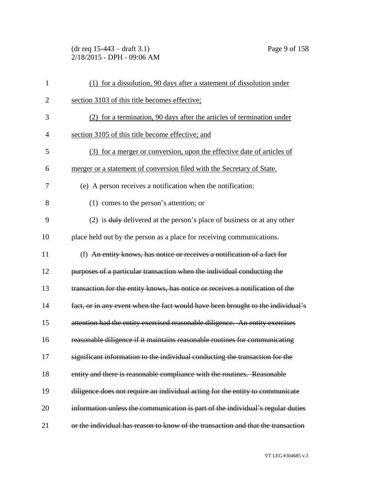(dr req 15-443 – draft 3.1) Page 9 of 158 2/18/2015 - DPH - 09:06 AM

| 1              | (1) for a dissolution, 90 days after a statement of dissolution under             |
|----------------|-----------------------------------------------------------------------------------|
| $\overline{c}$ | section 3103 of this title becomes effective;                                     |
| 3              | (2) for a termination, 90 days after the articles of termination under            |
| 4              | section 3105 of this title become effective; and                                  |
| 5              | (3) for a merger or conversion, upon the effective date of articles of            |
| 6              | merger or a statement of conversion filed with the Secretary of State.            |
| 7              | (e) A person receives a notification when the notification:                       |
| 8              | $(1)$ comes to the person's attention; or                                         |
| 9              | (2) is $\frac{du}{y}$ delivered at the person's place of business or at any other |
| 10             | place held out by the person as a place for receiving communications.             |
| 11             | (f) An entity knows, has notice or receives a notification of a fact for          |
| 12             | purposes of a particular transaction when the individual conducting the           |
| 13             | transaction for the entity knows, has notice or receives a notification of the    |
| 14             | fact, or in any event when the fact would have been brought to the individual's   |
| 15             | attention had the entity exercised reasonable diligence. An entity exercises      |
| 16             | reasonable diligence if it maintains reasonable routines for communicating        |
| 17             | significant information to the individual conducting the transaction for the      |
| 18             | entity and there is reasonable compliance with the routines. Reasonable           |
| 19             | diligence does not require an individual acting for the entity to communicate     |
| 20             | information unless the communication is part of the individual's regular duties   |
| 21             | or the individual has reason to know of the transaction and that the transaction  |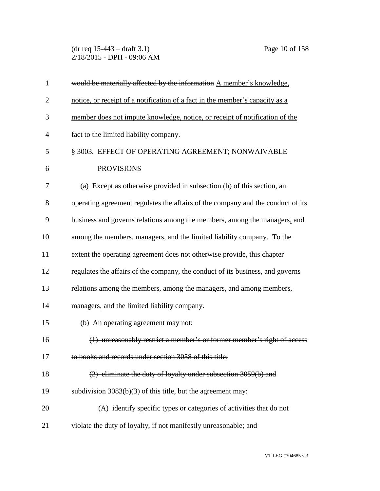(dr req 15-443 – draft 3.1) Page 10 of 158 2/18/2015 - DPH - 09:06 AM

| $\mathbf{1}$   | would be materially affected by the information A member's knowledge.           |
|----------------|---------------------------------------------------------------------------------|
| $\overline{2}$ | notice, or receipt of a notification of a fact in the member's capacity as a    |
| 3              | member does not impute knowledge, notice, or receipt of notification of the     |
| $\overline{4}$ | fact to the limited liability company.                                          |
| 5              | § 3003. EFFECT OF OPERATING AGREEMENT; NONWAIVABLE                              |
| 6              | <b>PROVISIONS</b>                                                               |
| 7              | (a) Except as otherwise provided in subsection (b) of this section, an          |
| 8              | operating agreement regulates the affairs of the company and the conduct of its |
| 9              | business and governs relations among the members, among the managers, and       |
| 10             | among the members, managers, and the limited liability company. To the          |
| 11             | extent the operating agreement does not otherwise provide, this chapter         |
| 12             | regulates the affairs of the company, the conduct of its business, and governs  |
| 13             | relations among the members, among the managers, and among members,             |
| 14             | managers, and the limited liability company.                                    |
| 15             | (b) An operating agreement may not:                                             |
| 16             | (1) unreasonably restrict a member's or former member's right of access         |
| 17             | to books and records under section 3058 of this title;                          |
| 18             | (2) eliminate the duty of loyalty under subsection 3059(b) and                  |
| 19             | subdivision 3083(b)(3) of this title, but the agreement may:                    |
| 20             | $(A)$ identify specific types or categories of activities that do not           |
| 21             | violate the duty of loyalty, if not manifestly unreasonable; and                |
|                |                                                                                 |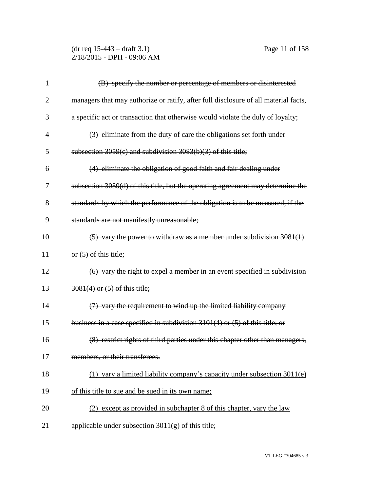(dr req 15-443 – draft 3.1) Page 11 of 158 2/18/2015 - DPH - 09:06 AM

| 1              | (B) specify the number or percentage of members or disinterested                    |
|----------------|-------------------------------------------------------------------------------------|
| $\overline{2}$ | managers that may authorize or ratify, after full disclosure of all material facts, |
| 3              | a specific act or transaction that otherwise would violate the duly of loyalty;     |
| $\overline{4}$ | (3) eliminate from the duty of care the obligations set forth under                 |
| 5              | subsection $3059(c)$ and subdivision $3083(b)(3)$ of this title;                    |
| 6              | (4) eliminate the obligation of good faith and fair dealing under                   |
| 7              | subsection 3059(d) of this title, but the operating agreement may determine the     |
| 8              | standards by which the performance of the obligation is to be measured, if the      |
| 9              | standards are not manifestly unreasonable;                                          |
| 10             | $(5)$ vary the power to withdraw as a member under subdivision 3081(1)              |
| 11             | or (5) of this title;                                                               |
| 12             | (6) vary the right to expel a member in an event specified in subdivision           |
| 13             | 3081(4) or (5) of this title;                                                       |
| 14             | $(7)$ vary the requirement to wind up the limited liability company                 |
| 15             | business in a case specified in subdivision 3101(4) or (5) of this title; or        |
| 16             | (8) restrict rights of third parties under this chapter other than managers,        |
| 17             | members, or their transferees.                                                      |
| 18             | (1) vary a limited liability company's capacity under subsection $3011(e)$          |
| 19             | of this title to sue and be sued in its own name;                                   |
| 20             | (2) except as provided in subchapter 8 of this chapter, vary the law                |
| 21             | applicable under subsection $3011(g)$ of this title;                                |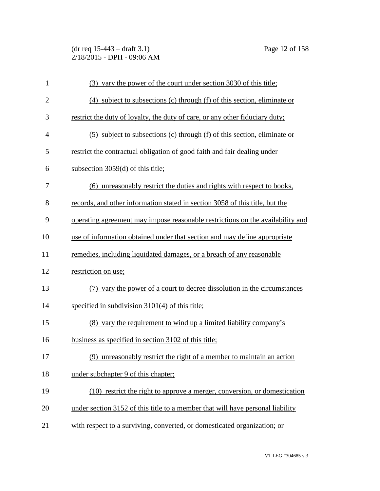(dr req 15-443 – draft 3.1) Page 12 of 158 2/18/2015 - DPH - 09:06 AM

| $\mathbf{1}$   | (3) vary the power of the court under section 3030 of this title;              |
|----------------|--------------------------------------------------------------------------------|
| $\overline{2}$ | (4) subject to subsections (c) through (f) of this section, eliminate or       |
| 3              | restrict the duty of loyalty, the duty of care, or any other fiduciary duty;   |
| $\overline{4}$ | (5) subject to subsections (c) through (f) of this section, eliminate or       |
| 5              | restrict the contractual obligation of good faith and fair dealing under       |
| 6              | subsection $3059(d)$ of this title;                                            |
| 7              | (6) unreasonably restrict the duties and rights with respect to books,         |
| 8              | records, and other information stated in section 3058 of this title, but the   |
| 9              | operating agreement may impose reasonable restrictions on the availability and |
| 10             | use of information obtained under that section and may define appropriate      |
| 11             | remedies, including liquidated damages, or a breach of any reasonable          |
| 12             | restriction on use;                                                            |
| 13             | (7) vary the power of a court to decree dissolution in the circumstances       |
| 14             | specified in subdivision 3101(4) of this title;                                |
| 15             | (8) vary the requirement to wind up a limited liability company's              |
| 16             | business as specified in section 3102 of this title;                           |
| 17             | (9) unreasonably restrict the right of a member to maintain an action          |
| 18             | under subchapter 9 of this chapter;                                            |
| 19             | (10) restrict the right to approve a merger, conversion, or domestication      |
| 20             | under section 3152 of this title to a member that will have personal liability |
| 21             | with respect to a surviving, converted, or domesticated organization; or       |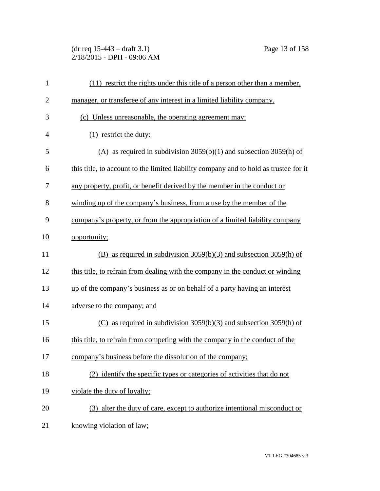(dr req 15-443 – draft 3.1) Page 13 of 158 2/18/2015 - DPH - 09:06 AM

| $\mathbf{1}$   | (11) restrict the rights under this title of a person other than a member,            |
|----------------|---------------------------------------------------------------------------------------|
| $\overline{2}$ | manager, or transferee of any interest in a limited liability company.                |
| 3              | (c) Unless unreasonable, the operating agreement may:                                 |
| $\overline{4}$ | $(1)$ restrict the duty:                                                              |
| 5              | (A) as required in subdivision $3059(b)(1)$ and subsection $3059(h)$ of               |
| 6              | this title, to account to the limited liability company and to hold as trustee for it |
| 7              | any property, profit, or benefit derived by the member in the conduct or              |
| 8              | winding up of the company's business, from a use by the member of the                 |
| 9              | company's property, or from the appropriation of a limited liability company          |
| 10             | opportunity;                                                                          |
| 11             | (B) as required in subdivision $3059(b)(3)$ and subsection $3059(h)$ of               |
| 12             | this title, to refrain from dealing with the company in the conduct or winding        |
| 13             | up of the company's business as or on behalf of a party having an interest            |
| 14             | adverse to the company; and                                                           |
| 15             | (C) as required in subdivision $3059(b)(3)$ and subsection $3059(h)$ of               |
| 16             | this title, to refrain from competing with the company in the conduct of the          |
| 17             | company's business before the dissolution of the company;                             |
| 18             | (2) identify the specific types or categories of activities that do not               |
| 19             | violate the duty of loyalty;                                                          |
| 20             | (3) alter the duty of care, except to authorize intentional misconduct or             |
| 21             | knowing violation of law;                                                             |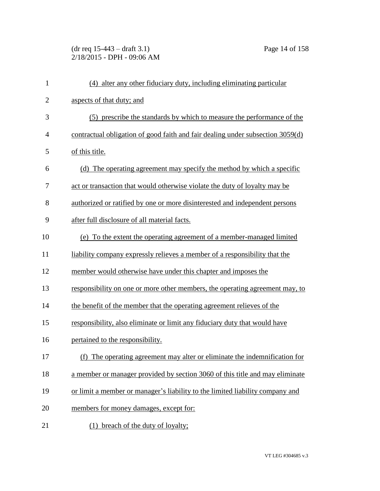(dr req 15-443 – draft 3.1) Page 14 of 158 2/18/2015 - DPH - 09:06 AM

| $\mathbf{1}$ | (4) alter any other fiduciary duty, including eliminating particular           |
|--------------|--------------------------------------------------------------------------------|
| $\mathbf{2}$ | aspects of that duty; and                                                      |
| 3            | (5) prescribe the standards by which to measure the performance of the         |
| 4            | contractual obligation of good faith and fair dealing under subsection 3059(d) |
| 5            | of this title.                                                                 |
| 6            | (d) The operating agreement may specify the method by which a specific         |
| 7            | act or transaction that would otherwise violate the duty of loyalty may be     |
| 8            | authorized or ratified by one or more disinterested and independent persons    |
| 9            | after full disclosure of all material facts.                                   |
| 10           | (e) To the extent the operating agreement of a member-managed limited          |
| 11           | liability company expressly relieves a member of a responsibility that the     |
| 12           | member would otherwise have under this chapter and imposes the                 |
| 13           | responsibility on one or more other members, the operating agreement may, to   |
| 14           | the benefit of the member that the operating agreement relieves of the         |
| 15           | responsibility, also eliminate or limit any fiduciary duty that would have     |
| 16           | pertained to the responsibility.                                               |
| 17           | (f) The operating agreement may alter or eliminate the indemnification for     |
| 18           | a member or manager provided by section 3060 of this title and may eliminate   |
| 19           | or limit a member or manager's liability to the limited liability company and  |
| 20           | members for money damages, except for:                                         |
| 21           | breach of the duty of loyalty;<br>(1)                                          |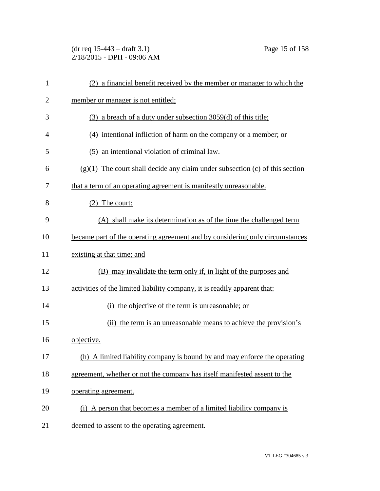(dr req 15-443 – draft 3.1) Page 15 of 158 2/18/2015 - DPH - 09:06 AM

| 1              | (2) a financial benefit received by the member or manager to which the         |
|----------------|--------------------------------------------------------------------------------|
| $\overline{2}$ | member or manager is not entitled;                                             |
| 3              | (3) a breach of a duty under subsection 3059(d) of this title;                 |
| $\overline{4}$ | $(4)$ intentional infliction of harm on the company or a member; or            |
| 5              | (5) an intentional violation of criminal law.                                  |
| 6              | $(g)(1)$ The court shall decide any claim under subsection (c) of this section |
| 7              | that a term of an operating agreement is manifestly unreasonable.              |
| 8              | The court:<br>(2)                                                              |
| 9              | (A) shall make its determination as of the time the challenged term            |
| 10             | became part of the operating agreement and by considering only circumstances   |
| 11             | existing at that time; and                                                     |
| 12             | (B) may invalidate the term only if, in light of the purposes and              |
| 13             | activities of the limited liability company, it is readily apparent that:      |
| 14             | (i) the objective of the term is unreasonable; or                              |
| 15             | (ii) the term is an unreasonable means to achieve the provision's              |
| 16             | objective.                                                                     |
| 17             | (h) A limited liability company is bound by and may enforce the operating      |
| 18             | agreement, whether or not the company has itself manifested assent to the      |
| 19             | operating agreement.                                                           |
| 20             | (i) A person that becomes a member of a limited liability company is           |
| 21             | deemed to assent to the operating agreement.                                   |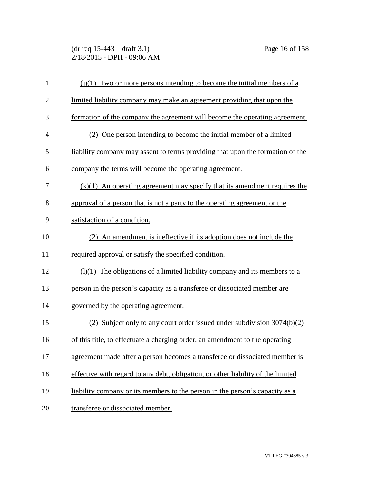(dr req 15-443 – draft 3.1) Page 16 of 158 2/18/2015 - DPH - 09:06 AM

| $\mathbf{1}$   | $(i)(1)$ Two or more persons intending to become the initial members of a        |
|----------------|----------------------------------------------------------------------------------|
| $\overline{2}$ | limited liability company may make an agreement providing that upon the          |
| 3              | formation of the company the agreement will become the operating agreement.      |
| $\overline{4}$ | (2) One person intending to become the initial member of a limited               |
| 5              | liability company may assent to terms providing that upon the formation of the   |
| 6              | company the terms will become the operating agreement.                           |
| 7              | $(k)(1)$ An operating agreement may specify that its amendment requires the      |
| 8              | approval of a person that is not a party to the operating agreement or the       |
| 9              | satisfaction of a condition.                                                     |
| 10             | (2) An amendment is ineffective if its adoption does not include the             |
| 11             | required approval or satisfy the specified condition.                            |
| 12             | $(1)(1)$ The obligations of a limited liability company and its members to a     |
| 13             | person in the person's capacity as a transferee or dissociated member are        |
| 14             | governed by the operating agreement.                                             |
| 15             | (2) Subject only to any court order issued under subdivision $3074(b)(2)$        |
| 16             | of this title, to effectuate a charging order, an amendment to the operating     |
| 17             | agreement made after a person becomes a transferee or dissociated member is      |
| 18             | effective with regard to any debt, obligation, or other liability of the limited |
| 19             | liability company or its members to the person in the person's capacity as a     |
| 20             | transferee or dissociated member.                                                |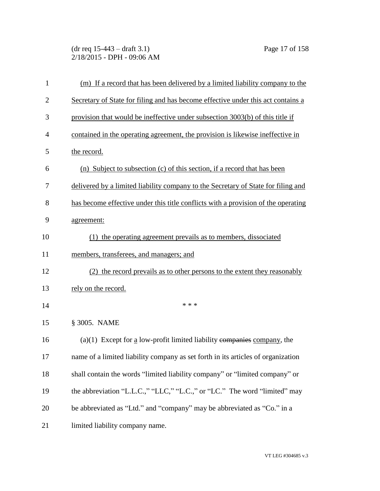(dr req 15-443 – draft 3.1) Page 17 of 158 2/18/2015 - DPH - 09:06 AM

| $\mathbf{1}$   | (m) If a record that has been delivered by a limited liability company to the     |
|----------------|-----------------------------------------------------------------------------------|
| $\overline{2}$ | Secretary of State for filing and has become effective under this act contains a  |
| 3              | provision that would be ineffective under subsection 3003(b) of this title if     |
| 4              | contained in the operating agreement, the provision is likewise ineffective in    |
| 5              | the record.                                                                       |
| 6              | (n) Subject to subsection (c) of this section, if a record that has been          |
| 7              | delivered by a limited liability company to the Secretary of State for filing and |
| 8              | has become effective under this title conflicts with a provision of the operating |
| 9              | agreement:                                                                        |
| 10             | (1) the operating agreement prevails as to members, dissociated                   |
| 11             | members, transferees, and managers; and                                           |
| 12             | (2) the record prevails as to other persons to the extent they reasonably         |
| 13             | rely on the record.                                                               |
| 14             | * * *                                                                             |
| 15             | § 3005. NAME                                                                      |
| 16             | $(a)(1)$ Except for a low-profit limited liability companies company, the         |
| 17             | name of a limited liability company as set forth in its articles of organization  |
| 18             | shall contain the words "limited liability company" or "limited company" or       |
| 19             | the abbreviation "L.L.C.," "LLC," "L.C.," or "LC." The word "limited" may         |
| 20             | be abbreviated as "Ltd." and "company" may be abbreviated as "Co." in a           |
| 21             | limited liability company name.                                                   |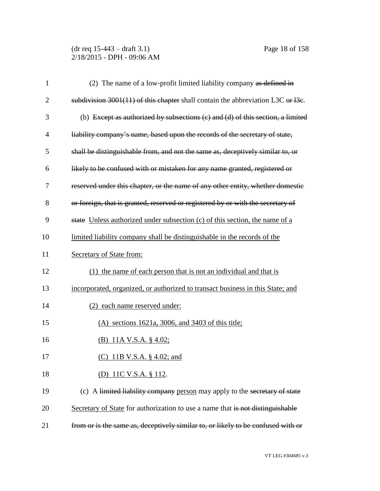(dr req 15-443 – draft 3.1) Page 18 of 158 2/18/2015 - DPH - 09:06 AM

| 1              | (2) The name of a low-profit limited liability company as defined in              |
|----------------|-----------------------------------------------------------------------------------|
| $\overline{2}$ | subdivision $3001(11)$ of this chapter shall contain the abbreviation L3C or 13e. |
| 3              | (b) Except as authorized by subsections (c) and (d) of this section, a limited    |
| $\overline{4}$ | liability company's name, based upon the records of the secretary of state,       |
| 5              | shall be distinguishable from, and not the same as, deceptively similar to, or    |
| 6              | likely to be confused with or mistaken for any name granted, registered or        |
| 7              | reserved under this chapter, or the name of any other entity, whether domestic    |
| 8              | or foreign, that is granted, reserved or registered by or with the secretary of   |
| 9              | state Unless authorized under subsection (c) of this section, the name of a       |
| 10             | limited liability company shall be distinguishable in the records of the          |
| 11             | Secretary of State from:                                                          |
| 12             | (1) the name of each person that is not an individual and that is                 |
| 13             | incorporated, organized, or authorized to transact business in this State; and    |
| 14             | (2) each name reserved under:                                                     |
| 15             | $(A)$ sections 1621a, 3006, and 3403 of this title;                               |
| 16             | (B) 11A V.S.A. $\S$ 4.02;                                                         |
| 17             | (C) 11B V.S.A. § 4.02; and                                                        |
| 18             | (D) 11C V.S.A. § 112.                                                             |
| 19             | (c) A limited liability company person may apply to the secretary of state        |
| 20             | Secretary of State for authorization to use a name that is not distinguishable    |
| 21             | from or is the same as, deceptively similar to, or likely to be confused with or  |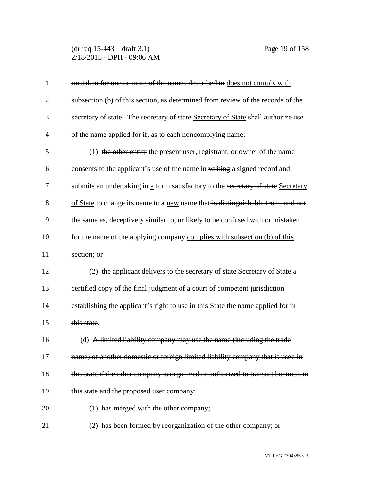(dr req 15-443 – draft 3.1) Page 19 of 158 2/18/2015 - DPH - 09:06 AM

| $\mathbf{1}$   | mistaken for one or more of the names described in does not comply with            |
|----------------|------------------------------------------------------------------------------------|
| $\overline{2}$ | subsection (b) of this section, as determined from review of the records of the    |
| 3              | secretary of state. The secretary of state Secretary of State shall authorize use  |
| 4              | of the name applied for if, as to each noncomplying name:                          |
| 5              | (1) the other entity the present user, registrant, or owner of the name            |
| 6              | consents to the applicant's use of the name in writing a signed record and         |
| 7              | submits an undertaking in a form satisfactory to the secretary of state Secretary  |
| 8              | of State to change its name to a new name that is distinguishable from, and not    |
| 9              | the same as, deceptively similar to, or likely to be confused with or mistaken     |
| 10             | for the name of the applying company complies with subsection (b) of this          |
| 11             | section; or                                                                        |
| 12             | (2) the applicant delivers to the secretary of state Secretary of State a          |
| 13             | certified copy of the final judgment of a court of competent jurisdiction          |
| 14             | establishing the applicant's right to use in this State the name applied for in    |
| 15             | this state.                                                                        |
| 16             | (d) A limited liability company may use the name (including the trade              |
| 17             | name) of another domestic or foreign limited liability company that is used in     |
| 18             | this state if the other company is organized or authorized to transact business in |
| 19             | this state and the proposed user company:                                          |
| 20             | $(1)$ has merged with the other company;                                           |
| 21             | (2) has been formed by reorganization of the other company; or                     |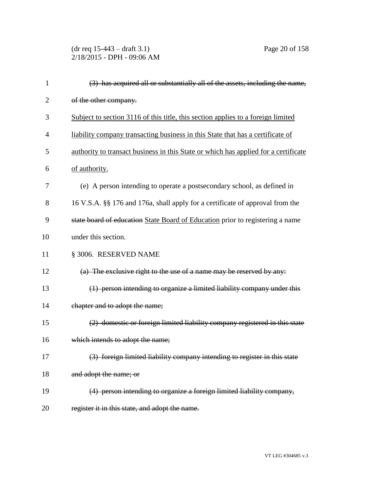(dr req 15-443 – draft 3.1) Page 20 of 158 2/18/2015 - DPH - 09:06 AM

| 1              | (3) has acquired all or substantially all of the assets, including the name,        |
|----------------|-------------------------------------------------------------------------------------|
| $\overline{2}$ | of the other company.                                                               |
| 3              | Subject to section 3116 of this title, this section applies to a foreign limited    |
| $\overline{4}$ | liability company transacting business in this State that has a certificate of      |
| 5              | authority to transact business in this State or which has applied for a certificate |
| 6              | of authority.                                                                       |
| 7              | (e) A person intending to operate a postsecondary school, as defined in             |
| 8              | 16 V.S.A. §§ 176 and 176a, shall apply for a certificate of approval from the       |
| 9              | state board of education State Board of Education prior to registering a name       |
| 10             | under this section.                                                                 |
| 11             | § 3006. RESERVED NAME                                                               |
| 12             | (a) The exclusive right to the use of a name may be reserved by any:                |
| 13             | (1) person intending to organize a limited liability company under this             |
| 14             | chapter and to adopt the name;                                                      |
| 15             | (2) domestic or foreign limited liability company registered in this state          |
| 16             | which intends to adopt the name;                                                    |
| 17             | (3) foreign limited liability company intending to register in this state           |
| 18             | and adopt the name; or                                                              |
| 19             | (4) person intending to organize a foreign limited liability company,               |
| 20             | register it in this state, and adopt the name.                                      |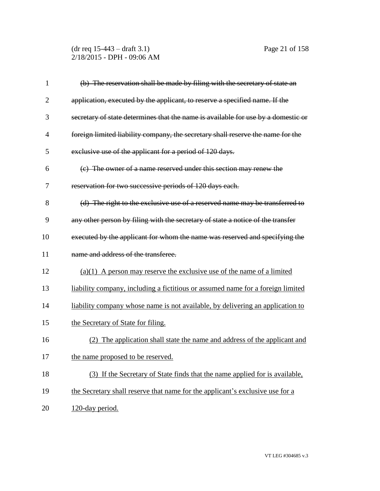(dr req 15-443 – draft 3.1) Page 21 of 158 2/18/2015 - DPH - 09:06 AM

| $\mathbf{1}$   | (b) The reservation shall be made by filing with the secretary of state an        |
|----------------|-----------------------------------------------------------------------------------|
| $\overline{2}$ | application, executed by the applicant, to reserve a specified name. If the       |
| 3              | secretary of state determines that the name is available for use by a domestic or |
| $\overline{4}$ | foreign limited liability company, the secretary shall reserve the name for the   |
| 5              | exclusive use of the applicant for a period of 120 days.                          |
| 6              | (c) The owner of a name reserved under this section may renew the                 |
| 7              | reservation for two successive periods of 120 days each.                          |
| 8              | (d) The right to the exclusive use of a reserved name may be transferred to       |
| 9              | any other person by filing with the secretary of state a notice of the transfer   |
| 10             | executed by the applicant for whom the name was reserved and specifying the       |
| 11             | name and address of the transferee.                                               |
| 12             | $(a)(1)$ A person may reserve the exclusive use of the name of a limited          |
| 13             | liability company, including a fictitious or assumed name for a foreign limited   |
| 14             | liability company whose name is not available, by delivering an application to    |
| 15             | the Secretary of State for filing.                                                |
| 16             | The application shall state the name and address of the applicant and<br>(2)      |
| 17             | the name proposed to be reserved.                                                 |
| 18             | (3) If the Secretary of State finds that the name applied for is available,       |
| 19             | the Secretary shall reserve that name for the applicant's exclusive use for a     |
| 20             | 120-day period.                                                                   |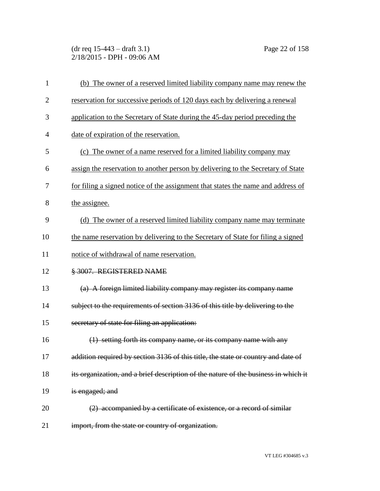(dr req 15-443 – draft 3.1) Page 22 of 158 2/18/2015 - DPH - 09:06 AM

| 1              | (b) The owner of a reserved limited liability company name may renew the            |
|----------------|-------------------------------------------------------------------------------------|
| $\overline{2}$ | reservation for successive periods of 120 days each by delivering a renewal         |
| 3              | application to the Secretary of State during the 45-day period preceding the        |
| $\overline{4}$ | date of expiration of the reservation.                                              |
| 5              | (c) The owner of a name reserved for a limited liability company may                |
| 6              | assign the reservation to another person by delivering to the Secretary of State    |
| 7              | for filing a signed notice of the assignment that states the name and address of    |
| 8              | the assignee.                                                                       |
| 9              | (d) The owner of a reserved limited liability company name may terminate            |
| 10             | the name reservation by delivering to the Secretary of State for filing a signed    |
| 11             | notice of withdrawal of name reservation.                                           |
| 12             | § 3007. REGISTERED NAME                                                             |
| 13             | (a) A foreign limited liability company may register its company name               |
| 14             | subject to the requirements of section 3136 of this title by delivering to the      |
| 15             | secretary of state for filing an application:                                       |
| 16             | (1) setting forth its company name, or its company name with any                    |
| 17             | addition required by section 3136 of this title, the state or country and date of   |
| 18             | its organization, and a brief description of the nature of the business in which it |
| 19             | is engaged; and                                                                     |
| 20             | (2) accompanied by a certificate of existence, or a record of similar               |
| 21             | import, from the state or country of organization.                                  |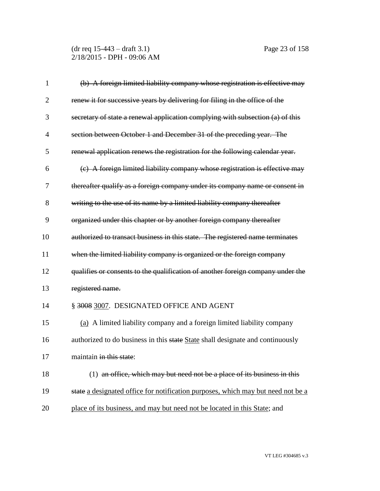(dr req 15-443 – draft 3.1) Page 23 of 158 2/18/2015 - DPH - 09:06 AM

| 1              | (b) A foreign limited liability company whose registration is effective may      |
|----------------|----------------------------------------------------------------------------------|
| $\overline{2}$ | renew it for successive years by delivering for filing in the office of the      |
| 3              | secretary of state a renewal application complying with subsection (a) of this   |
| $\overline{4}$ | section between October 1 and December 31 of the preceding year. The             |
| 5              | renewal application renews the registration for the following calendar year.     |
| 6              | (c) A foreign limited liability company whose registration is effective may      |
| 7              | thereafter qualify as a foreign company under its company name or consent in     |
| 8              | writing to the use of its name by a limited liability company thereafter         |
| 9              | organized under this chapter or by another foreign company thereafter            |
| 10             | authorized to transact business in this state. The registered name terminates    |
| 11             | when the limited liability company is organized or the foreign company           |
| 12             | qualifies or consents to the qualification of another foreign company under the  |
| 13             | registered name.                                                                 |
| 14             | § 3008 3007. DESIGNATED OFFICE AND AGENT                                         |
| 15             | (a) A limited liability company and a foreign limited liability company          |
| 16             | authorized to do business in this state State shall designate and continuously   |
| 17             | maintain in this state:                                                          |
| 18             | (1) an office, which may but need not be a place of its business in this         |
| 19             | state a designated office for notification purposes, which may but need not be a |
| 20             | place of its business, and may but need not be located in this State; and        |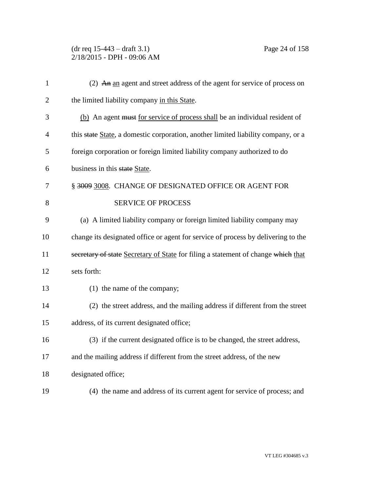## (dr req 15-443 – draft 3.1) Page 24 of 158 2/18/2015 - DPH - 09:06 AM

| $\mathbf{1}$   | (2) An an agent and street address of the agent for service of process on         |
|----------------|-----------------------------------------------------------------------------------|
| $\overline{2}$ | the limited liability company in this State.                                      |
| 3              | (b) An agent must for service of process shall be an individual resident of       |
| $\overline{4}$ | this state State, a domestic corporation, another limited liability company, or a |
| 5              | foreign corporation or foreign limited liability company authorized to do         |
| 6              | business in this state State.                                                     |
| 7              | § 3009 3008. CHANGE OF DESIGNATED OFFICE OR AGENT FOR                             |
| 8              | <b>SERVICE OF PROCESS</b>                                                         |
| 9              | (a) A limited liability company or foreign limited liability company may          |
| 10             | change its designated office or agent for service of process by delivering to the |
| 11             | secretary of state Secretary of State for filing a statement of change which that |
| 12             | sets forth:                                                                       |
| 13             | (1) the name of the company;                                                      |
| 14             | (2) the street address, and the mailing address if different from the street      |
| 15             | address, of its current designated office;                                        |
| 16             | (3) if the current designated office is to be changed, the street address,        |
| 17             | and the mailing address if different from the street address, of the new          |
| 18             | designated office;                                                                |
| 19             | (4) the name and address of its current agent for service of process; and         |
|                |                                                                                   |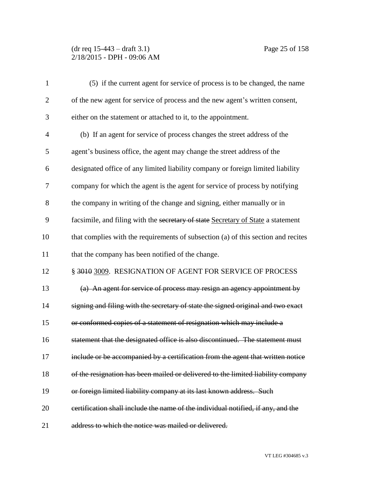## (dr req 15-443 – draft 3.1) Page 25 of 158 2/18/2015 - DPH - 09:06 AM

| $\mathbf{1}$   | (5) if the current agent for service of process is to be changed, the name        |
|----------------|-----------------------------------------------------------------------------------|
| $\overline{2}$ | of the new agent for service of process and the new agent's written consent,      |
| 3              | either on the statement or attached to it, to the appointment.                    |
| $\overline{4}$ | (b) If an agent for service of process changes the street address of the          |
| 5              | agent's business office, the agent may change the street address of the           |
| 6              | designated office of any limited liability company or foreign limited liability   |
| 7              | company for which the agent is the agent for service of process by notifying      |
| 8              | the company in writing of the change and signing, either manually or in           |
| 9              | facsimile, and filing with the secretary of state Secretary of State a statement  |
| 10             | that complies with the requirements of subsection (a) of this section and recites |
| 11             | that the company has been notified of the change.                                 |
| 12             | § 3010 3009. RESIGNATION OF AGENT FOR SERVICE OF PROCESS                          |
| 13             | (a) An agent for service of process may resign an agency appointment by           |
| 14             | signing and filing with the secretary of state the signed original and two exact  |
| 15             | or conformed copies of a statement of resignation which may include a             |
| 16             | statement that the designated office is also discontinued. The statement must     |
| 17             | include or be accompanied by a certification from the agent that written notice   |
| 18             | of the resignation has been mailed or delivered to the limited liability company  |
| 19             | or foreign limited liability company at its last known address. Such              |
| 20             | eertification shall include the name of the individual notified, if any, and the  |
| 21             | address to which the notice was mailed or delivered.                              |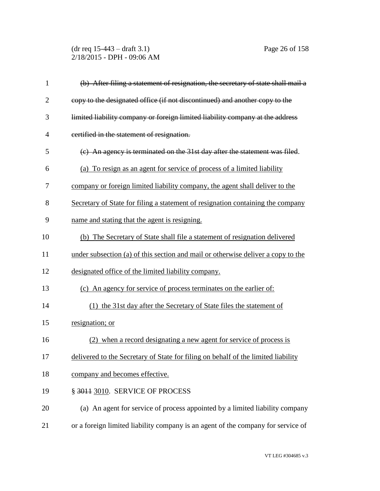(dr req 15-443 – draft 3.1) Page 26 of 158 2/18/2015 - DPH - 09:06 AM

| 1              | (b) After filing a statement of resignation, the secretary of state shall mail a  |
|----------------|-----------------------------------------------------------------------------------|
| $\overline{2}$ | copy to the designated office (if not discontinued) and another copy to the       |
| 3              | limited liability company or foreign limited liability company at the address     |
| 4              | certified in the statement of resignation.                                        |
| 5              | (c) An agency is terminated on the 31st day after the statement was filed.        |
| 6              | (a) To resign as an agent for service of process of a limited liability           |
| 7              | company or foreign limited liability company, the agent shall deliver to the      |
| 8              | Secretary of State for filing a statement of resignation containing the company   |
| 9              | name and stating that the agent is resigning.                                     |
| 10             | (b) The Secretary of State shall file a statement of resignation delivered        |
| 11             | under subsection (a) of this section and mail or otherwise deliver a copy to the  |
| 12             | designated office of the limited liability company.                               |
| 13             | (c) An agency for service of process terminates on the earlier of:                |
| 14             | (1) the 31st day after the Secretary of State files the statement of              |
| 15             | resignation; or                                                                   |
| 16             | (2) when a record designating a new agent for service of process is               |
| 17             | delivered to the Secretary of State for filing on behalf of the limited liability |
| 18             | company and becomes effective.                                                    |
| 19             | § 3011 3010. SERVICE OF PROCESS                                                   |
| 20             | (a) An agent for service of process appointed by a limited liability company      |
| 21             | or a foreign limited liability company is an agent of the company for service of  |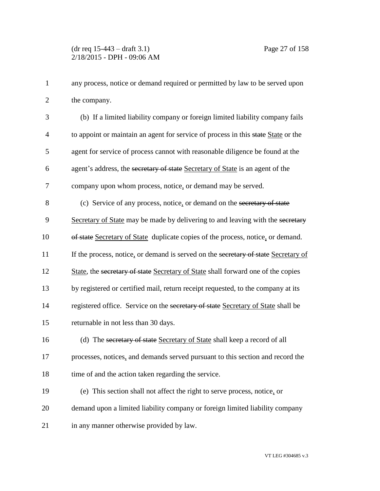any process, notice or demand required or permitted by law to be served upon the company.

 (b) If a limited liability company or foreign limited liability company fails to appoint or maintain an agent for service of process in this state State or the agent for service of process cannot with reasonable diligence be found at the agent's address, the secretary of state Secretary of State is an agent of the company upon whom process, notice, or demand may be served. (c) Service of any process, notice, or demand on the secretary of state 9 Secretary of State may be made by delivering to and leaving with the secretary of state Secretary of State duplicate copies of the process, notice, or demand. 11 If the process, notice, or demand is served on the secretary of state Secretary of 12 State, the secretary of state Secretary of State shall forward one of the copies by registered or certified mail, return receipt requested, to the company at its 14 registered office. Service on the secretary of state Secretary of State shall be returnable in not less than 30 days. 16 (d) The secretary of state Secretary of State shall keep a record of all

 processes, notices, and demands served pursuant to this section and record the 18 time of and the action taken regarding the service.

(e) This section shall not affect the right to serve process, notice, or

demand upon a limited liability company or foreign limited liability company

in any manner otherwise provided by law.

VT LEG #304685 v.3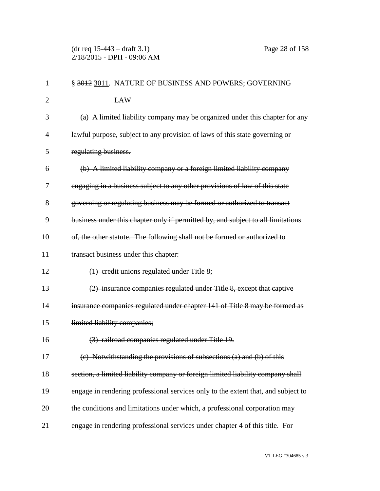(dr req 15-443 – draft 3.1) Page 28 of 158 2/18/2015 - DPH - 09:06 AM

| 1              | § 3012 3011. NATURE OF BUSINESS AND POWERS; GOVERNING                             |
|----------------|-----------------------------------------------------------------------------------|
| $\overline{2}$ | <b>LAW</b>                                                                        |
| 3              | (a) A limited liability company may be organized under this chapter for any       |
| 4              | lawful purpose, subject to any provision of laws of this state governing or       |
| 5              | regulating business.                                                              |
| 6              | (b) A limited liability company or a foreign limited liability company            |
| 7              | engaging in a business subject to any other provisions of law of this state       |
| 8              | governing or regulating business may be formed or authorized to transact          |
| 9              | business under this chapter only if permitted by, and subject to all limitations  |
| 10             | of, the other statute. The following shall not be formed or authorized to         |
| 11             | transact business under this chapter:                                             |
| 12             | (1) credit unions regulated under Title 8;                                        |
| 13             | (2) insurance companies regulated under Title 8, except that captive              |
| 14             | insurance companies regulated under chapter 141 of Title 8 may be formed as       |
| 15             | limited liability companies;                                                      |
| 16             | (3) railroad companies regulated under Title 19.                                  |
| 17             | (c) Notwithstanding the provisions of subsections (a) and (b) of this             |
| 18             | section, a limited liability company or foreign limited liability company shall   |
| 19             | engage in rendering professional services only to the extent that, and subject to |
| 20             | the conditions and limitations under which, a professional corporation may        |
| 21             | engage in rendering professional services under chapter 4 of this title. For      |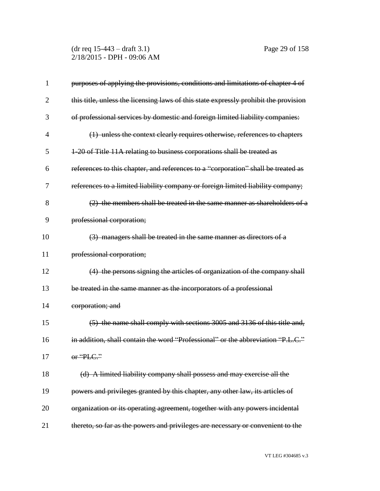(dr req 15-443 – draft 3.1) Page 29 of 158 2/18/2015 - DPH - 09:06 AM

| 1              | purposes of applying the provisions, conditions and limitations of chapter 4 of      |
|----------------|--------------------------------------------------------------------------------------|
| $\overline{2}$ | this title, unless the licensing laws of this state expressly prohibit the provision |
| 3              | of professional services by domestic and foreign limited liability companies:        |
| $\overline{4}$ | (1) unless the context clearly requires otherwise, references to chapters            |
| 5              | 1-20 of Title 11A relating to business corporations shall be treated as              |
| 6              | references to this chapter, and references to a "corporation" shall be treated as    |
| 7              | references to a limited liability company or foreign limited liability company;      |
| 8              | (2) the members shall be treated in the same manner as shareholders of a             |
| 9              | professional corporation;                                                            |
| 10             | (3) managers shall be treated in the same manner as directors of a                   |
| 11             | professional corporation;                                                            |
| 12             | (4) the persons signing the articles of organization of the company shall            |
| 13             | be treated in the same manner as the incorporators of a professional                 |
| 14             | corporation; and                                                                     |
| 15             | (5) the name shall comply with sections 3005 and 3136 of this title and,             |
| 16             | in addition, shall contain the word "Professional" or the abbreviation "P.L.C."      |
| 17             | or "PLC."                                                                            |
| 18             | (d) A limited liability company shall possess and may exercise all the               |
| 19             | powers and privileges granted by this chapter, any other law, its articles of        |
| 20             | organization or its operating agreement, together with any powers incidental         |
| 21             | thereto, so far as the powers and privileges are necessary or convenient to the      |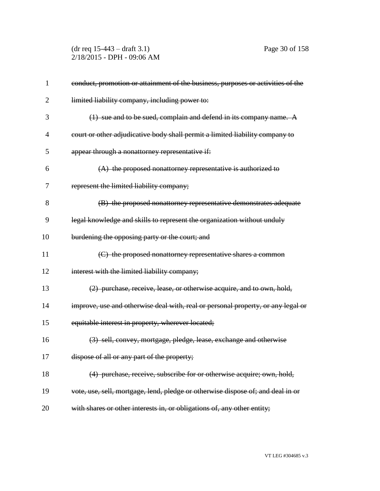(dr req 15-443 – draft 3.1) Page 30 of 158 2/18/2015 - DPH - 09:06 AM

| 1              | conduct, promotion or attainment of the business, purposes or activities of the  |
|----------------|----------------------------------------------------------------------------------|
| $\overline{2}$ | limited liability company, including power to:                                   |
| 3              | (1) sue and to be sued, complain and defend in its company name. A               |
| 4              | court or other adjudicative body shall permit a limited liability company to     |
| 5              | appear through a nonattorney representative if:                                  |
| 6              | $(A)$ the proposed nonattorney representative is authorized to                   |
| 7              | represent the limited liability company;                                         |
| 8              | (B) the proposed nonattorney representative demonstrates adequate                |
| 9              | legal knowledge and skills to represent the organization without unduly          |
| 10             | burdening the opposing party or the court; and                                   |
| 11             | (C) the proposed nonattorney representative shares a common                      |
| 12             | interest with the limited liability company;                                     |
| 13             | (2) purchase, receive, lease, or otherwise acquire, and to own, hold,            |
| 14             | improve, use and otherwise deal with, real or personal property, or any legal or |
| 15             | equitable interest in property, wherever located;                                |
| 16             | (3) sell, convey, mortgage, pledge, lease, exchange and otherwise                |
| 17             | dispose of all or any part of the property;                                      |
| 18             | (4) purchase, receive, subscribe for or otherwise acquire; own, hold,            |
| 19             | vote, use, sell, mortgage, lend, pledge or otherwise dispose of; and deal in or  |
| 20             | with shares or other interests in, or obligations of, any other entity;          |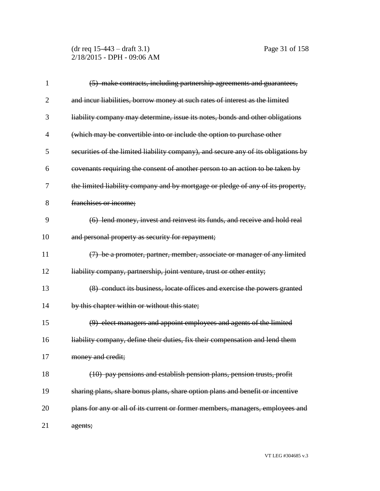(dr req 15-443 – draft 3.1) Page 31 of 158 2/18/2015 - DPH - 09:06 AM

| 1  | (5) make contracts, including partnership agreements and guarantees,               |
|----|------------------------------------------------------------------------------------|
| 2  | and incur liabilities, borrow money at such rates of interest as the limited       |
| 3  | liability company may determine, issue its notes, bonds and other obligations      |
| 4  | (which may be convertible into or include the option to purchase other             |
| 5  | securities of the limited liability company), and secure any of its obligations by |
| 6  | covenants requiring the consent of another person to an action to be taken by      |
| 7  | the limited liability company and by mortgage or pledge of any of its property,    |
| 8  | franchises or income;                                                              |
| 9  | (6) lend money, invest and reinvest its funds, and receive and hold real           |
| 10 | and personal property as security for repayment;                                   |
| 11 | (7) be a promoter, partner, member, associate or manager of any limited            |
| 12 | liability company, partnership, joint venture, trust or other entity;              |
| 13 | (8) conduct its business, locate offices and exercise the powers granted           |
| 14 | by this chapter within or without this state;                                      |
| 15 | (9) elect managers and appoint employees and agents of the limited                 |
| 16 | liability company, define their duties, fix their compensation and lend them       |
| 17 | money and credit;                                                                  |
| 18 | (10) pay pensions and establish pension plans, pension trusts, profit              |
| 19 | sharing plans, share bonus plans, share option plans and benefit or incentive      |
| 20 | plans for any or all of its current or former members, managers, employees and     |
| 21 | agents;                                                                            |

VT LEG #304685 v.3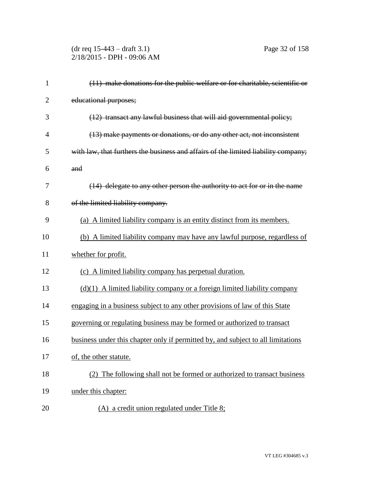(dr req 15-443 – draft 3.1) Page 32 of 158 2/18/2015 - DPH - 09:06 AM

| $\mathbf{1}$   | (11) make donations for the public welfare or for charitable, scientific or        |
|----------------|------------------------------------------------------------------------------------|
| $\overline{2}$ | educational purposes;                                                              |
| 3              | (12) transact any lawful business that will aid governmental policy;               |
| $\overline{4}$ | (13) make payments or donations, or do any other act, not inconsistent             |
| 5              | with law, that furthers the business and affairs of the limited liability company; |
| 6              | and                                                                                |
| 7              | (14) delegate to any other person the authority to act for or in the name          |
| 8              | of the limited liability company.                                                  |
| 9              | (a) A limited liability company is an entity distinct from its members.            |
| 10             | (b) A limited liability company may have any lawful purpose, regardless of         |
| 11             | whether for profit.                                                                |
| 12             | (c) A limited liability company has perpetual duration.                            |
| 13             | $(d)(1)$ A limited liability company or a foreign limited liability company        |
| 14             | engaging in a business subject to any other provisions of law of this State        |
| 15             | governing or regulating business may be formed or authorized to transact           |
| 16             | business under this chapter only if permitted by, and subject to all limitations   |
| 17             | of, the other statute.                                                             |
| 18             | The following shall not be formed or authorized to transact business<br>(2)        |
| 19             | under this chapter:                                                                |
| 20             | (A) a credit union regulated under Title 8;                                        |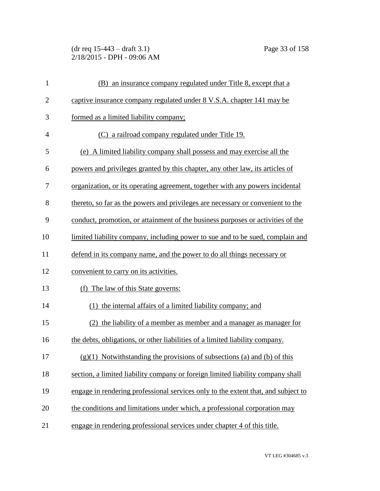(dr req 15-443 – draft 3.1) Page 33 of 158 2/18/2015 - DPH - 09:06 AM

| $\mathbf{1}$   | (B) an insurance company regulated under Title 8, except that a                   |
|----------------|-----------------------------------------------------------------------------------|
| $\overline{2}$ | captive insurance company regulated under 8 V.S.A. chapter 141 may be             |
| 3              | formed as a limited liability company;                                            |
| $\overline{4}$ | (C) a railroad company regulated under Title 19.                                  |
| 5              | (e) A limited liability company shall possess and may exercise all the            |
| 6              | powers and privileges granted by this chapter, any other law, its articles of     |
| 7              | organization, or its operating agreement, together with any powers incidental     |
| 8              | thereto, so far as the powers and privileges are necessary or convenient to the   |
| 9              | conduct, promotion, or attainment of the business purposes or activities of the   |
| 10             | limited liability company, including power to sue and to be sued, complain and    |
| 11             | defend in its company name, and the power to do all things necessary or           |
| 12             | convenient to carry on its activities.                                            |
| 13             | The law of this State governs:<br>(f)                                             |
| 14             | (1) the internal affairs of a limited liability company; and                      |
| 15             | (2) the liability of a member as member and a manager as manager for              |
| 16             | the debts, obligations, or other liabilities of a limited liability company.      |
| 17             | $(g)(1)$ Notwithstanding the provisions of subsections (a) and (b) of this        |
| 18             | section, a limited liability company or foreign limited liability company shall   |
| 19             | engage in rendering professional services only to the extent that, and subject to |
| 20             | the conditions and limitations under which, a professional corporation may        |
| 21             | engage in rendering professional services under chapter 4 of this title.          |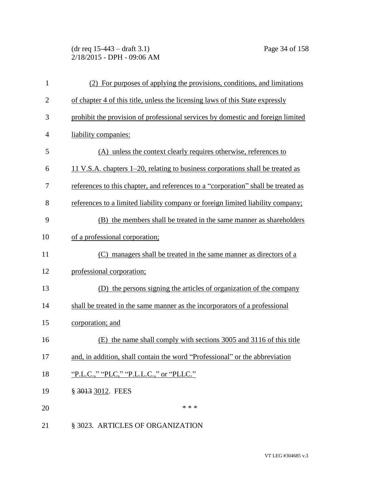(dr req 15-443 – draft 3.1) Page 34 of 158 2/18/2015 - DPH - 09:06 AM

| $\mathbf{1}$   | (2) For purposes of applying the provisions, conditions, and limitations          |
|----------------|-----------------------------------------------------------------------------------|
| $\overline{2}$ | of chapter 4 of this title, unless the licensing laws of this State expressly     |
| 3              | prohibit the provision of professional services by domestic and foreign limited   |
| $\overline{4}$ | liability companies:                                                              |
| 5              | (A) unless the context clearly requires otherwise, references to                  |
| 6              | 11 V.S.A. chapters 1–20, relating to business corporations shall be treated as    |
| 7              | references to this chapter, and references to a "corporation" shall be treated as |
| 8              | references to a limited liability company or foreign limited liability company;   |
| 9              | (B) the members shall be treated in the same manner as shareholders               |
| 10             | of a professional corporation;                                                    |
| 11             | managers shall be treated in the same manner as directors of a<br>(C)             |
| 12             | professional corporation;                                                         |
| 13             | (D) the persons signing the articles of organization of the company               |
| 14             | shall be treated in the same manner as the incorporators of a professional        |
| 15             | corporation; and                                                                  |
| 16             | the name shall comply with sections 3005 and 3116 of this title<br>(E)            |
| 17             | and, in addition, shall contain the word "Professional" or the abbreviation       |
| 18             | "P.L.C.," "PLC," "P.L.L.C.," or "PLLC."                                           |
| 19             | § 3013 3012. FEES                                                                 |
| 20             | * * *                                                                             |
| 21             | § 3023. ARTICLES OF ORGANIZATION                                                  |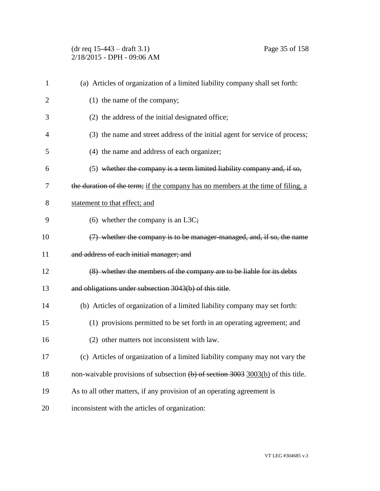(dr req 15-443 – draft 3.1) Page 35 of 158 2/18/2015 - DPH - 09:06 AM

| $\mathbf{1}$   | (a) Articles of organization of a limited liability company shall set forth:       |
|----------------|------------------------------------------------------------------------------------|
| $\overline{2}$ | (1) the name of the company;                                                       |
| 3              | (2) the address of the initial designated office;                                  |
| 4              | (3) the name and street address of the initial agent for service of process;       |
| 5              | (4) the name and address of each organizer;                                        |
| 6              | $(5)$ whether the company is a term limited liability company and, if so,          |
| 7              | the duration of the term; if the company has no members at the time of filing, a   |
| 8              | statement to that effect; and                                                      |
| 9              | (6) whether the company is an L3C;                                                 |
| 10             | (7) whether the company is to be manager-managed, and, if so, the name             |
| 11             | and address of each initial manager; and                                           |
| 12             | (8) whether the members of the company are to be liable for its debts              |
| 13             | and obligations under subsection 3043(b) of this title.                            |
| 14             | (b) Articles of organization of a limited liability company may set forth:         |
| 15             | (1) provisions permitted to be set forth in an operating agreement; and            |
| 16             | (2) other matters not inconsistent with law.                                       |
| 17             | (c) Articles of organization of a limited liability company may not vary the       |
| 18             | non-waivable provisions of subsection $(b)$ of section 3003 3003(b) of this title. |
| 19             | As to all other matters, if any provision of an operating agreement is             |
| 20             | inconsistent with the articles of organization:                                    |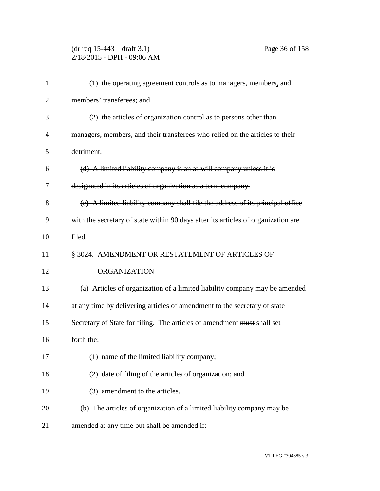## (dr req 15-443 – draft 3.1) Page 36 of 158 2/18/2015 - DPH - 09:06 AM

| (1) the operating agreement controls as to managers, members, and                 |
|-----------------------------------------------------------------------------------|
| members' transferees; and                                                         |
| (2) the articles of organization control as to persons other than                 |
| managers, members, and their transferees who relied on the articles to their      |
| detriment.                                                                        |
| (d) A limited liability company is an at-will company unless it is                |
| designated in its articles of organization as a term company.                     |
| (e) A limited liability company shall file the address of its principal office    |
| with the secretary of state within 90 days after its articles of organization are |
| filed.                                                                            |
| § 3024. AMENDMENT OR RESTATEMENT OF ARTICLES OF                                   |
| <b>ORGANIZATION</b>                                                               |
| (a) Articles of organization of a limited liability company may be amended        |
| at any time by delivering articles of amendment to the secretary of state         |
| Secretary of State for filing. The articles of amendment must shall set           |
| forth the:                                                                        |
| (1) name of the limited liability company;                                        |
| (2) date of filing of the articles of organization; and                           |
| (3) amendment to the articles.                                                    |
| (b) The articles of organization of a limited liability company may be            |
| amended at any time but shall be amended if:                                      |
|                                                                                   |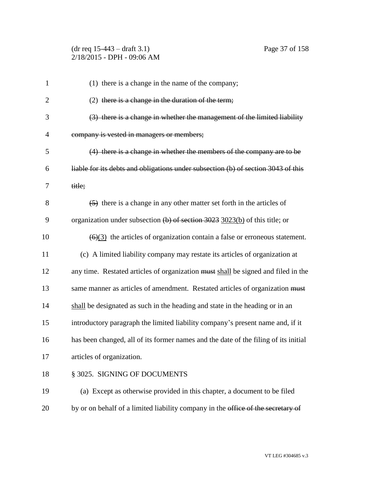# (dr req 15-443 – draft 3.1) Page 37 of 158 2/18/2015 - DPH - 09:06 AM

| $\mathbf{1}$   | (1) there is a change in the name of the company;                                               |
|----------------|-------------------------------------------------------------------------------------------------|
| $\overline{2}$ | $(2)$ there is a change in the duration of the term;                                            |
| 3              | (3) there is a change in whether the management of the limited liability                        |
| $\overline{4}$ | company is vested in managers or members;                                                       |
| 5              | (4) there is a change in whether the members of the company are to be                           |
| 6              | liable for its debts and obligations under subsection (b) of section 3043 of this               |
| 7              | title;                                                                                          |
| 8              | (5) there is a change in any other matter set forth in the articles of                          |
| 9              | organization under subsection $(b)$ of section 3023 3023(b) of this title; or                   |
| 10             | $\left(\frac{6}{3}\right)$ the articles of organization contain a false or erroneous statement. |
| 11             | (c) A limited liability company may restate its articles of organization at                     |
| 12             | any time. Restated articles of organization must shall be signed and filed in the               |
| 13             | same manner as articles of amendment. Restated articles of organization must                    |
| 14             | shall be designated as such in the heading and state in the heading or in an                    |
| 15             | introductory paragraph the limited liability company's present name and, if it                  |
| 16             | has been changed, all of its former names and the date of the filing of its initial             |
| 17             | articles of organization.                                                                       |
| 18             | § 3025. SIGNING OF DOCUMENTS                                                                    |
| 19             | (a) Except as otherwise provided in this chapter, a document to be filed                        |
| 20             | by or on behalf of a limited liability company in the office of the secretary of                |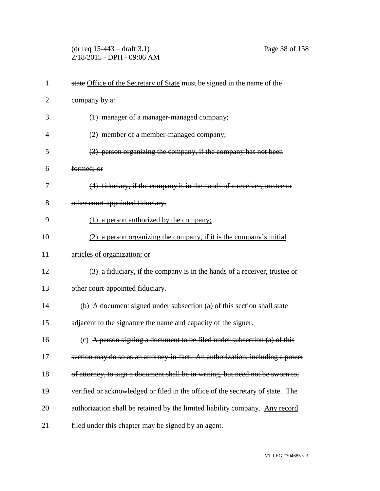(dr req 15-443 – draft 3.1) Page 38 of 158 2/18/2015 - DPH - 09:06 AM

| $\mathbf{1}$   | state Office of the Secretary of State must be signed in the name of the       |
|----------------|--------------------------------------------------------------------------------|
| $\overline{2}$ | company by a:                                                                  |
| 3              | (1) manager of a manager-managed company;                                      |
| $\overline{4}$ | (2) member of a member-managed company;                                        |
| 5              | (3) person organizing the company, if the company has not been                 |
| 6              | formed; or                                                                     |
| 7              | (4) fiduciary, if the company is in the hands of a receiver, trustee or        |
| 8              | other court-appointed fiduciary.                                               |
| 9              | (1) a person authorized by the company;                                        |
| 10             | a person organizing the company, if it is the company's initial                |
| 11             | articles of organization; or                                                   |
| 12             | (3) a fiduciary, if the company is in the hands of a receiver, trustee or      |
| 13             | other court-appointed fiduciary.                                               |
| 14             | (b) A document signed under subsection (a) of this section shall state         |
| 15             | adjacent to the signature the name and capacity of the signer.                 |
| 16             | (c) A person signing a document to be filed under subsection $(a)$ of this     |
| 17             | section may do so as an attorney-in-fact. An authorization, including a power  |
| 18             | of attorney, to sign a document shall be in writing, but need not be sworn to, |
| 19             | verified or acknowledged or filed in the office of the secretary of state. The |
| 20             | authorization shall be retained by the limited liability company. Any record   |
| 21             | filed under this chapter may be signed by an agent.                            |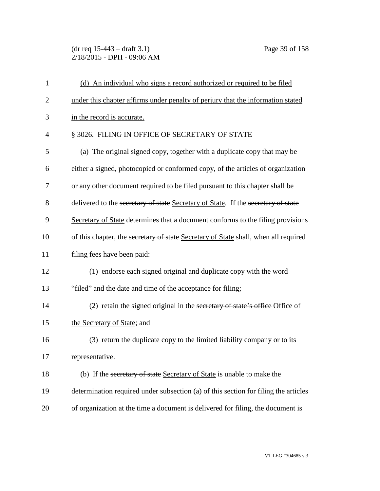(dr req 15-443 – draft 3.1) Page 39 of 158 2/18/2015 - DPH - 09:06 AM

| $\mathbf{1}$   | (d) An individual who signs a record authorized or required to be filed             |
|----------------|-------------------------------------------------------------------------------------|
| $\overline{2}$ | under this chapter affirms under penalty of perjury that the information stated     |
| 3              | in the record is accurate.                                                          |
| $\overline{4}$ | § 3026. FILING IN OFFICE OF SECRETARY OF STATE                                      |
| 5              | (a) The original signed copy, together with a duplicate copy that may be            |
| 6              | either a signed, photocopied or conformed copy, of the articles of organization     |
| 7              | or any other document required to be filed pursuant to this chapter shall be        |
| 8              | delivered to the secretary of state Secretary of State. If the secretary of state   |
| 9              | Secretary of State determines that a document conforms to the filing provisions     |
| 10             | of this chapter, the secretary of state Secretary of State shall, when all required |
| 11             | filing fees have been paid:                                                         |
| 12             | (1) endorse each signed original and duplicate copy with the word                   |
| 13             | "filed" and the date and time of the acceptance for filing;                         |
| 14             | (2) retain the signed original in the secretary of state's office Office of         |
| 15             | the Secretary of State; and                                                         |
| 16             | (3) return the duplicate copy to the limited liability company or to its            |
| 17             | representative.                                                                     |
| 18             | (b) If the secretary of state Secretary of State is unable to make the              |
| 19             | determination required under subsection (a) of this section for filing the articles |
| 20             | of organization at the time a document is delivered for filing, the document is     |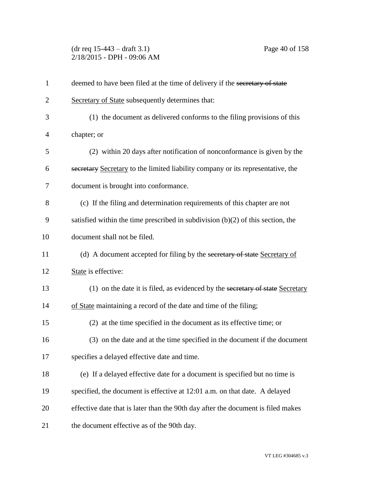(dr req 15-443 – draft 3.1) Page 40 of 158 2/18/2015 - DPH - 09:06 AM

| $\mathbf{1}$   | deemed to have been filed at the time of delivery if the secretary of state       |
|----------------|-----------------------------------------------------------------------------------|
| $\overline{c}$ | Secretary of State subsequently determines that:                                  |
| 3              | (1) the document as delivered conforms to the filing provisions of this           |
| 4              | chapter; or                                                                       |
| 5              | (2) within 20 days after notification of nonconformance is given by the           |
| 6              | secretary Secretary to the limited liability company or its representative, the   |
| 7              | document is brought into conformance.                                             |
| 8              | (c) If the filing and determination requirements of this chapter are not          |
| 9              | satisfied within the time prescribed in subdivision $(b)(2)$ of this section, the |
| 10             | document shall not be filed.                                                      |
| 11             | (d) A document accepted for filing by the secretary of state Secretary of         |
| 12             | State is effective:                                                               |
| 13             | (1) on the date it is filed, as evidenced by the secretary of state Secretary     |
| 14             | of State maintaining a record of the date and time of the filing;                 |
| 15             | (2) at the time specified in the document as its effective time; or               |
| 16             | (3) on the date and at the time specified in the document if the document         |
| 17             | specifies a delayed effective date and time.                                      |
| 18             | (e) If a delayed effective date for a document is specified but no time is        |
| 19             | specified, the document is effective at 12:01 a.m. on that date. A delayed        |
| 20             | effective date that is later than the 90th day after the document is filed makes  |
| 21             | the document effective as of the 90th day.                                        |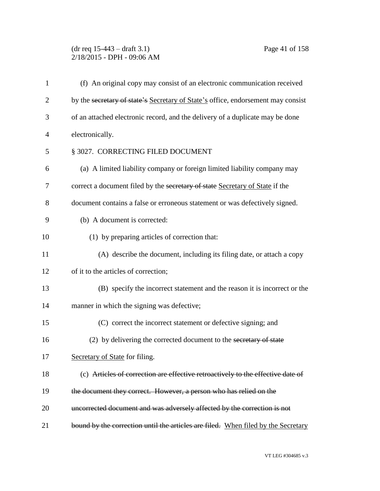# (dr req 15-443 – draft 3.1) Page 41 of 158 2/18/2015 - DPH - 09:06 AM

| $\mathbf{1}$   | (f) An original copy may consist of an electronic communication received          |
|----------------|-----------------------------------------------------------------------------------|
| $\overline{2}$ | by the secretary of state's Secretary of State's office, endorsement may consist  |
| 3              | of an attached electronic record, and the delivery of a duplicate may be done     |
| $\overline{4}$ | electronically.                                                                   |
| 5              | § 3027. CORRECTING FILED DOCUMENT                                                 |
| 6              | (a) A limited liability company or foreign limited liability company may          |
| 7              | correct a document filed by the secretary of state Secretary of State if the      |
| 8              | document contains a false or erroneous statement or was defectively signed.       |
| 9              | (b) A document is corrected:                                                      |
| 10             | (1) by preparing articles of correction that:                                     |
| 11             | (A) describe the document, including its filing date, or attach a copy            |
| 12             | of it to the articles of correction;                                              |
| 13             | (B) specify the incorrect statement and the reason it is incorrect or the         |
| 14             | manner in which the signing was defective;                                        |
| 15             | (C) correct the incorrect statement or defective signing; and                     |
| 16             | (2) by delivering the corrected document to the secretary of state                |
| 17             | Secretary of State for filing.                                                    |
| 18             | (c) Articles of correction are effective retroactively to the effective date of   |
| 19             | the document they correct. However, a person who has relied on the                |
| 20             | uncorrected document and was adversely affected by the correction is not          |
| 21             | bound by the correction until the articles are filed. When filed by the Secretary |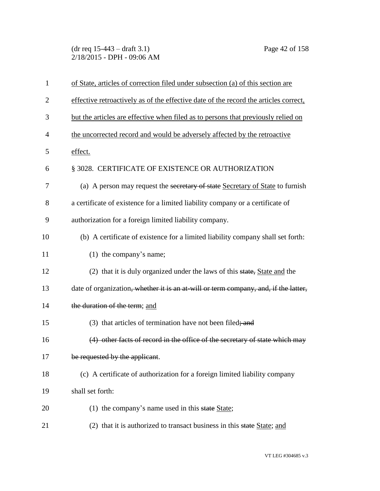(dr req 15-443 – draft 3.1) Page 42 of 158 2/18/2015 - DPH - 09:06 AM

| $\mathbf{1}$   | of State, articles of correction filed under subsection (a) of this section are      |
|----------------|--------------------------------------------------------------------------------------|
| $\overline{2}$ | effective retroactively as of the effective date of the record the articles correct, |
| 3              | but the articles are effective when filed as to persons that previously relied on    |
| 4              | the uncorrected record and would be adversely affected by the retroactive            |
| 5              | effect.                                                                              |
| 6              | § 3028. CERTIFICATE OF EXISTENCE OR AUTHORIZATION                                    |
| 7              | (a) A person may request the secretary of state Secretary of State to furnish        |
| 8              | a certificate of existence for a limited liability company or a certificate of       |
| 9              | authorization for a foreign limited liability company.                               |
| 10             | (b) A certificate of existence for a limited liability company shall set forth:      |
| 11             | (1) the company's name;                                                              |
| 12             | (2) that it is duly organized under the laws of this state, State and the            |
| 13             | date of organization, whether it is an at-will or term company, and, if the latter,  |
| 14             | the duration of the term; and                                                        |
| 15             | (3) that articles of termination have not been filed; and                            |
| 16             | (4) other facts of record in the office of the secretary of state which may          |
| 17             | be requested by the applicant.                                                       |
| 18             | (c) A certificate of authorization for a foreign limited liability company           |
| 19             | shall set forth:                                                                     |
| 20             | (1) the company's name used in this state State;                                     |
| 21             | (2) that it is authorized to transact business in this state State; and              |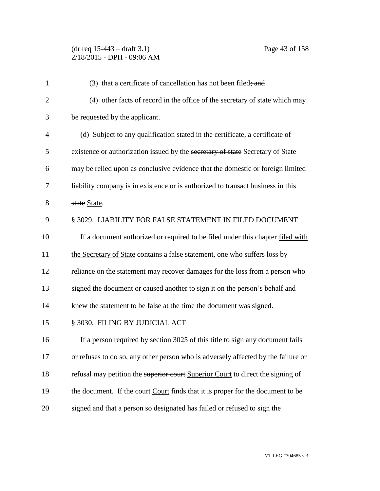# (dr req 15-443 – draft 3.1) Page 43 of 158 2/18/2015 - DPH - 09:06 AM

| $\mathbf{1}$   | (3) that a certificate of cancellation has not been filed; and                    |
|----------------|-----------------------------------------------------------------------------------|
| $\overline{2}$ | (4) other facts of record in the office of the secretary of state which may       |
| 3              | be requested by the applicant.                                                    |
| $\overline{4}$ | (d) Subject to any qualification stated in the certificate, a certificate of      |
| 5              | existence or authorization issued by the secretary of state Secretary of State    |
| 6              | may be relied upon as conclusive evidence that the domestic or foreign limited    |
| 7              | liability company is in existence or is authorized to transact business in this   |
| 8              | state State.                                                                      |
| 9              | § 3029. LIABILITY FOR FALSE STATEMENT IN FILED DOCUMENT                           |
| 10             | If a document authorized or required to be filed under this chapter filed with    |
| 11             | the Secretary of State contains a false statement, one who suffers loss by        |
| 12             | reliance on the statement may recover damages for the loss from a person who      |
| 13             | signed the document or caused another to sign it on the person's behalf and       |
| 14             | knew the statement to be false at the time the document was signed.               |
| 15             | § 3030. FILING BY JUDICIAL ACT                                                    |
| 16             | If a person required by section 3025 of this title to sign any document fails     |
| 17             | or refuses to do so, any other person who is adversely affected by the failure or |
| 18             | refusal may petition the superior court Superior Court to direct the signing of   |
| 19             | the document. If the court Court finds that it is proper for the document to be   |
| 20             | signed and that a person so designated has failed or refused to sign the          |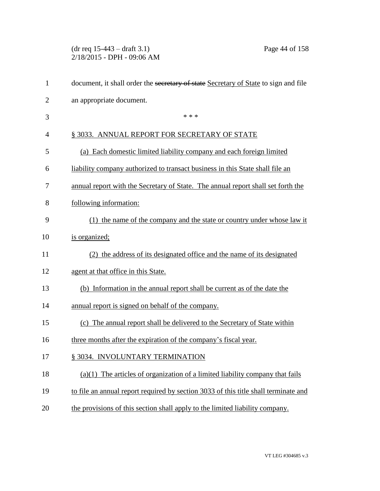(dr req 15-443 – draft 3.1) Page 44 of 158 2/18/2015 - DPH - 09:06 AM

| $\mathbf{1}$   | document, it shall order the secretary of state Secretary of State to sign and file |
|----------------|-------------------------------------------------------------------------------------|
| $\overline{2}$ | an appropriate document.                                                            |
| 3              | * * *                                                                               |
| $\overline{4}$ | § 3033. ANNUAL REPORT FOR SECRETARY OF STATE                                        |
| 5              | (a) Each domestic limited liability company and each foreign limited                |
| 6              | liability company authorized to transact business in this State shall file an       |
| 7              | annual report with the Secretary of State. The annual report shall set forth the    |
| 8              | following information:                                                              |
| 9              | (1) the name of the company and the state or country under whose law it             |
| 10             | is organized;                                                                       |
| 11             | (2) the address of its designated office and the name of its designated             |
| 12             | agent at that office in this State.                                                 |
| 13             | (b) Information in the annual report shall be current as of the date the            |
| 14             | annual report is signed on behalf of the company.                                   |
| 15             | (c) The annual report shall be delivered to the Secretary of State within           |
| 16             | three months after the expiration of the company's fiscal year.                     |
| 17             | § 3034. INVOLUNTARY TERMINATION                                                     |
| 18             | The articles of organization of a limited liability company that fails<br>(a)(1)    |
| 19             | to file an annual report required by section 3033 of this title shall terminate and |
| 20             | the provisions of this section shall apply to the limited liability company.        |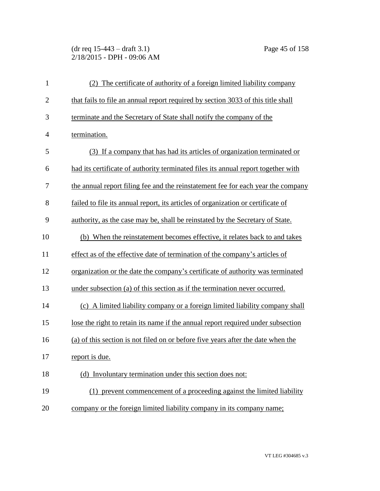(dr req 15-443 – draft 3.1) Page 45 of 158 2/18/2015 - DPH - 09:06 AM

| $\mathbf{1}$   | (2) The certificate of authority of a foreign limited liability company           |
|----------------|-----------------------------------------------------------------------------------|
| $\mathbf{2}$   | that fails to file an annual report required by section 3033 of this title shall  |
| 3              | terminate and the Secretary of State shall notify the company of the              |
| $\overline{4}$ | termination.                                                                      |
| 5              | (3) If a company that has had its articles of organization terminated or          |
| 6              | had its certificate of authority terminated files its annual report together with |
| 7              | the annual report filing fee and the reinstatement fee for each year the company  |
| 8              | failed to file its annual report, its articles of organization or certificate of  |
| 9              | authority, as the case may be, shall be reinstated by the Secretary of State.     |
| 10             | (b) When the reinstatement becomes effective, it relates back to and takes        |
| 11             | effect as of the effective date of termination of the company's articles of       |
| 12             | organization or the date the company's certificate of authority was terminated    |
| 13             | under subsection (a) of this section as if the termination never occurred.        |
| 14             | (c) A limited liability company or a foreign limited liability company shall      |
| 15             | lose the right to retain its name if the annual report required under subsection  |
| 16             | (a) of this section is not filed on or before five years after the date when the  |
| 17             | report is due.                                                                    |
| 18             | (d) Involuntary termination under this section does not:                          |
| 19             | (1) prevent commencement of a proceeding against the limited liability            |
| 20             | company or the foreign limited liability company in its company name;             |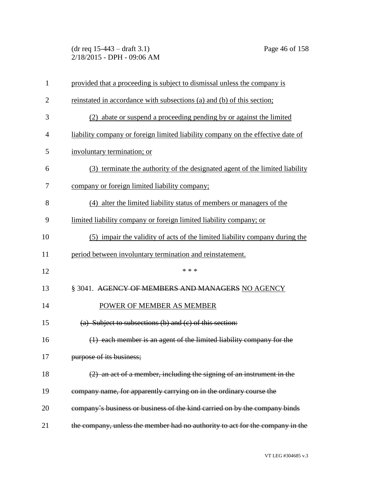(dr req 15-443 – draft 3.1) Page 46 of 158 2/18/2015 - DPH - 09:06 AM

| 1              | provided that a proceeding is subject to dismissal unless the company is        |
|----------------|---------------------------------------------------------------------------------|
| $\overline{2}$ | reinstated in accordance with subsections (a) and (b) of this section;          |
| 3              | (2) abate or suspend a proceeding pending by or against the limited             |
| 4              | liability company or foreign limited liability company on the effective date of |
| 5              | involuntary termination; or                                                     |
| 6              | (3) terminate the authority of the designated agent of the limited liability    |
| 7              | company or foreign limited liability company;                                   |
| 8              | (4) alter the limited liability status of members or managers of the            |
| 9              | limited liability company or foreign limited liability company; or              |
| 10             | (5) impair the validity of acts of the limited liability company during the     |
| 11             | period between involuntary termination and reinstatement.                       |
| 12             | * * *                                                                           |
| 13             | § 3041. AGENCY OF MEMBERS AND MANAGERS NO AGENCY                                |
| 14             | POWER OF MEMBER AS MEMBER                                                       |
| 15             | (a) Subject to subsections (b) and (c) of this section:                         |
| 16             | (1) each member is an agent of the limited liability company for the            |
| 17             | purpose of its business;                                                        |
| 18             | (2) an act of a member, including the signing of an instrument in the           |
| 19             | company name, for apparently carrying on in the ordinary course the             |
| 20             | company's business or business of the kind carried on by the company binds      |
| 21             | the company, unless the member had no authority to act for the company in the   |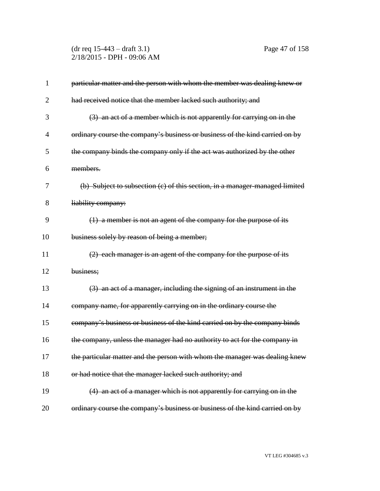(dr req 15-443 – draft 3.1) Page 47 of 158 2/18/2015 - DPH - 09:06 AM

| particular matter and the person with whom the member was dealing knew or    |
|------------------------------------------------------------------------------|
| had received notice that the member lacked such authority; and               |
| (3) an act of a member which is not apparently for carrying on in the        |
| ordinary course the company's business or business of the kind carried on by |
| the company binds the company only if the act was authorized by the other    |
| members.                                                                     |
| (b) Subject to subsection (c) of this section, in a manager-managed limited  |
| liability company:                                                           |
| (1) a member is not an agent of the company for the purpose of its           |
| business solely by reason of being a member;                                 |
| (2) each manager is an agent of the company for the purpose of its           |
| business;                                                                    |
| (3) an act of a manager, including the signing of an instrument in the       |
| company name, for apparently carrying on in the ordinary course the          |
| company's business or business of the kind carried on by the company binds   |
| the company, unless the manager had no authority to act for the company in   |
| the particular matter and the person with whom the manager was dealing knew  |
| or had notice that the manager lacked such authority; and                    |
| (4) an act of a manager which is not apparently for carrying on in the       |
| ordinary course the company's business or business of the kind carried on by |
|                                                                              |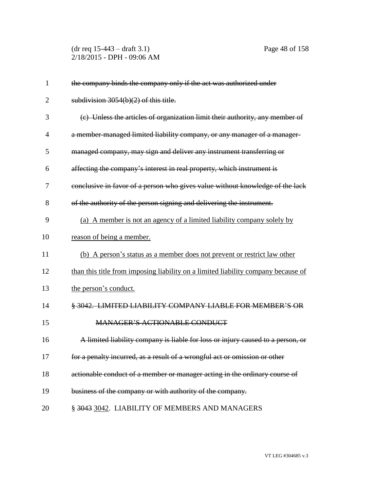(dr req 15-443 – draft 3.1) Page 48 of 158 2/18/2015 - DPH - 09:06 AM

| 1              | the company binds the company only if the act was authorized under                |
|----------------|-----------------------------------------------------------------------------------|
| $\overline{2}$ | subdivision $3054(b)(2)$ of this title.                                           |
| 3              | (c) Unless the articles of organization limit their authority, any member of      |
| $\overline{4}$ | a member-managed limited liability company, or any manager of a manager-          |
| 5              | managed company, may sign and deliver any instrument transferring or              |
| 6              | affecting the company's interest in real property, which instrument is            |
| 7              | conclusive in favor of a person who gives value without knowledge of the lack     |
| 8              | of the authority of the person signing and delivering the instrument.             |
| 9              | (a) A member is not an agency of a limited liability company solely by            |
| 10             | reason of being a member.                                                         |
| 11             | (b) A person's status as a member does not prevent or restrict law other          |
| 12             | than this title from imposing liability on a limited liability company because of |
| 13             | the person's conduct.                                                             |
| 14             | § 3042. LIMITED LIABILITY COMPANY LIABLE FOR MEMBER'S OR                          |
| 15             | <b>MANAGER'S ACTIONABLE CONDUCT</b>                                               |
| 16             | A limited liability company is liable for loss or injury caused to a person, or   |
| 17             | for a penalty incurred, as a result of a wrongful act or omission or other        |
| 18             | actionable conduct of a member or manager acting in the ordinary course of        |
| 19             | business of the company or with authority of the company.                         |
| 20             | § 3043 3042. LIABILITY OF MEMBERS AND MANAGERS                                    |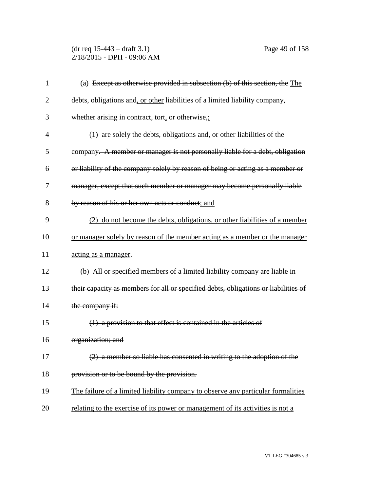### (dr req 15-443 – draft 3.1) Page 49 of 158 2/18/2015 - DPH - 09:06 AM

| 1              | (a) Except as otherwise provided in subsection (b) of this section, the The         |
|----------------|-------------------------------------------------------------------------------------|
| $\overline{2}$ | debts, obligations and, or other liabilities of a limited liability company,        |
| 3              | whether arising in contract, tort, or otherwise,:                                   |
| $\overline{4}$ | $(1)$ are solely the debts, obligations and, or other liabilities of the            |
| 5              | company. A member or manager is not personally liable for a debt, obligation        |
| 6              | or liability of the company solely by reason of being or acting as a member or      |
| 7              | manager, except that such member or manager may become personally liable            |
| 8              | by reason of his or her own acts or conduct; and                                    |
| 9              | (2) do not become the debts, obligations, or other liabilities of a member          |
| 10             | or manager solely by reason of the member acting as a member or the manager         |
| 11             | acting as a manager.                                                                |
| 12             | (b) All or specified members of a limited liability company are liable in           |
| 13             | their capacity as members for all or specified debts, obligations or liabilities of |
| 14             | the company if:                                                                     |
| 15             | $(1)$ a provision to that effect is contained in the articles of                    |
| 16             | organization; and                                                                   |
| 17             | $(2)$ a member so liable has consented in writing to the adoption of the            |
| 18             | provision or to be bound by the provision.                                          |
| 19             | The failure of a limited liability company to observe any particular formalities    |
| 20             | relating to the exercise of its power or management of its activities is not a      |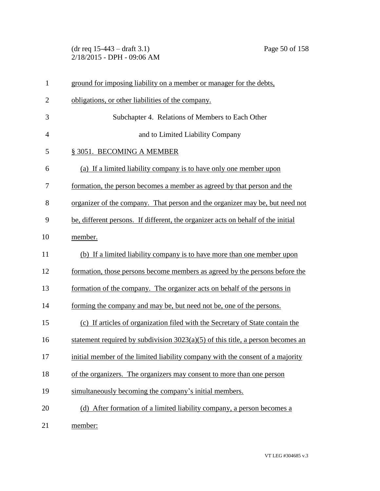(dr req 15-443 – draft 3.1) Page 50 of 158 2/18/2015 - DPH - 09:06 AM

| 1              | ground for imposing liability on a member or manager for the debts,               |
|----------------|-----------------------------------------------------------------------------------|
| $\overline{2}$ | obligations, or other liabilities of the company.                                 |
| 3              | Subchapter 4. Relations of Members to Each Other                                  |
| $\overline{4}$ | and to Limited Liability Company                                                  |
| 5              | § 3051. BECOMING A MEMBER                                                         |
| 6              | (a) If a limited liability company is to have only one member upon                |
| 7              | formation, the person becomes a member as agreed by that person and the           |
| 8              | organizer of the company. That person and the organizer may be, but need not      |
| 9              | be, different persons. If different, the organizer acts on behalf of the initial  |
| 10             | member.                                                                           |
| 11             | (b) If a limited liability company is to have more than one member upon           |
| 12             | formation, those persons become members as agreed by the persons before the       |
| 13             | formation of the company. The organizer acts on behalf of the persons in          |
| 14             | forming the company and may be, but need not be, one of the persons.              |
| 15             | (c) If articles of organization filed with the Secretary of State contain the     |
| 16             | statement required by subdivision $3023(a)(5)$ of this title, a person becomes an |
| 17             | initial member of the limited liability company with the consent of a majority    |
| 18             | of the organizers. The organizers may consent to more than one person             |
| 19             | simultaneously becoming the company's initial members.                            |
| 20             | (d) After formation of a limited liability company, a person becomes a            |
| 21             | member:                                                                           |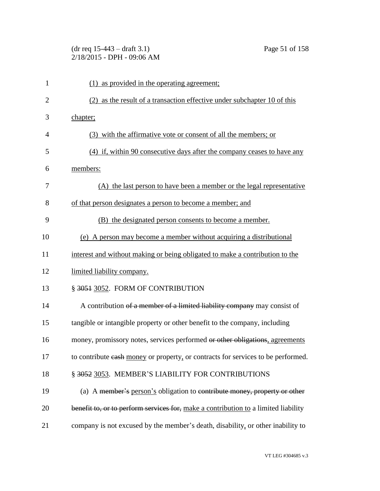# (dr req 15-443 – draft 3.1) Page 51 of 158 2/18/2015 - DPH - 09:06 AM

| 1              | (1) as provided in the operating agreement;                                        |
|----------------|------------------------------------------------------------------------------------|
| $\overline{2}$ | (2) as the result of a transaction effective under subchapter 10 of this           |
| 3              | chapter;                                                                           |
| 4              | (3) with the affirmative vote or consent of all the members; or                    |
| 5              | (4) if, within 90 consecutive days after the company ceases to have any            |
| 6              | members:                                                                           |
| 7              | (A) the last person to have been a member or the legal representative              |
| 8              | of that person designates a person to become a member; and                         |
| 9              | (B) the designated person consents to become a member.                             |
| 10             | (e) A person may become a member without acquiring a distributional                |
| 11             | interest and without making or being obligated to make a contribution to the       |
| 12             | limited liability company.                                                         |
| 13             | § 3051 3052. FORM OF CONTRIBUTION                                                  |
| 14             | A contribution of a member of a limited liability company may consist of           |
| 15             | tangible or intangible property or other benefit to the company, including         |
| 16             | money, promissory notes, services performed or other obligations, agreements       |
| 17             | to contribute eash money or property, or contracts for services to be performed.   |
| 18             | § 3052 3053. MEMBER'S LIABILITY FOR CONTRIBUTIONS                                  |
| 19             | (a) A member's person's obligation to contribute money, property or other          |
| 20             | benefit to, or to perform services for, make a contribution to a limited liability |
| 21             | company is not excused by the member's death, disability, or other inability to    |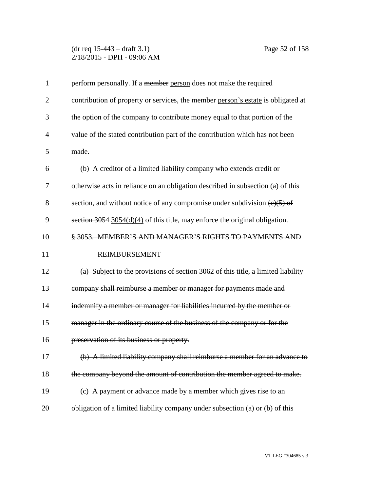### (dr req 15-443 – draft 3.1) Page 52 of 158 2/18/2015 - DPH - 09:06 AM

| $\mathbf{1}$   | perform personally. If a member person does not make the required                             |
|----------------|-----------------------------------------------------------------------------------------------|
| $\overline{2}$ | contribution of property or services, the member person's estate is obligated at              |
| 3              | the option of the company to contribute money equal to that portion of the                    |
| $\overline{4}$ | value of the stated contribution part of the contribution which has not been                  |
| 5              | made.                                                                                         |
| 6              | (b) A creditor of a limited liability company who extends credit or                           |
| 7              | otherwise acts in reliance on an obligation described in subsection (a) of this               |
| 8              | section, and without notice of any compromise under subdivision $\left(\frac{e}{5}\right)$ of |
| 9              | section $3054$ 3054(d)(4) of this title, may enforce the original obligation.                 |
| 10             | § 3053. MEMBER'S AND MANAGER'S RIGHTS TO PAYMENTS AND                                         |
| 11             | <b>REIMBURSEMENT</b>                                                                          |
| 12             | (a) Subject to the provisions of section 3062 of this title, a limited liability              |
| 13             | company shall reimburse a member or manager for payments made and                             |
| 14             | indemnify a member or manager for liabilities incurred by the member or                       |
| 15             | manager in the ordinary course of the business of the company or for the                      |
| 16             | preservation of its business or property.                                                     |
| 17             | (b) A limited liability company shall reimburse a member for an advance to                    |
| 18             | the company beyond the amount of contribution the member agreed to make.                      |
| 19             | (c) A payment or advance made by a member which gives rise to an                              |
| 20             | obligation of a limited liability company under subsection (a) or (b) of this                 |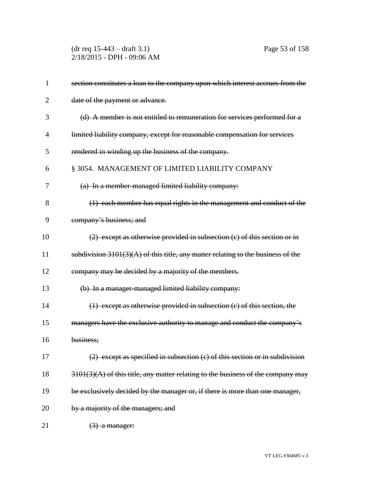(dr req 15-443 – draft 3.1) Page 53 of 158 2/18/2015 - DPH - 09:06 AM

| $\mathbf{1}$   | section constitutes a loan to the company upon which interest accrues from the     |
|----------------|------------------------------------------------------------------------------------|
| $\overline{2}$ | date of the payment or advance.                                                    |
| 3              | (d) A member is not entitled to remuneration for services performed for a          |
| 4              | limited liability company, except for reasonable compensation for services         |
| 5              | rendered in winding up the business of the company.                                |
| 6              | § 3054. MANAGEMENT OF LIMITED LIABILITY COMPANY                                    |
| 7              | (a) In a member-managed limited liability company:                                 |
| 8              | (1) each member has equal rights in the management and conduct of the              |
| 9              | company's business; and                                                            |
| 10             | $(2)$ except as otherwise provided in subsection $(c)$ of this section or in       |
| 11             | subdivision $3101(3)(A)$ of this title, any matter relating to the business of the |
| 12             | company may be decided by a majority of the members.                               |
| 13             | (b) In a manager-managed limited liability company:                                |
| 14             | $(1)$ except as otherwise provided in subsection $(c)$ of this section, the        |
| 15             | managers have the exclusive authority to manage and conduct the company's          |
| 16             | business;                                                                          |
| 17             | (2) except as specified in subsection (c) of this section or in subdivision        |
| 18             | $3101(3)(A)$ of this title, any matter relating to the business of the company may |
| 19             | be exclusively decided by the manager or, if there is more than one manager,       |
| 20             | by a majority of the managers; and                                                 |
| 21             | $(3)$ a manager:                                                                   |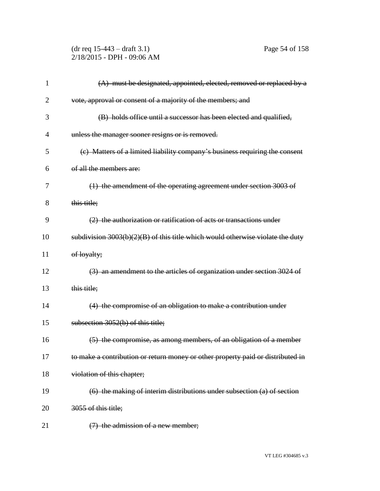(dr req 15-443 – draft 3.1) Page 54 of 158 2/18/2015 - DPH - 09:06 AM

| 1              | (A) must be designated, appointed, elected, removed or replaced by a             |
|----------------|----------------------------------------------------------------------------------|
| $\overline{2}$ | vote, approval or consent of a majority of the members; and                      |
| 3              | (B) holds office until a successor has been elected and qualified,               |
| 4              | unless the manager sooner resigns or is removed.                                 |
| 5              | (c) Matters of a limited liability company's business requiring the consent      |
| 6              | of all the members are:                                                          |
| 7              | (1) the amendment of the operating agreement under section 3003 of               |
| 8              | this title;                                                                      |
| 9              | (2) the authorization or ratification of acts or transactions under              |
| 10             | subdivision $3003(b)(2)(B)$ of this title which would otherwise violate the duty |
| 11             | of loyalty;                                                                      |
| 12             | (3) an amendment to the articles of organization under section 3024 of           |
| 13             | this title;                                                                      |
| 14             | (4) the compromise of an obligation to make a contribution under                 |
| 15             | subsection 3052(b) of this title;                                                |
| 16             | (5) the compromise, as among members, of an obligation of a member               |
| 17             | to make a contribution or return money or other property paid or distributed in  |
| 18             | violation of this chapter;                                                       |
| 19             | $(6)$ the making of interim distributions under subsection (a) of section        |
| 20             | 3055 of this title;                                                              |
| 21             | $(7)$ the admission of a new member;                                             |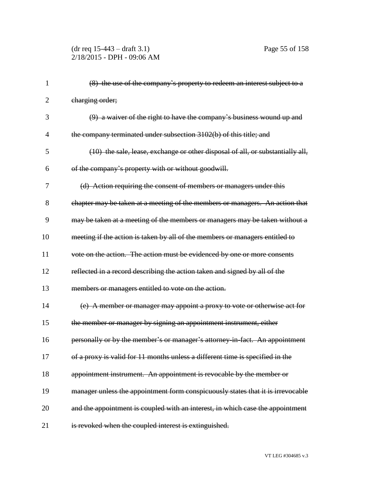# (dr req 15-443 – draft 3.1) Page 55 of 158 2/18/2015 - DPH - 09:06 AM

| 1              | (8) the use of the company's property to redeem an interest subject to a        |
|----------------|---------------------------------------------------------------------------------|
| $\overline{2}$ | charging order;                                                                 |
| 3              | (9) a waiver of the right to have the company's business wound up and           |
| $\overline{4}$ | the company terminated under subsection 3102(b) of this title; and              |
| 5              | (10) the sale, lease, exchange or other disposal of all, or substantially all,  |
| 6              | of the company's property with or without goodwill.                             |
| 7              | (d) Action requiring the consent of members or managers under this              |
| 8              | chapter may be taken at a meeting of the members or managers. An action that    |
| 9              | may be taken at a meeting of the members or managers may be taken without a     |
| 10             | meeting if the action is taken by all of the members or managers entitled to    |
| 11             | vote on the action. The action must be evidenced by one or more consents        |
| 12             | reflected in a record describing the action taken and signed by all of the      |
| 13             | members or managers entitled to vote on the action.                             |
| 14             | (e) A member or manager may appoint a proxy to vote or otherwise act for        |
| 15             | the member or manager by signing an appointment instrument, either              |
| 16             | personally or by the member's or manager's attorney in fact. An appointment     |
| 17             | of a proxy is valid for 11 months unless a different time is specified in the   |
| 18             | appointment instrument. An appointment is revocable by the member or            |
| 19             | manager unless the appointment form conspicuously states that it is irrevocable |
| 20             | and the appointment is coupled with an interest, in which case the appointment  |
| 21             | is revoked when the coupled interest is extinguished.                           |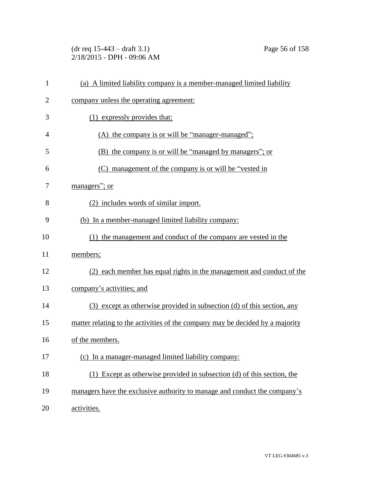(dr req 15-443 – draft 3.1) Page 56 of 158 2/18/2015 - DPH - 09:06 AM

| $\mathbf{1}$   | (a) A limited liability company is a member-managed limited liability         |
|----------------|-------------------------------------------------------------------------------|
| $\overline{2}$ | company unless the operating agreement:                                       |
| 3              | (1) expressly provides that:                                                  |
| 4              | (A) the company is or will be "manager-managed";                              |
| 5              | (B) the company is or will be "managed by managers"; or                       |
| 6              | (C) management of the company is or will be "vested in                        |
| 7              | managers"; or                                                                 |
| 8              | (2) includes words of similar import.                                         |
| 9              | (b) In a member-managed limited liability company:                            |
| 10             | (1) the management and conduct of the company are vested in the               |
| 11             | members;                                                                      |
| 12             | (2) each member has equal rights in the management and conduct of the         |
| 13             | company's activities; and                                                     |
| 14             | (3) except as otherwise provided in subsection (d) of this section, any       |
| 15             | matter relating to the activities of the company may be decided by a majority |
| 16             | of the members.                                                               |
| 17             | (c) In a manager-managed limited liability company:                           |
| 18             | (1) Except as otherwise provided in subsection (d) of this section, the       |
| 19             | managers have the exclusive authority to manage and conduct the company's     |
| 20             | activities.                                                                   |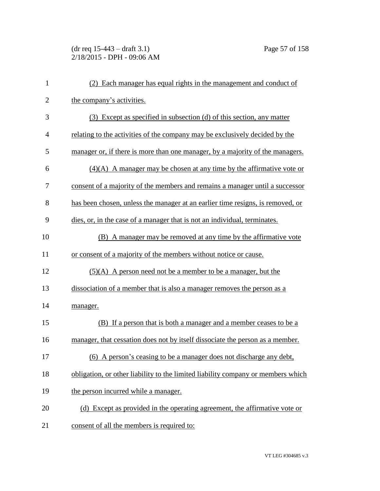# (dr req 15-443 – draft 3.1) Page 57 of 158 2/18/2015 - DPH - 09:06 AM

| $\mathbf{1}$   | (2) Each manager has equal rights in the management and conduct of               |
|----------------|----------------------------------------------------------------------------------|
| $\overline{2}$ | the company's activities.                                                        |
| 3              | (3) Except as specified in subsection (d) of this section, any matter            |
| 4              | relating to the activities of the company may be exclusively decided by the      |
| 5              | manager or, if there is more than one manager, by a majority of the managers.    |
| 6              | $(4)(A)$ A manager may be chosen at any time by the affirmative vote or          |
| 7              | consent of a majority of the members and remains a manager until a successor     |
| 8              | has been chosen, unless the manager at an earlier time resigns, is removed, or   |
| 9              | dies, or, in the case of a manager that is not an individual, terminates.        |
| 10             | (B) A manager may be removed at any time by the affirmative vote                 |
| 11             | or consent of a majority of the members without notice or cause.                 |
| 12             | $(5)(A)$ A person need not be a member to be a manager, but the                  |
| 13             | dissociation of a member that is also a manager removes the person as a          |
| 14             | manager.                                                                         |
| 15             | (B) If a person that is both a manager and a member ceases to be a               |
| 16             | manager, that cessation does not by itself dissociate the person as a member.    |
| 17             | (6) A person's ceasing to be a manager does not discharge any debt,              |
| 18             | obligation, or other liability to the limited liability company or members which |
| 19             | the person incurred while a manager.                                             |
| 20             | (d) Except as provided in the operating agreement, the affirmative vote or       |
| 21             | consent of all the members is required to:                                       |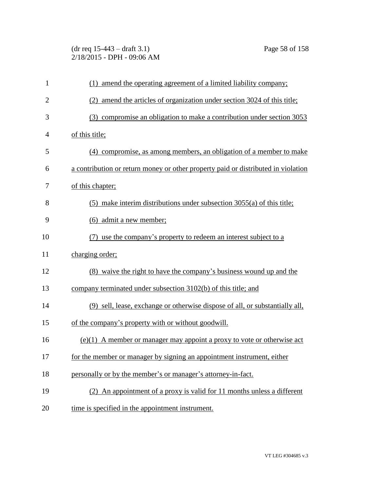(dr req 15-443 – draft 3.1) Page 58 of 158 2/18/2015 - DPH - 09:06 AM

| $\mathbf{1}$   | (1) amend the operating agreement of a limited liability company;                 |
|----------------|-----------------------------------------------------------------------------------|
| $\overline{2}$ | (2) amend the articles of organization under section 3024 of this title;          |
| 3              | (3) compromise an obligation to make a contribution under section 3053            |
| 4              | of this title;                                                                    |
| 5              | (4) compromise, as among members, an obligation of a member to make               |
| 6              | a contribution or return money or other property paid or distributed in violation |
| 7              | of this chapter;                                                                  |
| 8              | $(5)$ make interim distributions under subsection 3055(a) of this title;          |
| 9              | (6) admit a new member;                                                           |
| 10             | (7) use the company's property to redeem an interest subject to a                 |
| 11             | charging order;                                                                   |
| 12             | (8) waive the right to have the company's business wound up and the               |
| 13             | company terminated under subsection 3102(b) of this title; and                    |
| 14             | (9) sell, lease, exchange or otherwise dispose of all, or substantially all,      |
| 15             | of the company's property with or without goodwill.                               |
| 16             | $(e)(1)$ A member or manager may appoint a proxy to vote or otherwise act         |
| 17             | for the member or manager by signing an appointment instrument, either            |
| 18             | personally or by the member's or manager's attorney-in-fact.                      |
| 19             | (2) An appointment of a proxy is valid for 11 months unless a different           |
| 20             | time is specified in the appointment instrument.                                  |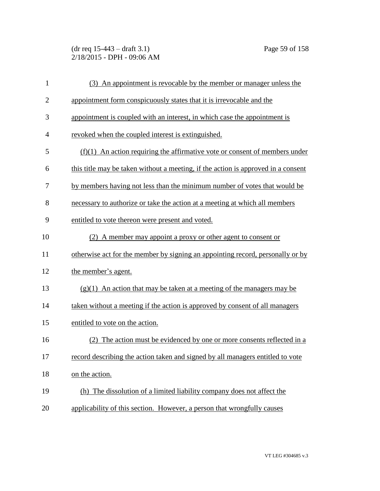(dr req 15-443 – draft 3.1) Page 59 of 158 2/18/2015 - DPH - 09:06 AM

| $\mathbf{1}$   | (3) An appointment is revocable by the member or manager unless the               |
|----------------|-----------------------------------------------------------------------------------|
| $\overline{c}$ | appointment form conspicuously states that it is irrevocable and the              |
| 3              | appointment is coupled with an interest, in which case the appointment is         |
| $\overline{4}$ | revoked when the coupled interest is extinguished.                                |
| 5              | $(f)(1)$ An action requiring the affirmative vote or consent of members under     |
| 6              | this title may be taken without a meeting, if the action is approved in a consent |
| 7              | by members having not less than the minimum number of votes that would be         |
| 8              | necessary to authorize or take the action at a meeting at which all members       |
| 9              | entitled to vote thereon were present and voted.                                  |
| 10             | (2) A member may appoint a proxy or other agent to consent or                     |
| 11             | otherwise act for the member by signing an appointing record, personally or by    |
| 12             | the member's agent.                                                               |
| 13             | $(g)(1)$ An action that may be taken at a meeting of the managers may be          |
| 14             | taken without a meeting if the action is approved by consent of all managers      |
| 15             | entitled to vote on the action.                                                   |
| 16             | The action must be evidenced by one or more consents reflected in a<br>(2)        |
| 17             | record describing the action taken and signed by all managers entitled to vote    |
| 18             | on the action.                                                                    |
| 19             | (h) The dissolution of a limited liability company does not affect the            |
| 20             | applicability of this section. However, a person that wrongfully causes           |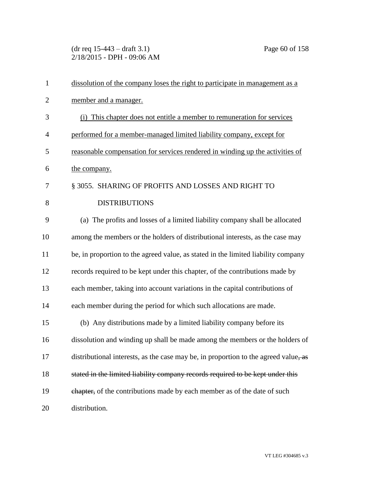(dr req 15-443 – draft 3.1) Page 60 of 158 2/18/2015 - DPH - 09:06 AM

| $\mathbf{1}$   | dissolution of the company loses the right to participate in management as a        |
|----------------|-------------------------------------------------------------------------------------|
| $\overline{2}$ | member and a manager.                                                               |
| 3              | (i) This chapter does not entitle a member to remuneration for services             |
| $\overline{4}$ | performed for a member-managed limited liability company, except for                |
| 5              | reasonable compensation for services rendered in winding up the activities of       |
| 6              | the company.                                                                        |
| 7              | § 3055. SHARING OF PROFITS AND LOSSES AND RIGHT TO                                  |
| 8              | <b>DISTRIBUTIONS</b>                                                                |
| 9              | (a) The profits and losses of a limited liability company shall be allocated        |
| 10             | among the members or the holders of distributional interests, as the case may       |
| 11             | be, in proportion to the agreed value, as stated in the limited liability company   |
| 12             | records required to be kept under this chapter, of the contributions made by        |
| 13             | each member, taking into account variations in the capital contributions of         |
| 14             | each member during the period for which such allocations are made.                  |
| 15             | (b) Any distributions made by a limited liability company before its                |
| 16             | dissolution and winding up shall be made among the members or the holders of        |
| 17             | distributional interests, as the case may be, in proportion to the agreed value, as |
| 18             | stated in the limited liability company records required to be kept under this      |
| 19             | chapter, of the contributions made by each member as of the date of such            |
| 20             | distribution.                                                                       |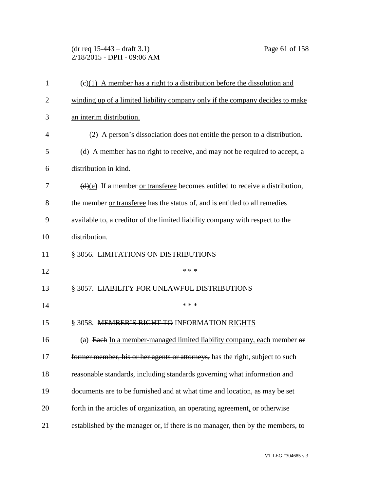(dr req 15-443 – draft 3.1) Page 61 of 158 2/18/2015 - DPH - 09:06 AM

| $\mathbf{1}$   | $(c)(1)$ A member has a right to a distribution before the dissolution and                       |
|----------------|--------------------------------------------------------------------------------------------------|
| $\overline{2}$ | winding up of a limited liability company only if the company decides to make                    |
| 3              | an interim distribution.                                                                         |
| 4              | (2) A person's dissociation does not entitle the person to a distribution.                       |
| 5              | (d) A member has no right to receive, and may not be required to accept, a                       |
| 6              | distribution in kind.                                                                            |
| 7              | $\left(\frac{d}{e}\right)$ If a member or transferee becomes entitled to receive a distribution, |
| 8              | the member or transferee has the status of, and is entitled to all remedies                      |
| 9              | available to, a creditor of the limited liability company with respect to the                    |
| 10             | distribution.                                                                                    |
| 11             | § 3056. LIMITATIONS ON DISTRIBUTIONS                                                             |
| 12             | * * *                                                                                            |
| 13             | § 3057. LIABILITY FOR UNLAWFUL DISTRIBUTIONS                                                     |
| 14             | * * *                                                                                            |
| 15             | § 3058. MEMBER'S RIGHT TO INFORMATION RIGHTS                                                     |
| 16             | (a) Each In a member-managed limited liability company, each member of                           |
| 17             | former member, his or her agents or attorneys, has the right, subject to such                    |
| 18             | reasonable standards, including standards governing what information and                         |
| 19             | documents are to be furnished and at what time and location, as may be set                       |
| 20             | forth in the articles of organization, an operating agreement, or otherwise                      |
| 21             | established by the manager or, if there is no manager, then by the members, to                   |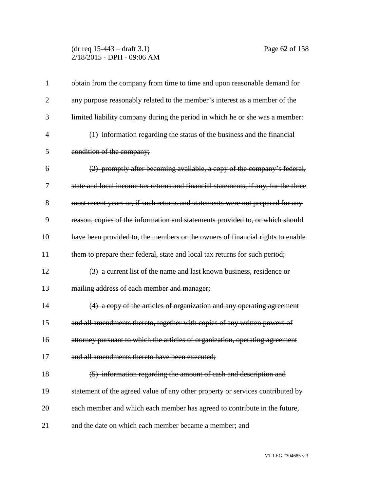### (dr req 15-443 – draft 3.1) Page 62 of 158 2/18/2015 - DPH - 09:06 AM

| $\mathbf{1}$   | obtain from the company from time to time and upon reasonable demand for           |
|----------------|------------------------------------------------------------------------------------|
| $\overline{2}$ | any purpose reasonably related to the member's interest as a member of the         |
| 3              | limited liability company during the period in which he or she was a member:       |
| 4              | (1) information regarding the status of the business and the financial             |
| 5              | condition of the company;                                                          |
| 6              | (2) promptly after becoming available, a copy of the company's federal,            |
| 7              | state and local income tax returns and financial statements, if any, for the three |
| 8              | most recent years or, if such returns and statements were not prepared for any     |
| 9              | reason, copies of the information and statements provided to, or which should      |
| 10             | have been provided to, the members or the owners of financial rights to enable     |
| 11             | them to prepare their federal, state and local tax returns for such period;        |
| 12             | (3) a current list of the name and last known business, residence or               |
| 13             | mailing address of each member and manager;                                        |
| 14             | (4) a copy of the articles of organization and any operating agreement             |
| 15             | and all amendments thereto, together with copies of any written powers of          |
| 16             | attorney pursuant to which the articles of organization, operating agreement       |
| 17             | and all amendments thereto have been executed;                                     |
| 18             | (5) information regarding the amount of cash and description and                   |
| 19             | statement of the agreed value of any other property or services contributed by     |
| 20             | each member and which each member has agreed to contribute in the future,          |
| 21             | and the date on which each member became a member; and                             |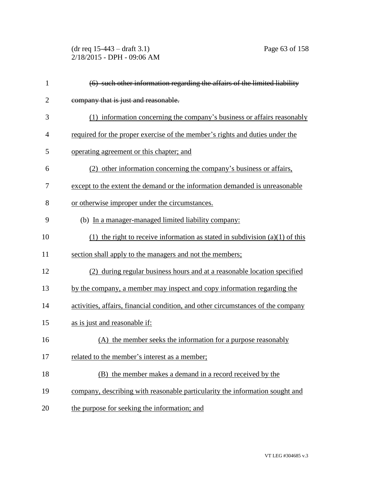(dr req 15-443 – draft 3.1) Page 63 of 158 2/18/2015 - DPH - 09:06 AM

| $\mathbf{1}$   | (6) such other information regarding the affairs of the limited liability        |
|----------------|----------------------------------------------------------------------------------|
| $\overline{2}$ | company that is just and reasonable.                                             |
| 3              | (1) information concerning the company's business or affairs reasonably          |
| 4              | required for the proper exercise of the member's rights and duties under the     |
| 5              | operating agreement or this chapter; and                                         |
| 6              | (2) other information concerning the company's business or affairs,              |
| 7              | except to the extent the demand or the information demanded is unreasonable      |
| 8              | or otherwise improper under the circumstances.                                   |
| 9              | (b) In a manager-managed limited liability company:                              |
| 10             | (1) the right to receive information as stated in subdivision $(a)(1)$ of this   |
| 11             | section shall apply to the managers and not the members;                         |
| 12             | (2) during regular business hours and at a reasonable location specified         |
| 13             | by the company, a member may inspect and copy information regarding the          |
| 14             | activities, affairs, financial condition, and other circumstances of the company |
| 15             | as is just and reasonable if:                                                    |
| 16             | (A) the member seeks the information for a purpose reasonably                    |
| 17             | related to the member's interest as a member;                                    |
| 18             | (B) the member makes a demand in a record received by the                        |
| 19             | company, describing with reasonable particularity the information sought and     |
| 20             | the purpose for seeking the information; and                                     |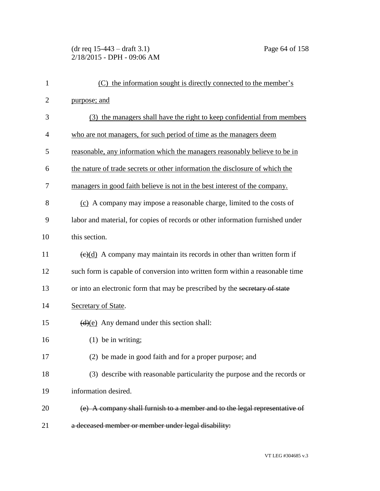# (dr req 15-443 – draft 3.1) Page 64 of 158 2/18/2015 - DPH - 09:06 AM

| $\mathbf{1}$   | (C) the information sought is directly connected to the member's                            |
|----------------|---------------------------------------------------------------------------------------------|
| $\overline{2}$ | purpose; and                                                                                |
| 3              | (3) the managers shall have the right to keep confidential from members                     |
| $\overline{4}$ | who are not managers, for such period of time as the managers deem                          |
| 5              | reasonable, any information which the managers reasonably believe to be in                  |
| 6              | the nature of trade secrets or other information the disclosure of which the                |
| 7              | managers in good faith believe is not in the best interest of the company.                  |
| 8              | (c) A company may impose a reasonable charge, limited to the costs of                       |
| 9              | labor and material, for copies of records or other information furnished under              |
| 10             | this section.                                                                               |
| 11             | $\left(\frac{e}{d}\right)$ A company may maintain its records in other than written form if |
| 12             | such form is capable of conversion into written form within a reasonable time               |
| 13             | or into an electronic form that may be prescribed by the secretary of state                 |
| 14             | Secretary of State.                                                                         |
| 15             | $\overline{(d)(e)}$ Any demand under this section shall:                                    |
| 16             | $(1)$ be in writing;                                                                        |
| 17             | (2) be made in good faith and for a proper purpose; and                                     |
| 18             | (3) describe with reasonable particularity the purpose and the records or                   |
| 19             | information desired.                                                                        |
| 20             | (e) A company shall furnish to a member and to the legal representative of                  |
| 21             | a deceased member or member under legal disability:                                         |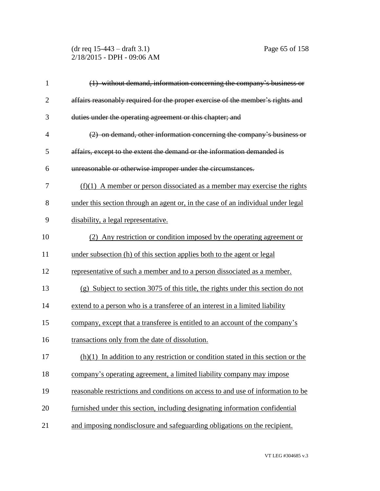(dr req 15-443 – draft 3.1) Page 65 of 158 2/18/2015 - DPH - 09:06 AM

| $\mathbf{1}$   | (1) without demand, information concerning the company's business or               |
|----------------|------------------------------------------------------------------------------------|
| $\overline{2}$ | affairs reasonably required for the proper exercise of the member's rights and     |
| 3              | duties under the operating agreement or this chapter; and                          |
| $\overline{4}$ | (2) on demand, other information concerning the company's business or              |
| 5              | affairs, except to the extent the demand or the information demanded is            |
| 6              | unreasonable or otherwise improper under the circumstances.                        |
| 7              | $(f)(1)$ A member or person dissociated as a member may exercise the rights        |
| 8              | under this section through an agent or, in the case of an individual under legal   |
| 9              | disability, a legal representative.                                                |
| 10             | (2) Any restriction or condition imposed by the operating agreement or             |
| 11             | under subsection (h) of this section applies both to the agent or legal            |
| 12             | representative of such a member and to a person dissociated as a member.           |
| 13             | (g) Subject to section 3075 of this title, the rights under this section do not    |
| 14             | extend to a person who is a transferee of an interest in a limited liability       |
| 15             | company, except that a transferee is entitled to an account of the company's       |
| 16             | transactions only from the date of dissolution.                                    |
| 17             | $(h)(1)$ In addition to any restriction or condition stated in this section or the |
| 18             | company's operating agreement, a limited liability company may impose              |
| 19             | reasonable restrictions and conditions on access to and use of information to be   |
| 20             | furnished under this section, including designating information confidential       |
| 21             | and imposing nondisclosure and safeguarding obligations on the recipient.          |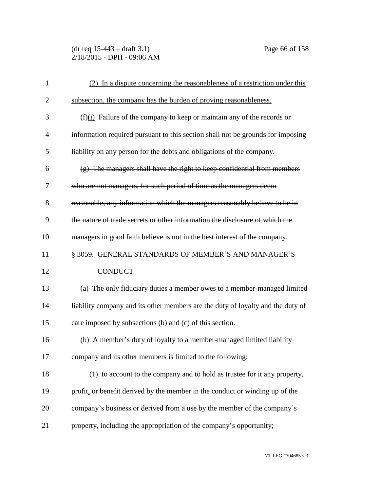(dr req 15-443 – draft 3.1) Page 66 of 158 2/18/2015 - DPH - 09:06 AM

| $\mathbf{1}$   | (2) In a dispute concerning the reasonableness of a restriction under this      |
|----------------|---------------------------------------------------------------------------------|
| $\overline{2}$ | subsection, the company has the burden of proving reasonableness.               |
| 3              | $(f(x))$ Failure of the company to keep or maintain any of the records or       |
| $\overline{4}$ | information required pursuant to this section shall not be grounds for imposing |
| 5              | liability on any person for the debts and obligations of the company.           |
| 6              | $(g)$ The managers shall have the right to keep confidential from members       |
| 7              | who are not managers, for such period of time as the managers deem              |
| 8              | reasonable, any information which the managers reasonably believe to be in      |
| 9              | the nature of trade secrets or other information the disclosure of which the    |
| 10             | managers in good faith believe is not in the best interest of the company.      |
| 11             | § 3059. GENERAL STANDARDS OF MEMBER'S AND MANAGER'S                             |
| 12             | <b>CONDUCT</b>                                                                  |
| 13             | (a) The only fiduciary duties a member owes to a member-managed limited         |
| 14             | liability company and its other members are the duty of loyalty and the duty of |
| 15             | care imposed by subsections (b) and (c) of this section.                        |
| 16             | (b) A member's duty of loyalty to a member-managed limited liability            |
| 17             | company and its other members is limited to the following:                      |
| 18             | (1) to account to the company and to hold as trustee for it any property,       |
| 19             | profit, or benefit derived by the member in the conduct or winding up of the    |
| 20             | company's business or derived from a use by the member of the company's         |
| 21             | property, including the appropriation of the company's opportunity;             |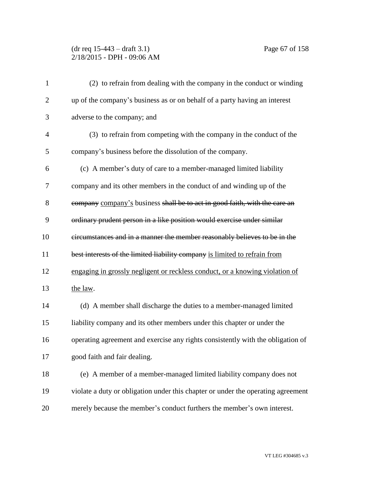## (dr req 15-443 – draft 3.1) Page 67 of 158 2/18/2015 - DPH - 09:06 AM

| $\mathbf{1}$   | (2) to refrain from dealing with the company in the conduct or winding           |
|----------------|----------------------------------------------------------------------------------|
| $\overline{2}$ | up of the company's business as or on behalf of a party having an interest       |
| 3              | adverse to the company; and                                                      |
| $\overline{4}$ | (3) to refrain from competing with the company in the conduct of the             |
| 5              | company's business before the dissolution of the company.                        |
| 6              | (c) A member's duty of care to a member-managed limited liability                |
| 7              | company and its other members in the conduct of and winding up of the            |
| 8              | company company's business shall be to act in good faith, with the care an       |
| 9              | ordinary prudent person in a like position would exercise under similar          |
| 10             | eircumstances and in a manner the member reasonably believes to be in the        |
| 11             | best interests of the limited liability company is limited to refrain from       |
| 12             | engaging in grossly negligent or reckless conduct, or a knowing violation of     |
| 13             | the law.                                                                         |
| 14             | (d) A member shall discharge the duties to a member-managed limited              |
| 15             | liability company and its other members under this chapter or under the          |
| 16             | operating agreement and exercise any rights consistently with the obligation of  |
| 17             | good faith and fair dealing.                                                     |
| 18             | (e) A member of a member-managed limited liability company does not              |
| 19             | violate a duty or obligation under this chapter or under the operating agreement |
| 20             | merely because the member's conduct furthers the member's own interest.          |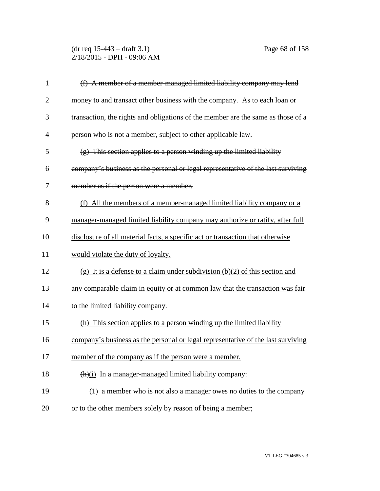(dr req 15-443 – draft 3.1) Page 68 of 158 2/18/2015 - DPH - 09:06 AM

| $\mathbf{1}$   | (f) A member of a member-managed limited liability company may lend              |
|----------------|----------------------------------------------------------------------------------|
| $\overline{2}$ | money to and transact other business with the company. As to each loan or        |
| 3              | transaction, the rights and obligations of the member are the same as those of a |
| $\overline{4}$ | person who is not a member, subject to other applicable law.                     |
| 5              | $(g)$ This section applies to a person winding up the limited liability          |
| 6              | company's business as the personal or legal representative of the last surviving |
| 7              | member as if the person were a member.                                           |
| 8              | (f) All the members of a member-managed limited liability company or a           |
| 9              | manager-managed limited liability company may authorize or ratify, after full    |
| 10             | disclosure of all material facts, a specific act or transaction that otherwise   |
| 11             | would violate the duty of loyalty.                                               |
| 12             | (g) It is a defense to a claim under subdivision $(b)(2)$ of this section and    |
| 13             | any comparable claim in equity or at common law that the transaction was fair    |
| 14             | to the limited liability company.                                                |
| 15             | (h) This section applies to a person winding up the limited liability            |
| 16             | company's business as the personal or legal representative of the last surviving |
| 17             | member of the company as if the person were a member.                            |
| 18             | $(h)(i)$ In a manager-managed limited liability company:                         |
| 19             | $(1)$ a member who is not also a manager owes no duties to the company           |
| 20             | or to the other members solely by reason of being a member;                      |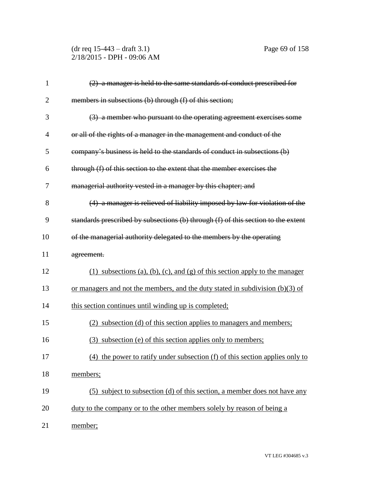(dr req 15-443 – draft 3.1) Page 69 of 158 2/18/2015 - DPH - 09:06 AM

| $\mathbf{1}$   | (2) a manager is held to the same standards of conduct prescribed for             |
|----------------|-----------------------------------------------------------------------------------|
| $\overline{2}$ | members in subsections (b) through (f) of this section;                           |
| 3              | (3) a member who pursuant to the operating agreement exercises some               |
| $\overline{4}$ | or all of the rights of a manager in the management and conduct of the            |
| 5              | company's business is held to the standards of conduct in subsections (b)         |
| 6              | through (f) of this section to the extent that the member exercises the           |
| 7              | managerial authority vested in a manager by this chapter; and                     |
| 8              | (4) a manager is relieved of liability imposed by law for violation of the        |
| 9              | standards prescribed by subsections (b) through (f) of this section to the extent |
| 10             | of the managerial authority delegated to the members by the operating             |
| 11             | agreement.                                                                        |
| 12             | (1) subsections (a), (b), (c), and (g) of this section apply to the manager       |
| 13             | or managers and not the members, and the duty stated in subdivision $(b)(3)$ of   |
| 14             | this section continues until winding up is completed;                             |
| 15             | (2) subsection (d) of this section applies to managers and members;               |
| 16             | (3) subsection (e) of this section applies only to members;                       |
| 17             | $(4)$ the power to ratify under subsection $(f)$ of this section applies only to  |
| 18             | members;                                                                          |
| 19             | (5) subject to subsection (d) of this section, a member does not have any         |
| 20             | duty to the company or to the other members solely by reason of being a           |
| 21             | member;                                                                           |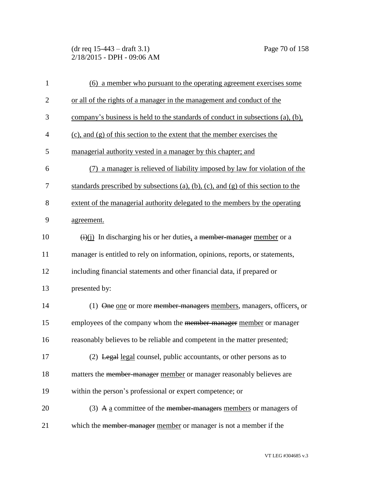(dr req 15-443 – draft 3.1) Page 70 of 158 2/18/2015 - DPH - 09:06 AM

| $\mathbf{1}$   | (6) a member who pursuant to the operating agreement exercises some                              |
|----------------|--------------------------------------------------------------------------------------------------|
| $\overline{2}$ | or all of the rights of a manager in the management and conduct of the                           |
| 3              | company's business is held to the standards of conduct in subsections (a), (b),                  |
| $\overline{4}$ | (c), and (g) of this section to the extent that the member exercises the                         |
| 5              | managerial authority vested in a manager by this chapter; and                                    |
| 6              | a manager is relieved of liability imposed by law for violation of the                           |
| 7              | standards prescribed by subsections (a), (b), (c), and (g) of this section to the                |
| 8              | extent of the managerial authority delegated to the members by the operating                     |
| 9              | agreement.                                                                                       |
| 10             | $\overrightarrow{(i)}$ In discharging his or her duties, a <del>member-manager</del> member or a |
| 11             | manager is entitled to rely on information, opinions, reports, or statements,                    |
| 12             | including financial statements and other financial data, if prepared or                          |
| 13             | presented by:                                                                                    |
| 14             | (1) One one or more member-managers members, managers, officers, or                              |
| 15             | employees of the company whom the member-manager member or manager                               |
| 16             | reasonably believes to be reliable and competent in the matter presented;                        |
| 17             | (2) Legal legal counsel, public accountants, or other persons as to                              |
| 18             | matters the member-manager member or manager reasonably believes are                             |
| 19             | within the person's professional or expert competence; or                                        |
| 20             | (3) A $\underline{a}$ committee of the <del>member-managers</del> members or managers of         |
| 21             | which the member manager member or manager is not a member if the                                |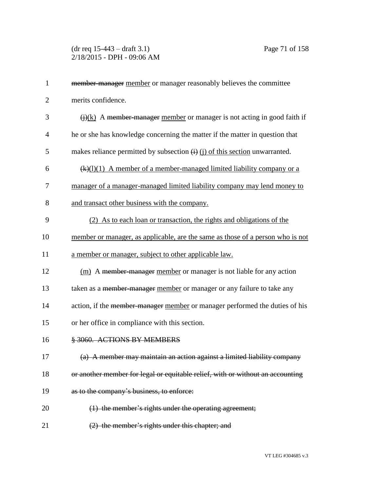(dr req 15-443 – draft 3.1) Page 71 of 158 2/18/2015 - DPH - 09:06 AM

| $\mathbf{1}$   | member manager member or manager reasonably believes the committee                          |
|----------------|---------------------------------------------------------------------------------------------|
| $\overline{2}$ | merits confidence.                                                                          |
| 3              | $\overrightarrow{()}$ (k) A member manager member or manager is not acting in good faith if |
| $\overline{4}$ | he or she has knowledge concerning the matter if the matter in question that                |
| 5              | makes reliance permitted by subsection $(i)$ $(j)$ of this section unwarranted.             |
| 6              | $\frac{f(k)(1)(1)}{k}$ A member of a member-managed limited liability company or a          |
| 7              | manager of a manager-managed limited liability company may lend money to                    |
| 8              | and transact other business with the company.                                               |
| 9              | (2) As to each loan or transaction, the rights and obligations of the                       |
| 10             | member or manager, as applicable, are the same as those of a person who is not              |
| 11             | a member or manager, subject to other applicable law.                                       |
| 12             | (m) A member-manager member or manager is not liable for any action                         |
| 13             | taken as a member-manager member or manager or any failure to take any                      |
| 14             | action, if the member-manager member or manager performed the duties of his                 |
| 15             | or her office in compliance with this section.                                              |
| 16             | § 3060. ACTIONS BY MEMBERS                                                                  |
| 17             | (a) A member may maintain an action against a limited liability company                     |
| 18             | or another member for legal or equitable relief, with or without an accounting              |
| 19             | as to the company's business, to enforce:                                                   |
| 20             | $(1)$ the member's rights under the operating agreement;                                    |
| 21             | (2) the member's rights under this chapter; and                                             |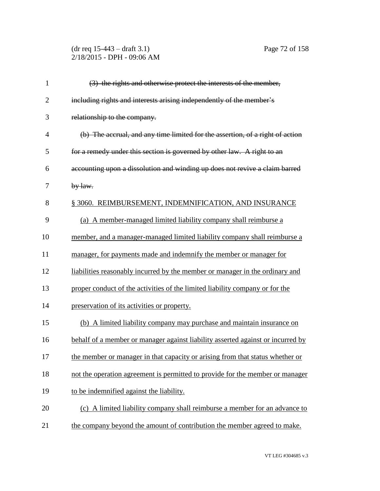(dr req 15-443 – draft 3.1) Page 72 of 158 2/18/2015 - DPH - 09:06 AM

| $\mathbf{1}$   | (3) the rights and otherwise protect the interests of the member,               |
|----------------|---------------------------------------------------------------------------------|
| $\overline{2}$ | including rights and interests arising independently of the member's            |
| 3              | relationship to the company.                                                    |
| $\overline{4}$ | (b) The accrual, and any time limited for the assertion, of a right of action   |
| 5              | for a remedy under this section is governed by other law. A right to an         |
| 6              | accounting upon a dissolution and winding up does not revive a claim barred     |
| 7              | $by$ law.                                                                       |
| 8              | § 3060. REIMBURSEMENT, INDEMNIFICATION, AND INSURANCE                           |
| 9              | (a) A member-managed limited liability company shall reimburse a                |
| 10             | member, and a manager-managed limited liability company shall reimburse a       |
| 11             | manager, for payments made and indemnify the member or manager for              |
| 12             | liabilities reasonably incurred by the member or manager in the ordinary and    |
| 13             | proper conduct of the activities of the limited liability company or for the    |
| 14             | preservation of its activities or property.                                     |
| 15             | (b) A limited liability company may purchase and maintain insurance on          |
| 16             | behalf of a member or manager against liability asserted against or incurred by |
| 17             | the member or manager in that capacity or arising from that status whether or   |
| 18             | not the operation agreement is permitted to provide for the member or manager   |
| 19             | to be indemnified against the liability.                                        |
| 20             | (c) A limited liability company shall reimburse a member for an advance to      |
| 21             | the company beyond the amount of contribution the member agreed to make.        |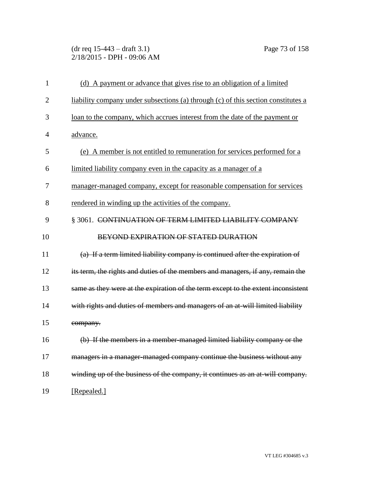(dr req 15-443 – draft 3.1) Page 73 of 158 2/18/2015 - DPH - 09:06 AM

| $\mathbf{1}$   | (d) A payment or advance that gives rise to an obligation of a limited            |
|----------------|-----------------------------------------------------------------------------------|
| $\overline{2}$ | liability company under subsections (a) through (c) of this section constitutes a |
| 3              | loan to the company, which accrues interest from the date of the payment or       |
| 4              | advance.                                                                          |
| 5              | (e) A member is not entitled to remuneration for services performed for a         |
| 6              | limited liability company even in the capacity as a manager of a                  |
| 7              | manager-managed company, except for reasonable compensation for services          |
| 8              | rendered in winding up the activities of the company.                             |
| 9              | § 3061. CONTINUATION OF TERM LIMITED LIABILITY COMPANY                            |
| 10             | <b>BEYOND EXPIRATION OF STATED DURATION</b>                                       |
| 11             | (a) If a term limited liability company is continued after the expiration of      |
| 12             | its term, the rights and duties of the members and managers, if any, remain the   |
| 13             | same as they were at the expiration of the term except to the extent inconsistent |
| 14             | with rights and duties of members and managers of an at-will limited liability    |
| 15             | company.                                                                          |
| 16             | (b) If the members in a member-managed limited liability company or the           |
| 17             | managers in a manager-managed company continue the business without any           |
| 18             | winding up of the business of the company, it continues as an at-will company.    |
| 19             | [Repealed.]                                                                       |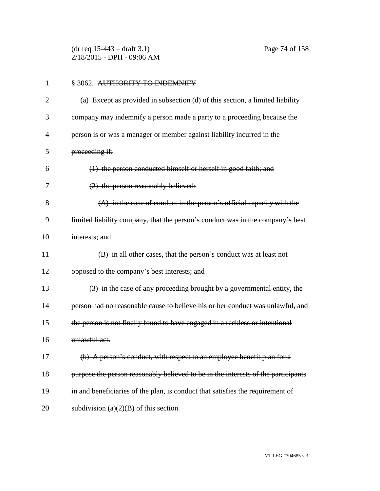(dr req 15-443 – draft 3.1) Page 74 of 158 2/18/2015 - DPH - 09:06 AM

| $\mathbf{1}$ | § 3062. AUTHORITY TO INDEMNIFY                                                    |
|--------------|-----------------------------------------------------------------------------------|
| 2            | (a) Except as provided in subsection (d) of this section, a limited liability     |
| 3            | company may indemnify a person made a party to a proceeding because the           |
| 4            | person is or was a manager or member against liability incurred in the            |
| 5            | proceeding if:                                                                    |
| 6            | (1) the person conducted himself or herself in good faith; and                    |
| 7            | $(2)$ the person reasonably believed:                                             |
| 8            | (A) in the case of conduct in the person's official capacity with the             |
| 9            | limited liability company, that the person's conduct was in the company's best    |
| 10           | interests; and                                                                    |
| 11           | (B) in all other cases, that the person's conduct was at least not                |
| 12           | opposed to the company's best interests; and                                      |
| 13           | (3) in the case of any proceeding brought by a governmental entity, the           |
| 14           | person had no reasonable cause to believe his or her conduct was unlawful, and    |
| 15           | the person is not finally found to have engaged in a reckless or intentional      |
| 16           | unlawful act.                                                                     |
| 17           | (b) A person's conduct, with respect to an employee benefit plan for a            |
| 18           | purpose the person reasonably believed to be in the interests of the participants |
| 19           | in and beneficiaries of the plan, is conduct that satisfies the requirement of    |
| 20           | subdivision $(a)(2)(B)$ of this section.                                          |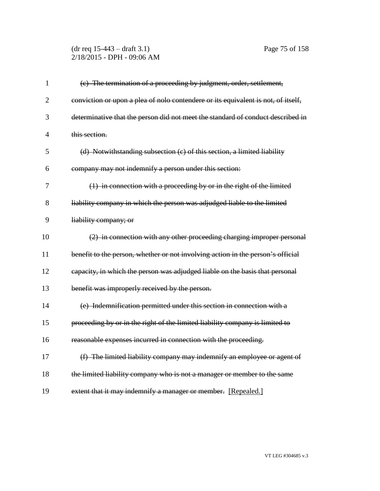#### (dr req 15-443 – draft 3.1) Page 75 of 158 2/18/2015 - DPH - 09:06 AM

| $\mathbf{1}$   | (c) The termination of a proceeding by judgment, order, settlement,               |
|----------------|-----------------------------------------------------------------------------------|
| $\overline{2}$ | conviction or upon a plea of nolo contendere or its equivalent is not, of itself, |
| 3              | determinative that the person did not meet the standard of conduct described in   |
| $\overline{4}$ | this section.                                                                     |
| 5              | $(d)$ Notwithstanding subsection $(e)$ of this section, a limited liability       |
| 6              | company may not indemnify a person under this section:                            |
| 7              | $(1)$ in connection with a proceeding by or in the right of the limited           |
| 8              | liability company in which the person was adjudged liable to the limited          |
| 9              | liability company; or                                                             |
| 10             | (2) in connection with any other proceeding charging improper personal            |
| 11             | benefit to the person, whether or not involving action in the person's official   |
| 12             | eapacity, in which the person was adjudged liable on the basis that personal      |
| 13             | benefit was improperly received by the person.                                    |
| 14             | (e) Indemnification permitted under this section in connection with a             |
| 15             | proceeding by or in the right of the limited liability company is limited to      |
| 16             | reasonable expenses incurred in connection with the proceeding.                   |
| 17             | (f) The limited liability company may indemnify an employee or agent of           |
| 18             | the limited liability company who is not a manager or member to the same          |
| 19             | extent that it may indemnify a manager or member. [Repealed.]                     |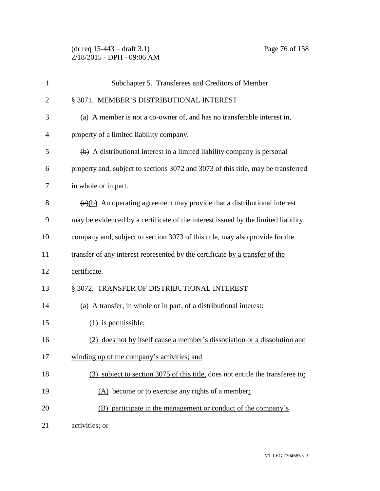(dr req 15-443 – draft 3.1) Page 76 of 158 2/18/2015 - DPH - 09:06 AM

| $\mathbf{1}$   | Subchapter 5. Transferees and Creditors of Member                                            |
|----------------|----------------------------------------------------------------------------------------------|
| $\overline{2}$ | § 3071. MEMBER'S DISTRIBUTIONAL INTEREST                                                     |
| 3              | (a) A member is not a co-owner of, and has no transferable interest in,                      |
| $\overline{4}$ | property of a limited liability company.                                                     |
| 5              | $\leftrightarrow$ A distributional interest in a limited liability company is personal       |
| 6              | property and, subject to sections 3072 and 3073 of this title, may be transferred            |
| 7              | in whole or in part.                                                                         |
| 8              | $\left(\frac{e}{e}\right)$ An operating agreement may provide that a distributional interest |
| 9              | may be evidenced by a certificate of the interest issued by the limited liability            |
| 10             | company and, subject to section 3073 of this title, may also provide for the                 |
| 11             | transfer of any interest represented by the certificate by a transfer of the                 |
| 12             | certificate.                                                                                 |
| 13             | § 3072. TRANSFER OF DISTRIBUTIONAL INTEREST                                                  |
| 14             | (a) A transfer, in whole or in part, of a distributional interest:                           |
| 15             | $(1)$ is permissible;                                                                        |
| 16             | (2) does not by itself cause a member's dissociation or a dissolution and                    |
| 17             | winding up of the company's activities; and                                                  |
| 18             | (3) subject to section 3075 of this title, does not entitle the transferee to:               |
| 19             | (A) become or to exercise any rights of a member:                                            |
| 20             | (B) participate in the management or conduct of the company's                                |
| 21             | activities; or                                                                               |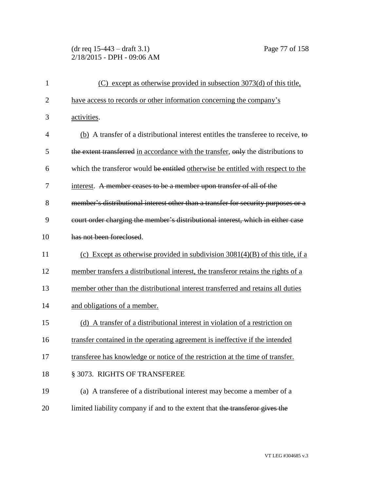(dr req 15-443 – draft 3.1) Page 77 of 158 2/18/2015 - DPH - 09:06 AM

| $\mathbf{1}$   | (C) except as otherwise provided in subsection 3073(d) of this title,              |
|----------------|------------------------------------------------------------------------------------|
| $\overline{2}$ | have access to records or other information concerning the company's               |
| 3              | activities.                                                                        |
| 4              | (b) A transfer of a distributional interest entitles the transferee to receive, to |
| 5              | the extent transferred in accordance with the transfer, only the distributions to  |
| 6              | which the transferor would be entitled otherwise be entitled with respect to the   |
| 7              | interest. A member ceases to be a member upon transfer of all of the               |
| 8              | member's distributional interest other than a transfer for security purposes or a  |
| 9              | court order charging the member's distributional interest, which in either case    |
| 10             | has not been foreclosed.                                                           |
| 11             | (c) Except as otherwise provided in subdivision $3081(4)(B)$ of this title, if a   |
| 12             | member transfers a distributional interest, the transferor retains the rights of a |
| 13             | member other than the distributional interest transferred and retains all duties   |
| 14             | and obligations of a member.                                                       |
| 15             | (d) A transfer of a distributional interest in violation of a restriction on       |
| 16             | transfer contained in the operating agreement is ineffective if the intended       |
| 17             | transferee has knowledge or notice of the restriction at the time of transfer.     |
| 18             | § 3073. RIGHTS OF TRANSFEREE                                                       |
| 19             | (a) A transferee of a distributional interest may become a member of a             |
| 20             | limited liability company if and to the extent that the transferor gives the       |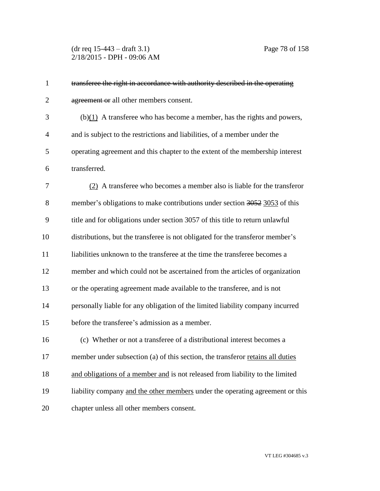(dr req 15-443 – draft 3.1) Page 78 of 158 2/18/2015 - DPH - 09:06 AM

| $\mathbf{1}$   | transferee the right in accordance with authority described in the operating   |
|----------------|--------------------------------------------------------------------------------|
| $\overline{2}$ | agreement or all other members consent.                                        |
| 3              | $(b)(1)$ A transferee who has become a member, has the rights and powers,      |
| $\overline{4}$ | and is subject to the restrictions and liabilities, of a member under the      |
| 5              | operating agreement and this chapter to the extent of the membership interest  |
| 6              | transferred.                                                                   |
| 7              | (2) A transferee who becomes a member also is liable for the transferor        |
| 8              | member's obligations to make contributions under section 3052 3053 of this     |
| 9              | title and for obligations under section 3057 of this title to return unlawful  |
| 10             | distributions, but the transferee is not obligated for the transferor member's |
| 11             | liabilities unknown to the transferee at the time the transferee becomes a     |
| 12             | member and which could not be ascertained from the articles of organization    |
| 13             | or the operating agreement made available to the transferee, and is not        |
| 14             | personally liable for any obligation of the limited liability company incurred |
| 15             | before the transferee's admission as a member.                                 |
| 16             | (c) Whether or not a transferee of a distributional interest becomes a         |
| 17             | member under subsection (a) of this section, the transferor retains all duties |
| 18             | and obligations of a member and is not released from liability to the limited  |
| 19             | liability company and the other members under the operating agreement or this  |
| 20             | chapter unless all other members consent.                                      |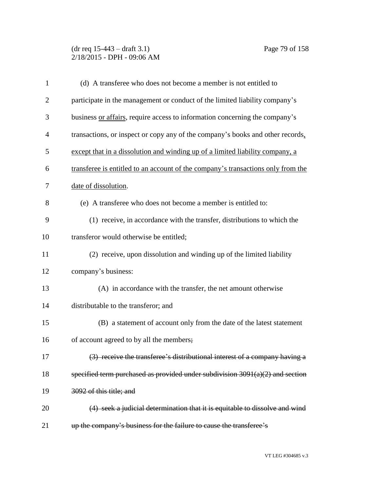(dr req 15-443 – draft 3.1) Page 79 of 158 2/18/2015 - DPH - 09:06 AM

| $\mathbf{1}$   | (d) A transferee who does not become a member is not entitled to                 |
|----------------|----------------------------------------------------------------------------------|
| $\overline{2}$ | participate in the management or conduct of the limited liability company's      |
| 3              | business or affairs, require access to information concerning the company's      |
| $\overline{4}$ | transactions, or inspect or copy any of the company's books and other records,   |
| 5              | except that in a dissolution and winding up of a limited liability company, a    |
| 6              | transferee is entitled to an account of the company's transactions only from the |
| 7              | date of dissolution.                                                             |
| 8              | (e) A transferee who does not become a member is entitled to:                    |
| 9              | (1) receive, in accordance with the transfer, distributions to which the         |
| 10             | transferor would otherwise be entitled;                                          |
| 11             | (2) receive, upon dissolution and winding up of the limited liability            |
| 12             | company's business:                                                              |
| 13             | (A) in accordance with the transfer, the net amount otherwise                    |
| 14             | distributable to the transferor; and                                             |
| 15             | (B) a statement of account only from the date of the latest statement            |
| 16             | of account agreed to by all the members;                                         |
| 17             | (3) receive the transferee's distributional interest of a company having a       |
| 18             | specified term purchased as provided under subdivision $3091(a)(2)$ and section  |
| 19             | 3092 of this title; and                                                          |
| 20             | (4) seek a judicial determination that it is equitable to dissolve and wind      |
| 21             | up the company's business for the failure to cause the transferee's              |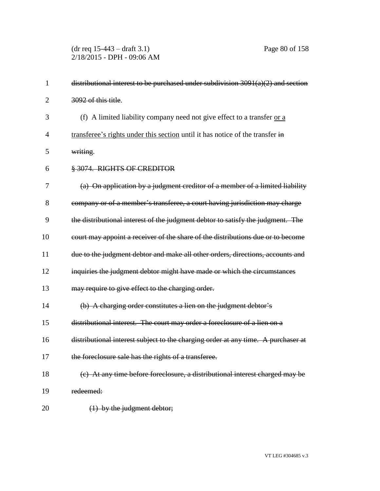(dr req 15-443 – draft 3.1) Page 80 of 158 2/18/2015 - DPH - 09:06 AM

| $\mathbf{1}$   | distributional interest to be purchased under subdivision $3091(a)(2)$ and section |
|----------------|------------------------------------------------------------------------------------|
| $\overline{2}$ | 3092 of this title.                                                                |
| 3              | (f) A limited liability company need not give effect to a transfer or a            |
| $\overline{4}$ | transferee's rights under this section until it has notice of the transfer in      |
| 5              | writing.                                                                           |
| 6              | § 3074. RIGHTS OF CREDITOR                                                         |
| 7              | (a) On application by a judgment creditor of a member of a limited liability       |
| 8              | company or of a member's transferee, a court having jurisdiction may charge        |
| 9              | the distributional interest of the judgment debtor to satisfy the judgment. The    |
| 10             | court may appoint a receiver of the share of the distributions due or to become    |
| 11             | due to the judgment debtor and make all other orders, directions, accounts and     |
| 12             | inquiries the judgment debtor might have made or which the circumstances           |
| 13             | may require to give effect to the charging order.                                  |
| 14             | (b) A charging order constitutes a lien on the judgment debtor's                   |
| 15             | distributional interest. The court may order a foreclosure of a lien on a          |
| 16             | distributional interest subject to the charging order at any time. A purchaser at  |
| 17             | the foreclosure sale has the rights of a transferee.                               |
| 18             | (c) At any time before foreclosure, a distributional interest charged may be       |
| 19             | redeemed:                                                                          |
| 20             | $(1)$ by the judgment debtor;                                                      |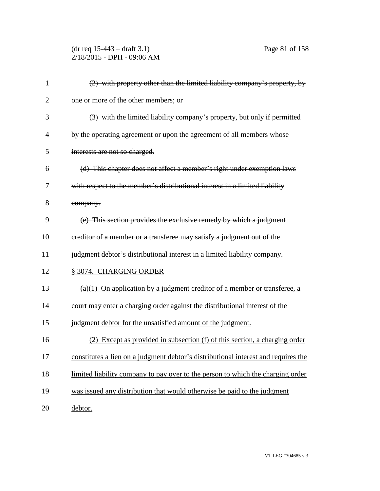(dr req 15-443 – draft 3.1) Page 81 of 158 2/18/2015 - DPH - 09:06 AM

| $\mathbf{1}$   | $(2)$ with property other than the limited liability company's property, by        |
|----------------|------------------------------------------------------------------------------------|
| $\overline{2}$ | one or more of the other members; or                                               |
| 3              | (3) with the limited liability company's property, but only if permitted           |
| 4              | by the operating agreement or upon the agreement of all members whose              |
| 5              | interests are not so charged.                                                      |
| 6              | (d) This chapter does not affect a member's right under exemption laws             |
| 7              | with respect to the member's distributional interest in a limited liability        |
| 8              | company.                                                                           |
| 9              | (e) This section provides the exclusive remedy by which a judgment                 |
| 10             | ereditor of a member or a transferee may satisfy a judgment out of the             |
| 11             | judgment debtor's distributional interest in a limited liability company.          |
| 12             | § 3074. CHARGING ORDER                                                             |
| 13             | $(a)(1)$ On application by a judgment creditor of a member or transferee, a        |
| 14             | court may enter a charging order against the distributional interest of the        |
| 15             | judgment debtor for the unsatisfied amount of the judgment.                        |
| 16             | Except as provided in subsection (f) of this section, a charging order             |
| 17             | constitutes a lien on a judgment debtor's distributional interest and requires the |
| 18             | limited liability company to pay over to the person to which the charging order    |
| 19             | was issued any distribution that would otherwise be paid to the judgment           |
| 20             | debtor.                                                                            |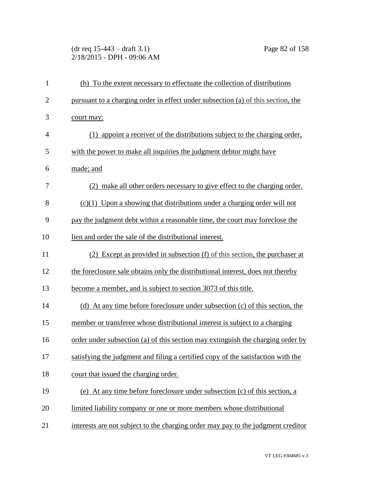(dr req 15-443 – draft 3.1) Page 82 of 158 2/18/2015 - DPH - 09:06 AM

| $\mathbf{1}$   | (b) To the extent necessary to effectuate the collection of distributions        |
|----------------|----------------------------------------------------------------------------------|
| $\overline{2}$ | pursuant to a charging order in effect under subsection (a) of this section, the |
| 3              | court may:                                                                       |
| $\overline{4}$ | (1) appoint a receiver of the distributions subject to the charging order,       |
| 5              | with the power to make all inquiries the judgment debtor might have              |
| 6              | made; and                                                                        |
| 7              | (2) make all other orders necessary to give effect to the charging order.        |
| 8              | $(c)(1)$ Upon a showing that distributions under a charging order will not       |
| 9              | pay the judgment debt within a reasonable time, the court may foreclose the      |
| 10             | lien and order the sale of the distributional interest.                          |
| 11             | (2) Except as provided in subsection (f) of this section, the purchaser at       |
| 12             | the foreclosure sale obtains only the distributional interest, does not thereby  |
| 13             | become a member, and is subject to section 3073 of this title.                   |
| 14             | (d) At any time before foreclosure under subsection (c) of this section, the     |
| 15             | member or transferee whose distributional interest is subject to a charging      |
| 16             | order under subsection (a) of this section may extinguish the charging order by  |
| 17             | satisfying the judgment and filing a certified copy of the satisfaction with the |
| 18             | court that issued the charging order.                                            |
| 19             | (e) At any time before foreclosure under subsection (c) of this section, a       |
| 20             | limited liability company or one or more members whose distributional            |
| 21             | interests are not subject to the charging order may pay to the judgment creditor |
|                |                                                                                  |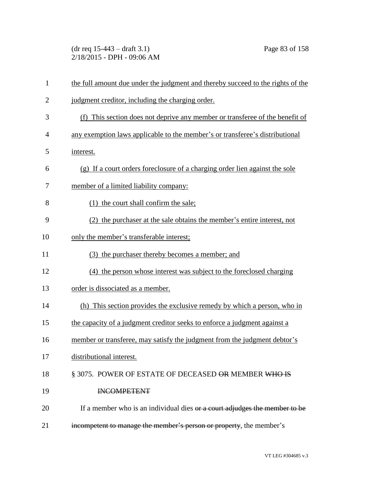(dr req 15-443 – draft 3.1) Page 83 of 158 2/18/2015 - DPH - 09:06 AM

| $\mathbf{1}$   | the full amount due under the judgment and thereby succeed to the rights of the |
|----------------|---------------------------------------------------------------------------------|
| $\overline{c}$ | judgment creditor, including the charging order.                                |
| 3              | (f) This section does not deprive any member or transferee of the benefit of    |
| $\overline{4}$ | any exemption laws applicable to the member's or transferee's distributional    |
| 5              | interest.                                                                       |
| 6              | (g) If a court orders foreclosure of a charging order lien against the sole     |
| 7              | member of a limited liability company:                                          |
| 8              | (1) the court shall confirm the sale;                                           |
| 9              | (2) the purchaser at the sale obtains the member's entire interest, not         |
| 10             | only the member's transferable interest;                                        |
| 11             | (3) the purchaser thereby becomes a member; and                                 |
| 12             | (4) the person whose interest was subject to the foreclosed charging            |
| 13             | order is dissociated as a member.                                               |
| 14             | (h) This section provides the exclusive remedy by which a person, who in        |
| 15             | the capacity of a judgment creditor seeks to enforce a judgment against a       |
| 16             | member or transferee, may satisfy the judgment from the judgment debtor's       |
| 17             | distributional interest.                                                        |
| 18             | § 3075. POWER OF ESTATE OF DECEASED OR MEMBER WHO IS                            |
| 19             | <b>INCOMPETENT</b>                                                              |
| 20             | If a member who is an individual dies or a court adjudges the member to be      |
| 21             | incompetent to manage the member's person or property, the member's             |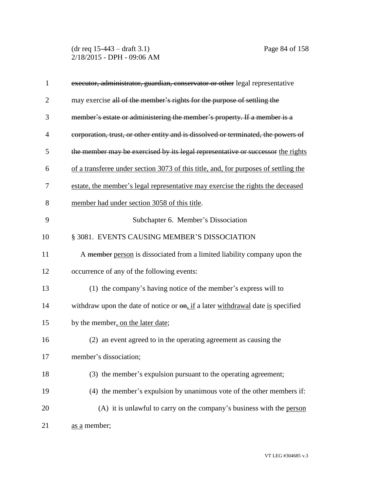(dr req 15-443 – draft 3.1) Page 84 of 158 2/18/2015 - DPH - 09:06 AM

| $\mathbf{1}$   | executor, administrator, guardian, conservator or other legal representative           |
|----------------|----------------------------------------------------------------------------------------|
| $\overline{2}$ | may exercise all of the member's rights for the purpose of settling the                |
| 3              | member's estate or administering the member's property. If a member is a               |
| 4              | corporation, trust, or other entity and is dissolved or terminated, the powers of      |
| 5              | the member may be exercised by its legal representative or successor the rights        |
| 6              | of a transferee under section 3073 of this title, and, for purposes of settling the    |
| 7              | estate, the member's legal representative may exercise the rights the deceased         |
| 8              | member had under section 3058 of this title.                                           |
| 9              | Subchapter 6. Member's Dissociation                                                    |
| 10             | § 3081. EVENTS CAUSING MEMBER'S DISSOCIATION                                           |
| 11             | A member person is dissociated from a limited liability company upon the               |
| 12             | occurrence of any of the following events:                                             |
| 13             | (1) the company's having notice of the member's express will to                        |
| 14             | withdraw upon the date of notice or $\theta$ , if a later withdrawal date is specified |
| 15             | by the member, on the later date;                                                      |
| 16             | (2) an event agreed to in the operating agreement as causing the                       |
| 17             | member's dissociation;                                                                 |
| 18             | (3) the member's expulsion pursuant to the operating agreement;                        |
| 19             | (4) the member's expulsion by unanimous vote of the other members if:                  |
| 20             | (A) it is unlawful to carry on the company's business with the person                  |
| 21             | as a member;                                                                           |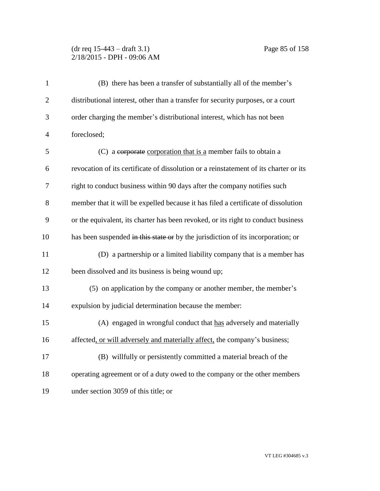# (dr req 15-443 – draft 3.1) Page 85 of 158 2/18/2015 - DPH - 09:06 AM

| $\mathbf{1}$   | (B) there has been a transfer of substantially all of the member's                    |
|----------------|---------------------------------------------------------------------------------------|
| $\overline{2}$ | distributional interest, other than a transfer for security purposes, or a court      |
| 3              | order charging the member's distributional interest, which has not been               |
| $\overline{4}$ | foreclosed;                                                                           |
| 5              | (C) a corporate corporation that is a member fails to obtain a                        |
| 6              | revocation of its certificate of dissolution or a reinstatement of its charter or its |
| 7              | right to conduct business within 90 days after the company notifies such              |
| 8              | member that it will be expelled because it has filed a certificate of dissolution     |
| 9              | or the equivalent, its charter has been revoked, or its right to conduct business     |
| 10             | has been suspended in this state or by the jurisdiction of its incorporation; or      |
| 11             | (D) a partnership or a limited liability company that is a member has                 |
| 12             | been dissolved and its business is being wound up;                                    |
| 13             | (5) on application by the company or another member, the member's                     |
| 14             | expulsion by judicial determination because the member:                               |
| 15             | (A) engaged in wrongful conduct that has adversely and materially                     |
| 16             | affected, or will adversely and materially affect, the company's business;            |
| 17             | (B) willfully or persistently committed a material breach of the                      |
| 18             | operating agreement or of a duty owed to the company or the other members             |
| 19             | under section 3059 of this title; or                                                  |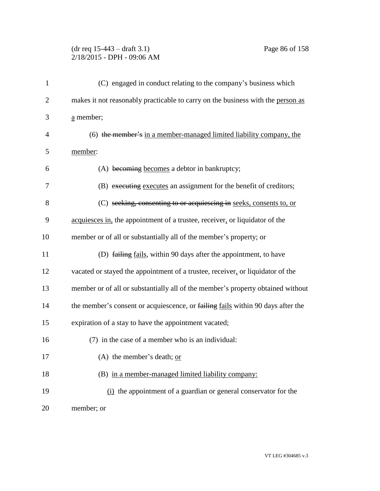# (dr req 15-443 – draft 3.1) Page 86 of 158 2/18/2015 - DPH - 09:06 AM

| $\mathbf{1}$   | (C) engaged in conduct relating to the company's business which                 |
|----------------|---------------------------------------------------------------------------------|
| $\overline{2}$ | makes it not reasonably practicable to carry on the business with the person as |
| 3              | a member;                                                                       |
| 4              | (6) the member's in a member-managed limited liability company, the             |
| 5              | member:                                                                         |
| 6              | (A) becoming becomes a debtor in bankruptcy;                                    |
| 7              | (B) executing executes an assignment for the benefit of creditors;              |
| 8              | (C) seeking, consenting to or acquiescing in seeks, consents to, or             |
| 9              | acquiesces in, the appointment of a trustee, receiver, or liquidator of the     |
| 10             | member or of all or substantially all of the member's property; or              |
| 11             | (D) failing fails, within 90 days after the appointment, to have                |
| 12             | vacated or stayed the appointment of a trustee, receiver, or liquidator of the  |
| 13             | member or of all or substantially all of the member's property obtained without |
| 14             | the member's consent or acquiescence, or failing fails within 90 days after the |
| 15             | expiration of a stay to have the appointment vacated;                           |
| 16             | (7) in the case of a member who is an individual:                               |
| 17             | (A) the member's death; $or$                                                    |
| 18             | (B) in a member-managed limited liability company:                              |
| 19             | $(i)$ the appointment of a guardian or general conservator for the              |
| 20             | member; or                                                                      |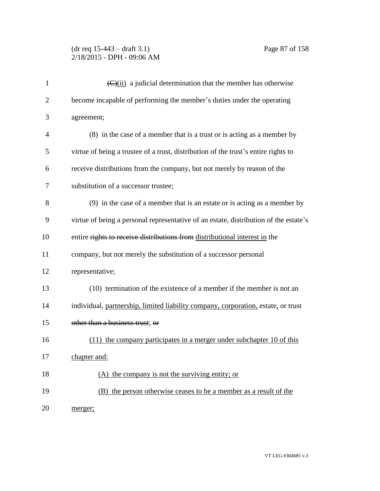# (dr req 15-443 – draft 3.1) Page 87 of 158 2/18/2015 - DPH - 09:06 AM

| $\mathbf{1}$   | $\left(\frac{C}{\text{ii}}\right)$ a judicial determination that the member has otherwise |
|----------------|-------------------------------------------------------------------------------------------|
| $\overline{2}$ | become incapable of performing the member's duties under the operating                    |
| 3              | agreement;                                                                                |
| 4              | (8) in the case of a member that is a trust or is acting as a member by                   |
| 5              | virtue of being a trustee of a trust, distribution of the trust's entire rights to        |
| 6              | receive distributions from the company, but not merely by reason of the                   |
| 7              | substitution of a successor trustee;                                                      |
| 8              | (9) in the case of a member that is an estate or is acting as a member by                 |
| 9              | virtue of being a personal representative of an estate, distribution of the estate's      |
| 10             | entire rights to receive distributions from distributional interest in the                |
| 11             | company, but not merely the substitution of a successor personal                          |
| 12             | representative;                                                                           |
| 13             | (10) termination of the existence of a member if the member is not an                     |
| 14             | individual, partnership, limited liability company, corporation, estate, or trust         |
| 15             | other than a business trust; or                                                           |
| 16             | (11) the company participates in a merger under subchapter 10 of this                     |
| 17             | chapter and:                                                                              |
| 18             | (A) the company is not the surviving entity; or                                           |
| 19             | (B) the person otherwise ceases to be a member as a result of the                         |
| 20             | merger;                                                                                   |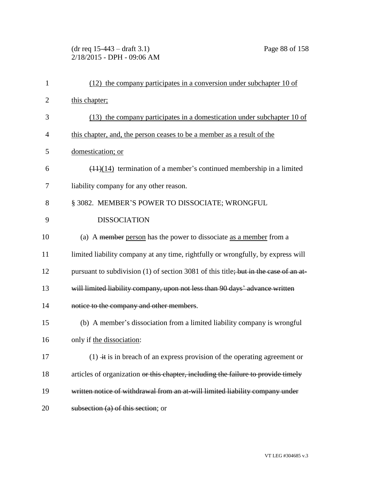(dr req 15-443 – draft 3.1) Page 88 of 158 2/18/2015 - DPH - 09:06 AM

| $\mathbf{1}$   | $(12)$ the company participates in a conversion under subchapter 10 of               |
|----------------|--------------------------------------------------------------------------------------|
| $\overline{2}$ | this chapter;                                                                        |
| 3              | $(13)$ the company participates in a domestication under subchapter 10 of            |
| $\overline{4}$ | this chapter, and, the person ceases to be a member as a result of the               |
| 5              | domestication; or                                                                    |
| 6              | $(11)(14)$ termination of a member's continued membership in a limited               |
| 7              | liability company for any other reason.                                              |
| 8              | § 3082. MEMBER'S POWER TO DISSOCIATE; WRONGFUL                                       |
| 9              | <b>DISSOCIATION</b>                                                                  |
| 10             | (a) A member person has the power to dissociate as a member from a                   |
| 11             | limited liability company at any time, rightfully or wrongfully, by express will     |
| 12             | pursuant to subdivision (1) of section 3081 of this title; but in the case of an at- |
| 13             | will limited liability company, upon not less than 90 days' advance written          |
| 14             | notice to the company and other members.                                             |
| 15             | (b) A member's dissociation from a limited liability company is wrongful             |
| 16             | only if the dissociation:                                                            |
| 17             | $(1)$ + is in breach of an express provision of the operating agreement or           |
| 18             | articles of organization or this chapter, including the failure to provide timely    |
| 19             | written notice of withdrawal from an at-will limited liability company under         |
| 20             | subsection (a) of this section; or                                                   |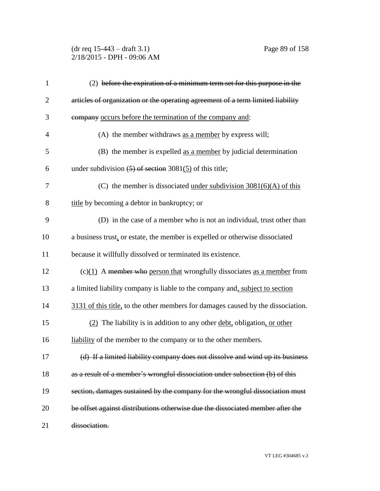(dr req 15-443 – draft 3.1) Page 89 of 158 2/18/2015 - DPH - 09:06 AM

| $\mathbf{1}$   | $(2)$ before the expiration of a minimum term set for this purpose in the              |
|----------------|----------------------------------------------------------------------------------------|
| $\overline{2}$ | articles of organization or the operating agreement of a term limited liability        |
| 3              | company occurs before the termination of the company and:                              |
| $\overline{4}$ | (A) the member withdraws as a member by express will;                                  |
| 5              | (B) the member is expelled as a member by judicial determination                       |
| 6              | under subdivision $(5)$ of section 3081(5) of this title;                              |
| 7              | (C) the member is dissociated <u>under subdivision <math>3081(6)(A)</math> of this</u> |
| 8              | title by becoming a debtor in bankruptcy; or                                           |
| 9              | (D) in the case of a member who is not an individual, trust other than                 |
| 10             | a business trust, or estate, the member is expelled or otherwise dissociated           |
| 11             | because it willfully dissolved or terminated its existence.                            |
| 12             | $(c)(1)$ A member who person that wrongfully dissociates as a member from              |
| 13             | a limited liability company is liable to the company and, subject to section           |
| 14             | 3131 of this title, to the other members for damages caused by the dissociation.       |
| 15             | (2) The liability is in addition to any other debt, obligation, or other               |
| 16             | liability of the member to the company or to the other members.                        |
| 17             | (d) If a limited liability company does not dissolve and wind up its business          |
| 18             | as a result of a member's wrongful dissociation under subsection (b) of this           |
| 19             | section, damages sustained by the company for the wrongful dissociation must           |
| 20             | be offset against distributions otherwise due the dissociated member after the         |
| 21             | dissociation.                                                                          |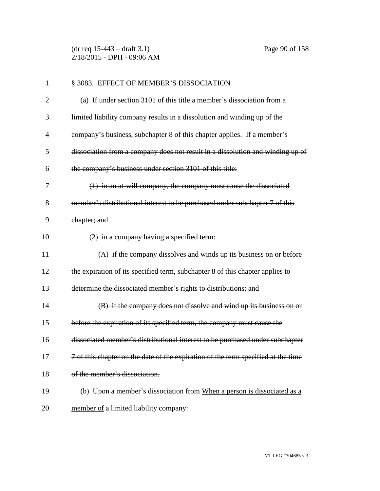(dr req 15-443 – draft 3.1) Page 90 of 158 2/18/2015 - DPH - 09:06 AM

| $\mathbf{1}$   | § 3083. EFFECT OF MEMBER'S DISSOCIATION                                           |
|----------------|-----------------------------------------------------------------------------------|
| $\overline{2}$ | (a) If under section 3101 of this title a member's dissociation from a            |
| 3              | limited liability company results in a dissolution and winding up of the          |
| 4              | company's business, subchapter 8 of this chapter applies. If a member's           |
| 5              | dissociation from a company does not result in a dissolution and winding up of    |
| 6              | the company's business under section 3101 of this title:                          |
| 7              | (1) in an at-will company, the company must cause the dissociated                 |
| 8              | member's distributional interest to be purchased under subchapter 7 of this       |
| 9              | chapter; and                                                                      |
| 10             | $(2)$ in a company having a specified term:                                       |
| 11             | $(A)$ if the company dissolves and winds up its business on or before             |
| 12             | the expiration of its specified term, subchapter 8 of this chapter applies to     |
| 13             | determine the dissociated member's rights to distributions; and                   |
| 14             | (B) if the company does not dissolve and wind up its business on or               |
| 15             | before the expiration of its specified term, the company must cause the           |
| 16             | dissociated member's distributional interest to be purchased under subchapter     |
| 17             | 7 of this chapter on the date of the expiration of the term specified at the time |
| 18             | of the member's dissociation.                                                     |
| 19             | (b) Upon a member's dissociation from When a person is dissociated as a           |
| 20             | member of a limited liability company:                                            |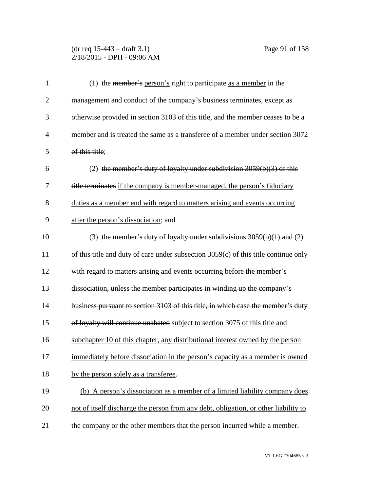# (dr req 15-443 – draft 3.1) Page 91 of 158 2/18/2015 - DPH - 09:06 AM

| $\mathbf{1}$   | (1) the member's person's right to participate as a member in the                     |
|----------------|---------------------------------------------------------------------------------------|
| $\overline{2}$ | management and conduct of the company's business terminates, except as                |
| 3              | otherwise provided in section 3103 of this title, and the member ceases to be a       |
| $\overline{4}$ | member and is treated the same as a transferee of a member under section 3072         |
| 5              | of this title;                                                                        |
| 6              | (2) the member's duty of loyalty under subdivision $3059(b)(3)$ of this               |
| 7              | title terminates if the company is member-managed, the person's fiduciary             |
| 8              | duties as a member end with regard to matters arising and events occurring            |
| 9              | after the person's dissociation; and                                                  |
| 10             | (3) the member's duty of loyalty under subdivisions $3059(b)(1)$ and $(2)$            |
| 11             | of this title and duty of care under subsection $3059(c)$ of this title continue only |
| 12             | with regard to matters arising and events occurring before the member's               |
| 13             | dissociation, unless the member participates in winding up the company's              |
| 14             | business pursuant to section 3103 of this title, in which case the member's duty      |
| 15             | of loyalty will continue unabated subject to section 3075 of this title and           |
| 16             | subchapter 10 of this chapter, any distributional interest owned by the person        |
| 17             | immediately before dissociation in the person's capacity as a member is owned         |
| 18             | by the person solely as a transferee.                                                 |
| 19             | (b) A person's dissociation as a member of a limited liability company does           |
| 20             | not of itself discharge the person from any debt, obligation, or other liability to   |
| 21             | the company or the other members that the person incurred while a member.             |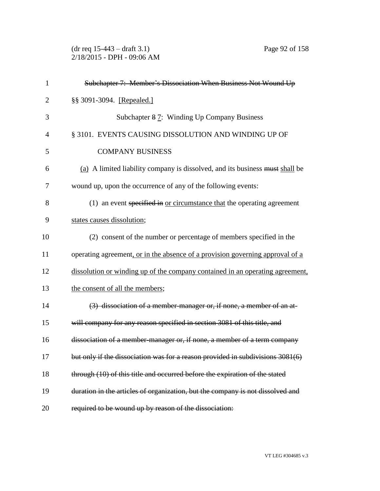(dr req 15-443 – draft 3.1) Page 92 of 158 2/18/2015 - DPH - 09:06 AM

| 1              | Subchapter 7: Member's Dissociation When Business Not Wound Up                 |
|----------------|--------------------------------------------------------------------------------|
| $\overline{2}$ | §§ 3091-3094. [Repealed.]                                                      |
| 3              | Subchapter 87: Winding Up Company Business                                     |
| $\overline{4}$ | § 3101. EVENTS CAUSING DISSOLUTION AND WINDING UP OF                           |
| 5              | <b>COMPANY BUSINESS</b>                                                        |
| 6              | (a) A limited liability company is dissolved, and its business must shall be   |
| 7              | wound up, upon the occurrence of any of the following events:                  |
| 8              | (1) an event specified in or circumstance that the operating agreement         |
| 9              | states causes dissolution;                                                     |
| 10             | (2) consent of the number or percentage of members specified in the            |
| 11             | operating agreement, or in the absence of a provision governing approval of a  |
| 12             | dissolution or winding up of the company contained in an operating agreement,  |
| 13             | the consent of all the members;                                                |
| 14             | (3) dissociation of a member-manager or, if none, a member of an at-           |
| 15             | will company for any reason specified in section 3081 of this title, and       |
| 16             | dissociation of a member-manager or, if none, a member of a term company       |
| 17             | but only if the dissociation was for a reason provided in subdivisions 3081(6) |
| 18             | through (10) of this title and occurred before the expiration of the stated    |
| 19             | duration in the articles of organization, but the company is not dissolved and |
| 20             | required to be wound up by reason of the dissociation:                         |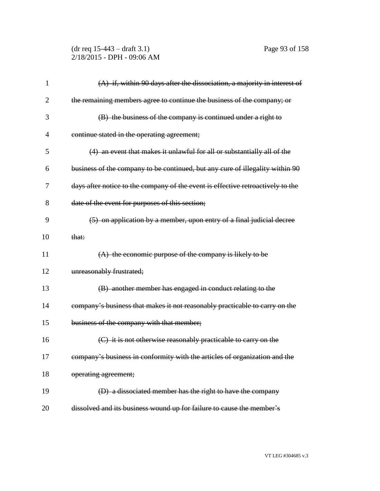(dr req 15-443 – draft 3.1) Page 93 of 158 2/18/2015 - DPH - 09:06 AM

| $\mathbf{1}$   | (A) if, within 90 days after the dissociation, a majority in interest of        |
|----------------|---------------------------------------------------------------------------------|
| 2              | the remaining members agree to continue the business of the company; or         |
| 3              | (B) the business of the company is continued under a right to                   |
| $\overline{4}$ | continue stated in the operating agreement;                                     |
| 5              | (4) an event that makes it unlawful for all or substantially all of the         |
| 6              | business of the company to be continued, but any cure of illegality within 90   |
| 7              | days after notice to the company of the event is effective retroactively to the |
| 8              | date of the event for purposes of this section;                                 |
| 9              | (5) on application by a member, upon entry of a final judicial decree           |
| 10             | that:                                                                           |
| 11             | $(A)$ the economic purpose of the company is likely to be                       |
| 12             | unreasonably frustrated;                                                        |
| 13             | (B) another member has engaged in conduct relating to the                       |
| 14             | company's business that makes it not reasonably practicable to carry on the     |
| 15             | business of the company with that member;                                       |
| 16             | (C) it is not otherwise reasonably practicable to carry on the                  |
| 17             | company's business in conformity with the articles of organization and the      |
| 18             | operating agreement;                                                            |
| 19             | (D) a dissociated member has the right to have the company                      |
| 20             | dissolved and its business wound up for failure to cause the member's           |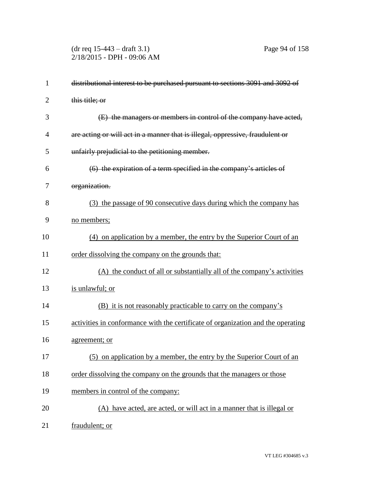(dr req 15-443 – draft 3.1) Page 94 of 158 2/18/2015 - DPH - 09:06 AM

| $\mathbf{1}$ | distributional interest to be purchased pursuant to sections 3091 and 3092 of    |
|--------------|----------------------------------------------------------------------------------|
| 2            | this title; or                                                                   |
| 3            | (E) the managers or members in control of the company have acted,                |
| 4            | are acting or will act in a manner that is illegal, oppressive, fraudulent or    |
| 5            | unfairly prejudicial to the petitioning member.                                  |
| 6            | $(6)$ the expiration of a term specified in the company's articles of            |
| 7            | organization.                                                                    |
| 8            | (3) the passage of 90 consecutive days during which the company has              |
| 9            | no members;                                                                      |
| 10           | (4) on application by a member, the entry by the Superior Court of an            |
| 11           | order dissolving the company on the grounds that:                                |
| 12           | (A) the conduct of all or substantially all of the company's activities          |
| 13           | is unlawful; or                                                                  |
| 14           | <u>(B) it is not reasonably practicable to carry on the company's</u>            |
| 15           | activities in conformance with the certificate of organization and the operating |
| 16           | agreement; or                                                                    |
| 17           | (5) on application by a member, the entry by the Superior Court of an            |
| 18           | order dissolving the company on the grounds that the managers or those           |
| 19           | members in control of the company:                                               |
| 20           | (A) have acted, are acted, or will act in a manner that is illegal or            |
| 21           | fraudulent; or                                                                   |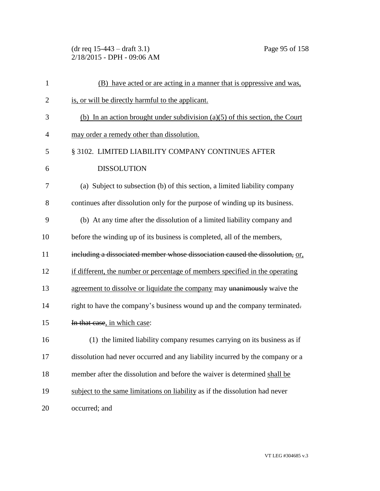(dr req 15-443 – draft 3.1) Page 95 of 158 2/18/2015 - DPH - 09:06 AM

| $\mathbf{1}$   | (B) have acted or are acting in a manner that is oppressive and was.           |
|----------------|--------------------------------------------------------------------------------|
| $\overline{2}$ | is, or will be directly harmful to the applicant.                              |
| 3              | (b) In an action brought under subdivision $(a)(5)$ of this section, the Court |
| 4              | may order a remedy other than dissolution.                                     |
| 5              | § 3102. LIMITED LIABILITY COMPANY CONTINUES AFTER                              |
| 6              | <b>DISSOLUTION</b>                                                             |
| 7              | (a) Subject to subsection (b) of this section, a limited liability company     |
| 8              | continues after dissolution only for the purpose of winding up its business.   |
| 9              | (b) At any time after the dissolution of a limited liability company and       |
| 10             | before the winding up of its business is completed, all of the members,        |
| 11             | including a dissociated member whose dissociation caused the dissolution, or,  |
| 12             | if different, the number or percentage of members specified in the operating   |
| 13             | agreement to dissolve or liquidate the company may unanimously waive the       |
| 14             | right to have the company's business wound up and the company terminated.      |
| 15             | In that case, in which case:                                                   |
| 16             | (1) the limited liability company resumes carrying on its business as if       |
| 17             | dissolution had never occurred and any liability incurred by the company or a  |
| 18             | member after the dissolution and before the waiver is determined shall be      |
| 19             | subject to the same limitations on liability as if the dissolution had never   |
| 20             | occurred; and                                                                  |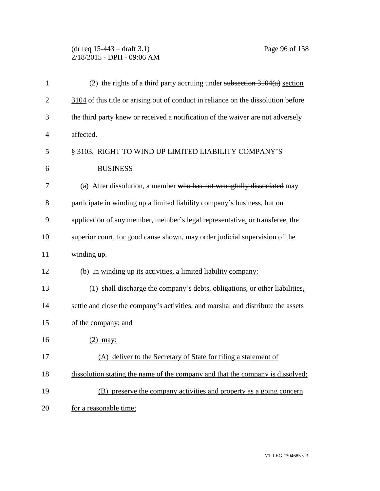# (dr req 15-443 – draft 3.1) Page 96 of 158 2/18/2015 - DPH - 09:06 AM

| $\mathbf{1}$   | (2) the rights of a third party accruing under subsection 3104(a) section          |
|----------------|------------------------------------------------------------------------------------|
| $\overline{2}$ | 3104 of this title or arising out of conduct in reliance on the dissolution before |
| 3              | the third party knew or received a notification of the waiver are not adversely    |
| $\overline{4}$ | affected.                                                                          |
| 5              | § 3103. RIGHT TO WIND UP LIMITED LIABILITY COMPANY'S                               |
| 6              | <b>BUSINESS</b>                                                                    |
| 7              | (a) After dissolution, a member who has not wrongfully dissociated may             |
| 8              | participate in winding up a limited liability company's business, but on           |
| 9              | application of any member, member's legal representative, or transferee, the       |
| 10             | superior court, for good cause shown, may order judicial supervision of the        |
| 11             | winding up.                                                                        |
| 12             | (b) In winding up its activities, a limited liability company:                     |
| 13             | (1) shall discharge the company's debts, obligations, or other liabilities,        |
| 14             | settle and close the company's activities, and marshal and distribute the assets   |
| 15             | of the company; and                                                                |
| 16             | $(2)$ may:                                                                         |
| 17             | (A) deliver to the Secretary of State for filing a statement of                    |
| 18             | dissolution stating the name of the company and that the company is dissolved;     |
| 19             | (B) preserve the company activities and property as a going concern                |
| 20             | for a reasonable time;                                                             |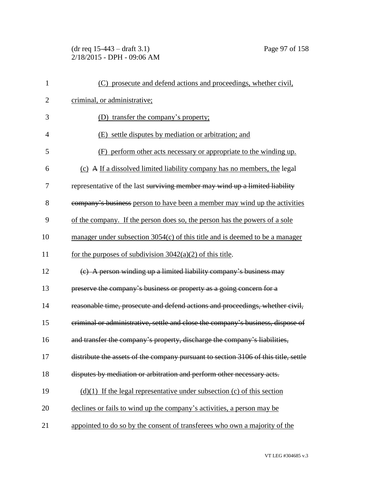(dr req 15-443 – draft 3.1) Page 97 of 158 2/18/2015 - DPH - 09:06 AM

| $\mathbf{1}$   | (C) prosecute and defend actions and proceedings, whether civil,                    |
|----------------|-------------------------------------------------------------------------------------|
| $\overline{2}$ | criminal, or administrative;                                                        |
| 3              | (D) transfer the company's property;                                                |
| $\overline{4}$ | (E) settle disputes by mediation or arbitration; and                                |
| 5              | (F) perform other acts necessary or appropriate to the winding up.                  |
| 6              | (c) A If a dissolved limited liability company has no members, the legal            |
| 7              | representative of the last surviving member may wind up a limited liability         |
| 8              | company's business person to have been a member may wind up the activities          |
| 9              | of the company. If the person does so, the person has the powers of a sole          |
| 10             | manager under subsection $3054(c)$ of this title and is deemed to be a manager      |
| 11             | for the purposes of subdivision $3042(a)(2)$ of this title.                         |
| 12             | (e) A person winding up a limited liability company's business may                  |
| 13             | preserve the company's business or property as a going concern for a                |
| 14             | reasonable time, prosecute and defend actions and proceedings, whether civil,       |
| 15             | criminal or administrative, settle and close the company's business, dispose of     |
| 16             | and transfer the company's property, discharge the company's liabilities,           |
| 17             | distribute the assets of the company pursuant to section 3106 of this title, settle |
| 18             | disputes by mediation or arbitration and perform other necessary acts.              |
| 19             | $(d)(1)$ If the legal representative under subsection (c) of this section           |
| 20             | declines or fails to wind up the company's activities, a person may be              |
| 21             | appointed to do so by the consent of transferees who own a majority of the          |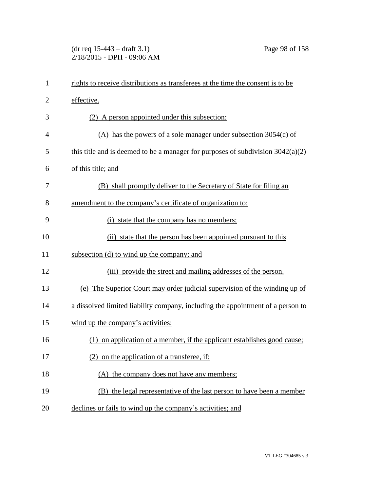(dr req 15-443 – draft 3.1) Page 98 of 158 2/18/2015 - DPH - 09:06 AM

| $\mathbf{1}$ | rights to receive distributions as transferees at the time the consent is to be   |
|--------------|-----------------------------------------------------------------------------------|
| 2            | effective.                                                                        |
| 3            | (2) A person appointed under this subsection:                                     |
| 4            | $(A)$ has the powers of a sole manager under subsection 3054(c) of                |
| 5            | this title and is deemed to be a manager for purposes of subdivision $3042(a)(2)$ |
| 6            | of this title; and                                                                |
| 7            | (B) shall promptly deliver to the Secretary of State for filing an                |
| 8            | amendment to the company's certificate of organization to:                        |
| 9            | (i) state that the company has no members;                                        |
| 10           | (ii) state that the person has been appointed pursuant to this                    |
| 11           | subsection (d) to wind up the company; and                                        |
| 12           | (iii) provide the street and mailing addresses of the person.                     |
| 13           | (e) The Superior Court may order judicial supervision of the winding up of        |
| 14           | a dissolved limited liability company, including the appointment of a person to   |
| 15           | wind up the company's activities:                                                 |
| 16           | (1) on application of a member, if the applicant establishes good cause;          |
| 17           | (2) on the application of a transferee, if:                                       |
| 18           | (A) the company does not have any members;                                        |
| 19           | (B) the legal representative of the last person to have been a member             |
| 20           | declines or fails to wind up the company's activities; and                        |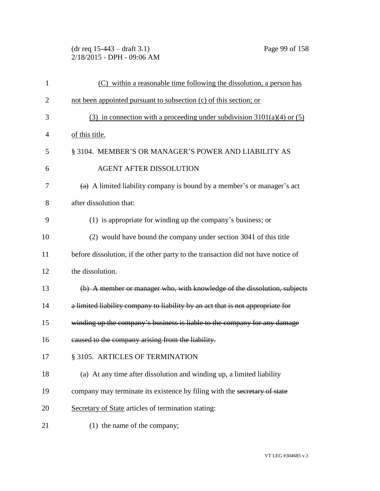(dr req 15-443 – draft 3.1) Page 99 of 158 2/18/2015 - DPH - 09:06 AM

| 1              | (C) within a reasonable time following the dissolution, a person has             |
|----------------|----------------------------------------------------------------------------------|
| $\overline{2}$ | not been appointed pursuant to subsection (c) of this section; or                |
| 3              | (3) in connection with a proceeding under subdivision $3101(a)(4)$ or (5)        |
| $\overline{4}$ | of this title.                                                                   |
| 5              | § 3104. MEMBER'S OR MANAGER'S POWER AND LIABILITY AS                             |
| 6              | <b>AGENT AFTER DISSOLUTION</b>                                                   |
| 7              | $(a)$ A limited liability company is bound by a member's or manager's act        |
| 8              | after dissolution that:                                                          |
| 9              | (1) is appropriate for winding up the company's business; or                     |
| 10             | (2) would have bound the company under section 3041 of this title                |
| 11             | before dissolution, if the other party to the transaction did not have notice of |
| 12             | the dissolution.                                                                 |
| 13             | (b) A member or manager who, with knowledge of the dissolution, subjects         |
| 14             | a limited liability company to liability by an act that is not appropriate for   |
| 15             | winding up the company's business is liable to the company for any damage        |
| 16             | caused to the company arising from the liability.                                |
| 17             | § 3105. ARTICLES OF TERMINATION                                                  |
| 18             | (a) At any time after dissolution and winding up, a limited liability            |
| 19             | company may terminate its existence by filing with the secretary of state        |
| 20             | Secretary of State articles of termination stating:                              |
| 21             | (1) the name of the company;                                                     |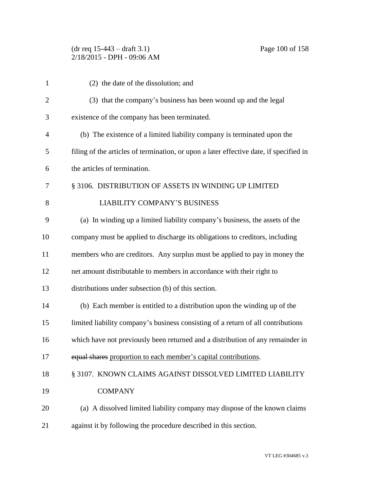# (dr req 15-443 – draft 3.1) Page 100 of 158 2/18/2015 - DPH - 09:06 AM

| $\mathbf{1}$   | (2) the date of the dissolution; and                                                   |
|----------------|----------------------------------------------------------------------------------------|
| $\overline{2}$ | (3) that the company's business has been wound up and the legal                        |
| 3              | existence of the company has been terminated.                                          |
| 4              | (b) The existence of a limited liability company is terminated upon the                |
| 5              | filing of the articles of termination, or upon a later effective date, if specified in |
| 6              | the articles of termination.                                                           |
| 7              | § 3106. DISTRIBUTION OF ASSETS IN WINDING UP LIMITED                                   |
| 8              | <b>LIABILITY COMPANY'S BUSINESS</b>                                                    |
| 9              | (a) In winding up a limited liability company's business, the assets of the            |
| 10             | company must be applied to discharge its obligations to creditors, including           |
| 11             | members who are creditors. Any surplus must be applied to pay in money the             |
| 12             | net amount distributable to members in accordance with their right to                  |
| 13             | distributions under subsection (b) of this section.                                    |
| 14             | (b) Each member is entitled to a distribution upon the winding up of the               |
| 15             | limited liability company's business consisting of a return of all contributions       |
| 16             | which have not previously been returned and a distribution of any remainder in         |
| 17             | equal shares proportion to each member's capital contributions.                        |
| 18             | § 3107. KNOWN CLAIMS AGAINST DISSOLVED LIMITED LIABILITY                               |
| 19             | <b>COMPANY</b>                                                                         |
| 20             | (a) A dissolved limited liability company may dispose of the known claims              |
|                |                                                                                        |

against it by following the procedure described in this section.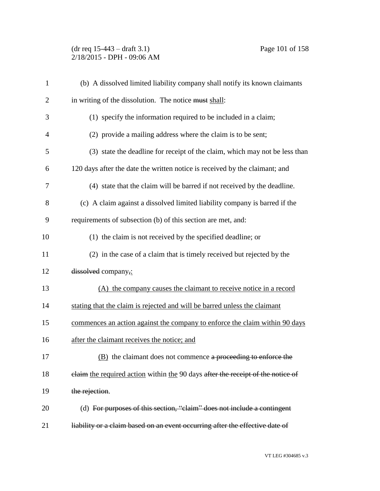# (dr req 15-443 – draft 3.1) Page 101 of 158 2/18/2015 - DPH - 09:06 AM

| $\mathbf{1}$   | (b) A dissolved limited liability company shall notify its known claimants      |
|----------------|---------------------------------------------------------------------------------|
| $\overline{2}$ | in writing of the dissolution. The notice must shall:                           |
| 3              | (1) specify the information required to be included in a claim;                 |
| $\overline{4}$ | (2) provide a mailing address where the claim is to be sent;                    |
| 5              | (3) state the deadline for receipt of the claim, which may not be less than     |
| 6              | 120 days after the date the written notice is received by the claimant; and     |
| 7              | (4) state that the claim will be barred if not received by the deadline.        |
| 8              | (c) A claim against a dissolved limited liability company is barred if the      |
| 9              | requirements of subsection (b) of this section are met, and:                    |
| 10             | (1) the claim is not received by the specified deadline; or                     |
| 11             | (2) in the case of a claim that is timely received but rejected by the          |
| 12             | dissolved company,:                                                             |
| 13             | (A) the company causes the claimant to receive notice in a record               |
| 14             | stating that the claim is rejected and will be barred unless the claimant       |
| 15             | commences an action against the company to enforce the claim within 90 days     |
| 16             | after the claimant receives the notice; and                                     |
| 17             | $(B)$ the claimant does not commence a proceeding to enforce the                |
| 18             | elaim the required action within the 90 days after the receipt of the notice of |
| 19             | the rejection.                                                                  |
| 20             | (d) For purposes of this section, "claim" does not include a contingent         |
| 21             | liability or a claim based on an event occurring after the effective date of    |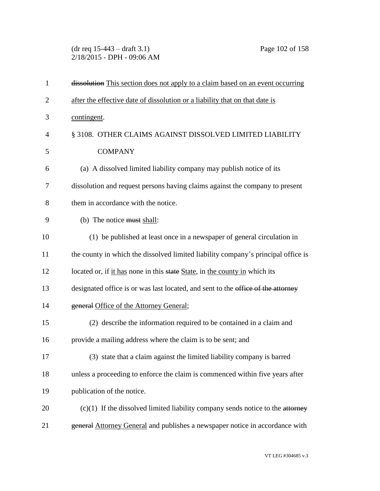(dr req 15-443 – draft 3.1) Page 102 of 158 2/18/2015 - DPH - 09:06 AM

| $\mathbf{1}$   | dissolution This section does not apply to a claim based on an event occurring    |
|----------------|-----------------------------------------------------------------------------------|
| $\overline{2}$ | after the effective date of dissolution or a liability that on that date is       |
| 3              | contingent.                                                                       |
| $\overline{4}$ | § 3108. OTHER CLAIMS AGAINST DISSOLVED LIMITED LIABILITY                          |
| 5              | <b>COMPANY</b>                                                                    |
| 6              | (a) A dissolved limited liability company may publish notice of its               |
| 7              | dissolution and request persons having claims against the company to present      |
| 8              | them in accordance with the notice.                                               |
| 9              | (b) The notice must shall:                                                        |
| 10             | (1) be published at least once in a newspaper of general circulation in           |
| 11             | the county in which the dissolved limited liability company's principal office is |
| 12             | located or, if it has none in this state State, in the county in which its        |
| 13             | designated office is or was last located, and sent to the office of the attorney  |
| 14             | general Office of the Attorney General;                                           |
| 15             | (2) describe the information required to be contained in a claim and              |
| 16             | provide a mailing address where the claim is to be sent; and                      |
| 17             | (3) state that a claim against the limited liability company is barred            |
| 18             | unless a proceeding to enforce the claim is commenced within five years after     |
| 19             | publication of the notice.                                                        |
| 20             | $(c)(1)$ If the dissolved limited liability company sends notice to the attorney  |
| 21             | general Attorney General and publishes a newspaper notice in accordance with      |
|                |                                                                                   |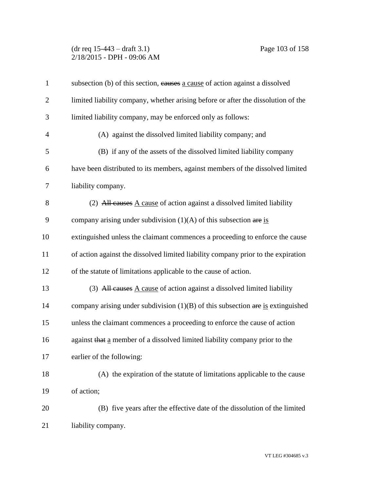# (dr req 15-443 – draft 3.1) Page 103 of 158 2/18/2015 - DPH - 09:06 AM

| $\mathbf{1}$   | subsection (b) of this section, causes a cause of action against a dissolved      |
|----------------|-----------------------------------------------------------------------------------|
| $\mathbf{2}$   | limited liability company, whether arising before or after the dissolution of the |
| 3              | limited liability company, may be enforced only as follows:                       |
| $\overline{4}$ | (A) against the dissolved limited liability company; and                          |
| 5              | (B) if any of the assets of the dissolved limited liability company               |
| 6              | have been distributed to its members, against members of the dissolved limited    |
| $\tau$         | liability company.                                                                |
| $8\,$          | (2) All causes A cause of action against a dissolved limited liability            |
| 9              | company arising under subdivision $(1)(A)$ of this subsection are is              |
| 10             | extinguished unless the claimant commences a proceeding to enforce the cause      |
| 11             | of action against the dissolved limited liability company prior to the expiration |
| 12             | of the statute of limitations applicable to the cause of action.                  |
| 13             | (3) All causes A cause of action against a dissolved limited liability            |
| 14             | company arising under subdivision $(1)(B)$ of this subsection are is extinguished |
| 15             | unless the claimant commences a proceeding to enforce the cause of action         |
| 16             | against that a member of a dissolved limited liability company prior to the       |
| 17             | earlier of the following:                                                         |
| 18             | (A) the expiration of the statute of limitations applicable to the cause          |
| 19             | of action;                                                                        |
| 20             | (B) five years after the effective date of the dissolution of the limited         |
| 21             | liability company.                                                                |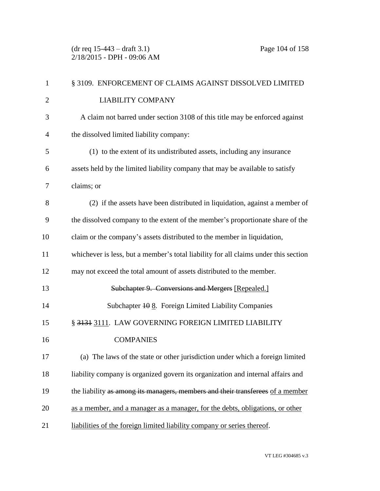(dr req 15-443 – draft 3.1) Page 104 of 158 2/18/2015 - DPH - 09:06 AM

| $\mathbf{1}$   | § 3109. ENFORCEMENT OF CLAIMS AGAINST DISSOLVED LIMITED                             |
|----------------|-------------------------------------------------------------------------------------|
| $\overline{2}$ | <b>LIABILITY COMPANY</b>                                                            |
| 3              | A claim not barred under section 3108 of this title may be enforced against         |
| $\overline{4}$ | the dissolved limited liability company:                                            |
| 5              | (1) to the extent of its undistributed assets, including any insurance              |
| 6              | assets held by the limited liability company that may be available to satisfy       |
| 7              | claims; or                                                                          |
| 8              | (2) if the assets have been distributed in liquidation, against a member of         |
| 9              | the dissolved company to the extent of the member's proportionate share of the      |
| 10             | claim or the company's assets distributed to the member in liquidation,             |
| 11             | whichever is less, but a member's total liability for all claims under this section |
| 12             | may not exceed the total amount of assets distributed to the member.                |
| 13             | Subchapter 9. Conversions and Mergers [Repealed.]                                   |
| 14             | Subchapter $\frac{100}{8}$ . Foreign Limited Liability Companies                    |
| 15             | § 3131 3111. LAW GOVERNING FOREIGN LIMITED LIABILITY                                |
| 16             | <b>COMPANIES</b>                                                                    |
| 17             | (a) The laws of the state or other jurisdiction under which a foreign limited       |
| 18             | liability company is organized govern its organization and internal affairs and     |
| 19             | the liability as among its managers, members and their transferees of a member      |
| 20             | as a member, and a manager as a manager, for the debts, obligations, or other       |
| 21             | liabilities of the foreign limited liability company or series thereof.             |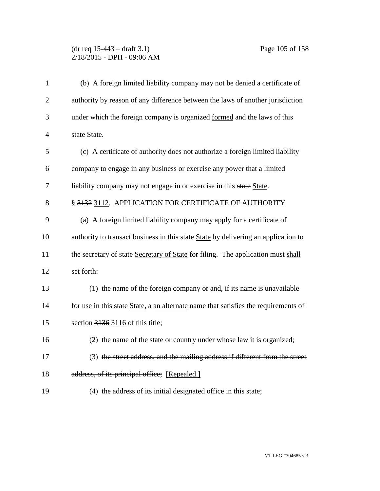#### (dr req 15-443 – draft 3.1) Page 105 of 158 2/18/2015 - DPH - 09:06 AM

| $\mathbf{1}$   | (b) A foreign limited liability company may not be denied a certificate of          |
|----------------|-------------------------------------------------------------------------------------|
| $\overline{2}$ | authority by reason of any difference between the laws of another jurisdiction      |
| 3              | under which the foreign company is organized formed and the laws of this            |
| $\overline{4}$ | state State.                                                                        |
| 5              | (c) A certificate of authority does not authorize a foreign limited liability       |
| 6              | company to engage in any business or exercise any power that a limited              |
| 7              | liability company may not engage in or exercise in this state State.                |
| 8              | § 3132 3112. APPLICATION FOR CERTIFICATE OF AUTHORITY                               |
| 9              | (a) A foreign limited liability company may apply for a certificate of              |
| 10             | authority to transact business in this state State by delivering an application to  |
| 11             | the secretary of state Secretary of State for filing. The application must shall    |
| 12             | set forth:                                                                          |
| 13             | (1) the name of the foreign company $\Theta$ and, if its name is unavailable        |
| 14             | for use in this state State, a an alternate name that satisfies the requirements of |
| 15             | section 3136 3116 of this title;                                                    |
| 16             | (2) the name of the state or country under whose law it is organized;               |
| 17             | (3) the street address, and the mailing address if different from the street        |
| 18             | address, of its principal office; [Repealed.]                                       |
| 19             | $(4)$ the address of its initial designated office in this state;                   |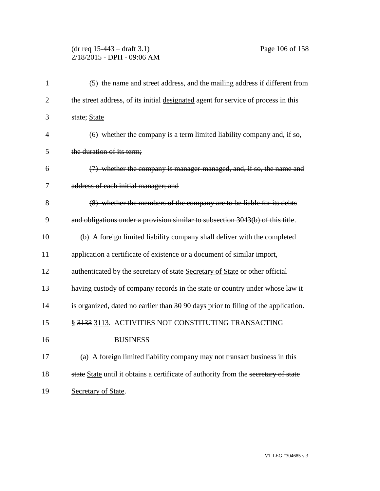# (dr req 15-443 – draft 3.1) Page 106 of 158 2/18/2015 - DPH - 09:06 AM

| 1              | (5) the name and street address, and the mailing address if different from                     |
|----------------|------------------------------------------------------------------------------------------------|
| $\overline{2}$ | the street address, of its initial designated agent for service of process in this             |
| 3              | state; State                                                                                   |
| 4              | $(6)$ whether the company is a term limited liability company and, if so,                      |
| 5              | the duration of its term;                                                                      |
| 6              | (7) whether the company is manager managed, and, if so, the name and                           |
| 7              | address of each initial manager; and                                                           |
| 8              | (8) whether the members of the company are to be liable for its debts                          |
| 9              | and obligations under a provision similar to subsection 3043(b) of this title.                 |
| 10             | (b) A foreign limited liability company shall deliver with the completed                       |
| 11             | application a certificate of existence or a document of similar import,                        |
| 12             | authenticated by the secretary of state Secretary of State or other official                   |
| 13             | having custody of company records in the state or country under whose law it                   |
| 14             | is organized, dated no earlier than $30\overline{90}$ days prior to filing of the application. |
| 15             | § 3133 3113. ACTIVITIES NOT CONSTITUTING TRANSACTING                                           |
| 16             | <b>BUSINESS</b>                                                                                |
| 17             | (a) A foreign limited liability company may not transact business in this                      |
| 18             | state State until it obtains a certificate of authority from the secretary of state            |
| 19             | Secretary of State.                                                                            |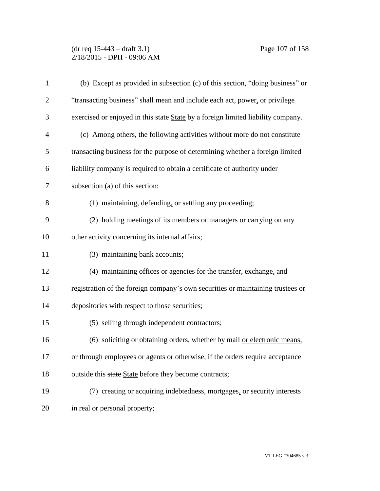# (dr req 15-443 – draft 3.1) Page 107 of 158 2/18/2015 - DPH - 09:06 AM

| $\mathbf{1}$   | (b) Except as provided in subsection (c) of this section, "doing business" or    |
|----------------|----------------------------------------------------------------------------------|
| $\overline{2}$ | "transacting business" shall mean and include each act, power, or privilege      |
| 3              | exercised or enjoyed in this state State by a foreign limited liability company. |
| $\overline{4}$ | (c) Among others, the following activities without more do not constitute        |
| 5              | transacting business for the purpose of determining whether a foreign limited    |
| 6              | liability company is required to obtain a certificate of authority under         |
| 7              | subsection (a) of this section:                                                  |
| 8              | (1) maintaining, defending, or settling any proceeding;                          |
| 9              | (2) holding meetings of its members or managers or carrying on any               |
| 10             | other activity concerning its internal affairs;                                  |
| 11             | (3) maintaining bank accounts;                                                   |
| 12             | (4) maintaining offices or agencies for the transfer, exchange, and              |
| 13             | registration of the foreign company's own securities or maintaining trustees or  |
| 14             | depositories with respect to those securities;                                   |
| 15             | (5) selling through independent contractors;                                     |
| 16             | (6) soliciting or obtaining orders, whether by mail or electronic means,         |
| 17             | or through employees or agents or otherwise, if the orders require acceptance    |
| 18             | outside this state State before they become contracts;                           |
| 19             | (7) creating or acquiring indebtedness, mortgages, or security interests         |
| 20             | in real or personal property;                                                    |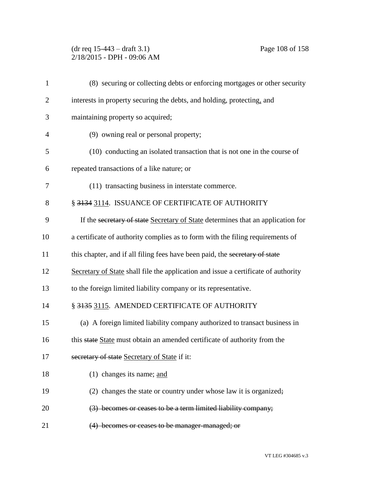# (dr req 15-443 – draft 3.1) Page 108 of 158 2/18/2015 - DPH - 09:06 AM

| $\mathbf{1}$   | (8) securing or collecting debts or enforcing mortgages or other security          |
|----------------|------------------------------------------------------------------------------------|
| $\overline{2}$ | interests in property securing the debts, and holding, protecting, and             |
| 3              | maintaining property so acquired;                                                  |
| $\overline{4}$ | (9) owning real or personal property;                                              |
| 5              | (10) conducting an isolated transaction that is not one in the course of           |
| 6              | repeated transactions of a like nature; or                                         |
| 7              | (11) transacting business in interstate commerce.                                  |
| 8              | § 3134 3114. ISSUANCE OF CERTIFICATE OF AUTHORITY                                  |
| 9              | If the secretary of state Secretary of State determines that an application for    |
| 10             | a certificate of authority complies as to form with the filing requirements of     |
| 11             | this chapter, and if all filing fees have been paid, the secretary of state        |
| 12             | Secretary of State shall file the application and issue a certificate of authority |
| 13             | to the foreign limited liability company or its representative.                    |
| 14             | § 3135 3115. AMENDED CERTIFICATE OF AUTHORITY                                      |
| 15             | (a) A foreign limited liability company authorized to transact business in         |
| 16             | this state State must obtain an amended certificate of authority from the          |
| 17             | secretary of state Secretary of State if it:                                       |
| 18             | (1) changes its name; and                                                          |
| 19             | (2) changes the state or country under whose law it is organized;                  |
| 20             | (3) becomes or ceases to be a term limited liability company;                      |
| 21             | (4) becomes or ceases to be manager managed; or                                    |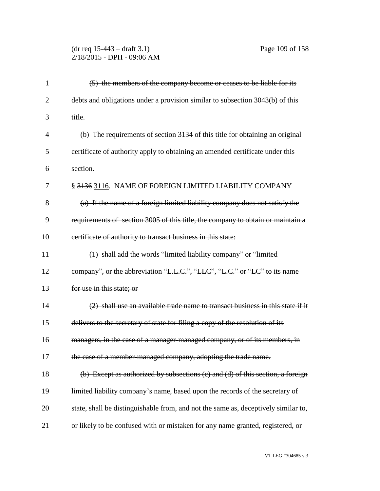## (dr req 15-443 – draft 3.1) Page 109 of 158 2/18/2015 - DPH - 09:06 AM

| $\mathbf{1}$   | (5) the members of the company become or ceases to be liable for its               |
|----------------|------------------------------------------------------------------------------------|
| $\overline{2}$ | debts and obligations under a provision similar to subsection 3043(b) of this      |
| 3              | title.                                                                             |
| $\overline{4}$ | (b) The requirements of section 3134 of this title for obtaining an original       |
| 5              | certificate of authority apply to obtaining an amended certificate under this      |
| 6              | section.                                                                           |
| 7              | § 3136 3116. NAME OF FOREIGN LIMITED LIABILITY COMPANY                             |
| 8              | (a) If the name of a foreign limited liability company does not satisfy the        |
| 9              | requirements of section 3005 of this title, the company to obtain or maintain a    |
| 10             | eertificate of authority to transact business in this state:                       |
| 11             | (1) shall add the words "limited liability company" or "limited                    |
| 12             | company", or the abbreviation "L.L.C.", "LLC", "L.C." or "LC" to its name          |
| 13             | for use in this state; or                                                          |
| 14             | (2) shall use an available trade name to transact business in this state if it     |
| 15             | delivers to the secretary of state for filing a copy of the resolution of its      |
| 16             | managers, in the case of a manager-managed company, or of its members, in          |
| 17             | the case of a member-managed company, adopting the trade name.                     |
| 18             | (b) Except as authorized by subsections (c) and (d) of this section, a foreign     |
| 19             | limited liability company's name, based upon the records of the secretary of       |
| 20             | state, shall be distinguishable from, and not the same as, deceptively similar to, |
| 21             | or likely to be confused with or mistaken for any name granted, registered, or     |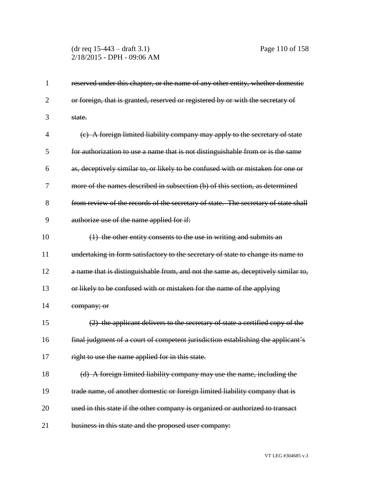## (dr req 15-443 – draft 3.1) Page 110 of 158 2/18/2015 - DPH - 09:06 AM

| 1              | reserved under this chapter, or the name of any other entity, whether domestic     |
|----------------|------------------------------------------------------------------------------------|
| $\overline{2}$ | or foreign, that is granted, reserved or registered by or with the secretary of    |
| 3              | state.                                                                             |
| 4              | (c) A foreign limited liability company may apply to the secretary of state        |
| 5              | for authorization to use a name that is not distinguishable from or is the same    |
| 6              | as, deceptively similar to, or likely to be confused with or mistaken for one or   |
| 7              | more of the names described in subsection (b) of this section, as determined       |
| 8              | from review of the records of the secretary of state. The secretary of state shall |
| 9              | authorize use of the name applied for if:                                          |
| 10             | (1) the other entity consents to the use in writing and submits an                 |
| 11             | undertaking in form satisfactory to the secretary of state to change its name to   |
| 12             | a name that is distinguishable from, and not the same as, deceptively similar to,  |
| 13             | or likely to be confused with or mistaken for the name of the applying             |
| 14             | company; or                                                                        |
| 15             | (2) the applicant delivers to the secretary of state a certified copy of the       |
| 16             | final judgment of a court of competent jurisdiction establishing the applicant's   |
| 17             | right to use the name applied for in this state.                                   |
| 18             | (d) A foreign limited liability company may use the name, including the            |
| 19             | trade name, of another domestic or foreign limited liability company that is       |
| 20             | used in this state if the other company is organized or authorized to transact     |
| 21             | business in this state and the proposed user company:                              |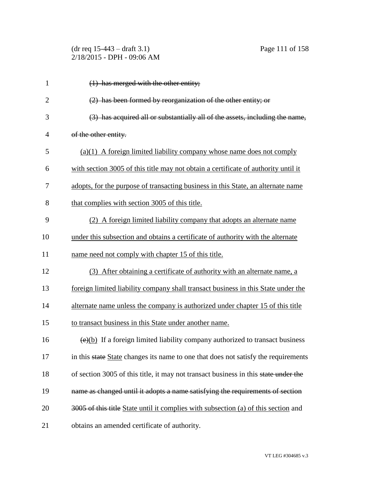| $(dr \text{ req } 15-443 - draft 3.1)$ |
|----------------------------------------|
| 2/18/2015 - DPH - 09:06 AM             |

| 1              | $(1)$ has merged with the other entity;                                                    |
|----------------|--------------------------------------------------------------------------------------------|
| $\overline{2}$ | (2) has been formed by reorganization of the other entity; or                              |
| 3              | (3) has acquired all or substantially all of the assets, including the name,               |
| $\overline{4}$ | of the other entity.                                                                       |
| 5              | $(a)(1)$ A foreign limited liability company whose name does not comply                    |
| 6              | with section 3005 of this title may not obtain a certificate of authority until it         |
| 7              | adopts, for the purpose of transacting business in this State, an alternate name           |
| 8              | that complies with section 3005 of this title.                                             |
| 9              | (2) A foreign limited liability company that adopts an alternate name                      |
| 10             | under this subsection and obtains a certificate of authority with the alternate            |
| 11             | name need not comply with chapter 15 of this title.                                        |
| 12             | (3) After obtaining a certificate of authority with an alternate name, a                   |
| 13             | foreign limited liability company shall transact business in this State under the          |
| 14             | alternate name unless the company is authorized under chapter 15 of this title             |
| 15             | to transact business in this State under another name.                                     |
| 16             | $\overline{(e)(b)}$ If a foreign limited liability company authorized to transact business |
| 17             | in this state State changes its name to one that does not satisfy the requirements         |
| 18             | of section 3005 of this title, it may not transact business in this state under the        |
| 19             | name as changed until it adopts a name satisfying the requirements of section              |
| 20             | 3005 of this title State until it complies with subsection (a) of this section and         |
| 21             | obtains an amended certificate of authority.                                               |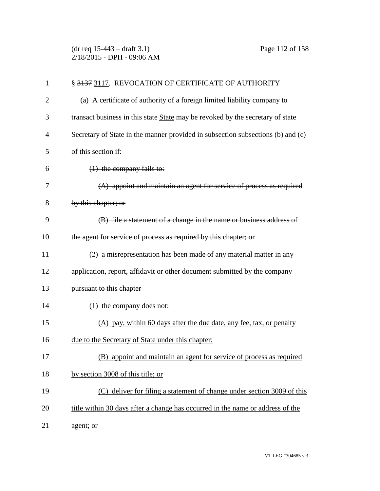(dr req 15-443 – draft 3.1) Page 112 of 158 2/18/2015 - DPH - 09:06 AM

| $\mathbf{1}$   | § 3137 3117. REVOCATION OF CERTIFICATE OF AUTHORITY                             |
|----------------|---------------------------------------------------------------------------------|
| $\overline{2}$ | (a) A certificate of authority of a foreign limited liability company to        |
| 3              | transact business in this state State may be revoked by the secretary of state  |
| 4              | Secretary of State in the manner provided in subsection subsections (b) and (c) |
| 5              | of this section if:                                                             |
| 6              | $(1)$ the company fails to:                                                     |
| 7              | $(A)$ appoint and maintain an agent for service of process as required          |
| 8              | by this chapter; or                                                             |
| 9              | (B) file a statement of a change in the name or business address of             |
| 10             | the agent for service of process as required by this chapter; or                |
| 11             | (2) a misrepresentation has been made of any material matter in any             |
| 12             | application, report, affidavit or other document submitted by the company       |
| 13             | pursuant to this chapter                                                        |
| 14             | (1) the company does not:                                                       |
| 15             | (A) pay, within 60 days after the due date, any fee, tax, or penalty            |
| 16             | due to the Secretary of State under this chapter;                               |
| 17             | (B) appoint and maintain an agent for service of process as required            |
| 18             | by section 3008 of this title; or                                               |
| 19             | (C) deliver for filing a statement of change under section 3009 of this         |
| 20             | title within 30 days after a change has occurred in the name or address of the  |
| 21             | agent; or                                                                       |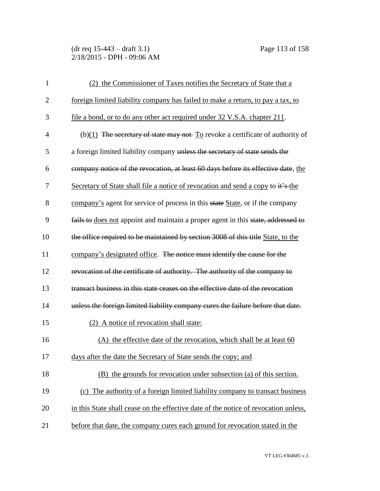(dr req 15-443 – draft 3.1) Page 113 of 158 2/18/2015 - DPH - 09:06 AM

| $\mathbf{1}$   | (2) the Commissioner of Taxes notifies the Secretary of State that a                |
|----------------|-------------------------------------------------------------------------------------|
| $\overline{2}$ | foreign limited liability company has failed to make a return, to pay a tax, to     |
| 3              | file a bond, or to do any other act required under 32 V.S.A. chapter 211.           |
| $\overline{4}$ | (b) $(1)$ The secretary of state may not- To revoke a certificate of authority of   |
| 5              | a foreign limited liability company unless the secretary of state sends the         |
| 6              | company notice of the revocation, at least 60 days before its effective date, the   |
| 7              | Secretary of State shall file a notice of revocation and send a copy to it's the    |
| 8              | company's agent for service of process in this state State, or if the company       |
| 9              | fails to does not appoint and maintain a proper agent in this state, addressed to   |
| 10             | the office required to be maintained by section 3008 of this title State, to the    |
| 11             | company's designated office. The notice must identify the cause for the             |
| 12             | revocation of the certificate of authority. The authority of the company to         |
| 13             | transact business in this state ceases on the effective date of the revocation      |
| 14             | unless the foreign limited liability company cures the failure before that date.    |
| 15             | (2) A notice of revocation shall state:                                             |
| 16             | (A) the effective date of the revocation, which shall be at least 60                |
| 17             | days after the date the Secretary of State sends the copy; and                      |
| 18             | (B) the grounds for revocation under subsection (a) of this section.                |
| 19             | (c) The authority of a foreign limited liability company to transact business       |
| 20             | in this State shall cease on the effective date of the notice of revocation unless, |
| 21             | before that date, the company cures each ground for revocation stated in the        |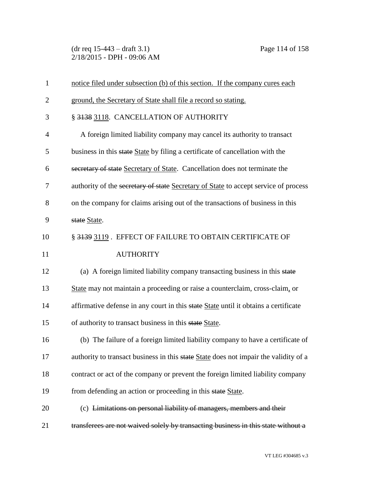(dr req 15-443 – draft 3.1) Page 114 of 158 2/18/2015 - DPH - 09:06 AM

| $\mathbf{1}$   | notice filed under subsection (b) of this section. If the company cures each         |
|----------------|--------------------------------------------------------------------------------------|
| $\overline{2}$ | ground, the Secretary of State shall file a record so stating.                       |
| 3              | § 3138 3118. CANCELLATION OF AUTHORITY                                               |
| $\overline{4}$ | A foreign limited liability company may cancel its authority to transact             |
| 5              | business in this state State by filing a certificate of cancellation with the        |
| 6              | secretary of state Secretary of State. Cancellation does not terminate the           |
| 7              | authority of the secretary of state Secretary of State to accept service of process  |
| 8              | on the company for claims arising out of the transactions of business in this        |
| 9              | state State.                                                                         |
| 10             | § 3139 3119. EFFECT OF FAILURE TO OBTAIN CERTIFICATE OF                              |
| 11             | <b>AUTHORITY</b>                                                                     |
| 12             | (a) A foreign limited liability company transacting business in this state           |
| 13             | State may not maintain a proceeding or raise a counterclaim, cross-claim, or         |
| 14             | affirmative defense in any court in this state State until it obtains a certificate  |
| 15             | of authority to transact business in this state State.                               |
| 16             | (b) The failure of a foreign limited liability company to have a certificate of      |
| 17             | authority to transact business in this state State does not impair the validity of a |
| 18             | contract or act of the company or prevent the foreign limited liability company      |
| 19             | from defending an action or proceeding in this state State.                          |
| 20             | (c) Limitations on personal liability of managers, members and their                 |
| 21             | transferees are not waived solely by transacting business in this state without a    |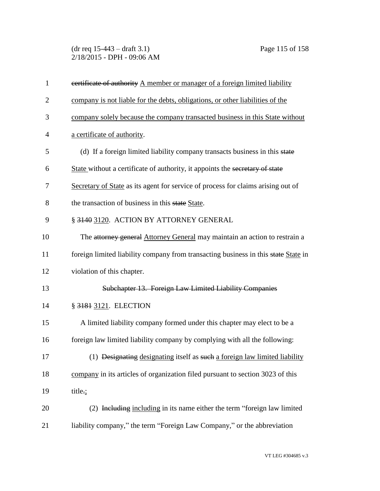(dr req 15-443 – draft 3.1) Page 115 of 158 2/18/2015 - DPH - 09:06 AM

| $\mathbf{1}$   | eertificate of authority A member or manager of a foreign limited liability           |
|----------------|---------------------------------------------------------------------------------------|
| $\overline{2}$ | company is not liable for the debts, obligations, or other liabilities of the         |
| 3              | company solely because the company transacted business in this State without          |
| $\overline{4}$ | a certificate of authority.                                                           |
| 5              | (d) If a foreign limited liability company transacts business in this state           |
| 6              | State without a certificate of authority, it appoints the secretary of state          |
| 7              | Secretary of State as its agent for service of process for claims arising out of      |
| 8              | the transaction of business in this state State.                                      |
| 9              | § 3140 3120. ACTION BY ATTORNEY GENERAL                                               |
| 10             | The attorney general Attorney General may maintain an action to restrain a            |
| 11             | foreign limited liability company from transacting business in this state State in    |
| 12             | violation of this chapter.                                                            |
| 13             | Subchapter 13. Foreign Law Limited Liability Companies                                |
| 14             | § 3181 3121. ELECTION                                                                 |
| 15             | A limited liability company formed under this chapter may elect to be a               |
| 16             | foreign law limited liability company by complying with all the following:            |
| 17             | (1) <del>Designating</del> designating itself as such a foreign law limited liability |
| 18             | company in its articles of organization filed pursuant to section 3023 of this        |
| 19             | title.;                                                                               |
| 20             | (2) Including including in its name either the term "foreign law limited              |
| 21             | liability company," the term "Foreign Law Company," or the abbreviation               |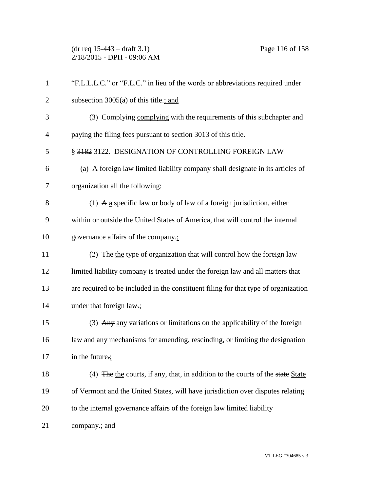(dr req 15-443 – draft 3.1) Page 116 of 158 2/18/2015 - DPH - 09:06 AM

| $\mathbf{1}$   | "F.L.L.L.C." or "F.L.C." in lieu of the words or abbreviations required under       |
|----------------|-------------------------------------------------------------------------------------|
| $\overline{2}$ | subsection $3005(a)$ of this title.; and                                            |
| 3              | (3) Complying complying with the requirements of this subchapter and                |
| $\overline{4}$ | paying the filing fees pursuant to section 3013 of this title.                      |
| 5              | § 3182 3122. DESIGNATION OF CONTROLLING FOREIGN LAW                                 |
| 6              | (a) A foreign law limited liability company shall designate in its articles of      |
| 7              | organization all the following:                                                     |
| 8              | (1) A a specific law or body of law of a foreign jurisdiction, either               |
| 9              | within or outside the United States of America, that will control the internal      |
| 10             | governance affairs of the company.                                                  |
| 11             | (2) The the type of organization that will control how the foreign law              |
| 12             | limited liability company is treated under the foreign law and all matters that     |
| 13             | are required to be included in the constituent filing for that type of organization |
| 14             | under that foreign law.;                                                            |
| 15             | (3) Any any variations or limitations on the applicability of the foreign           |
| 16             | law and any mechanisms for amending, rescinding, or limiting the designation        |
| 17             | in the future.;                                                                     |
| 18             | (4) The the courts, if any, that, in addition to the courts of the state State      |
| 19             | of Vermont and the United States, will have jurisdiction over disputes relating     |
| 20             | to the internal governance affairs of the foreign law limited liability             |
| 21             | company.; and                                                                       |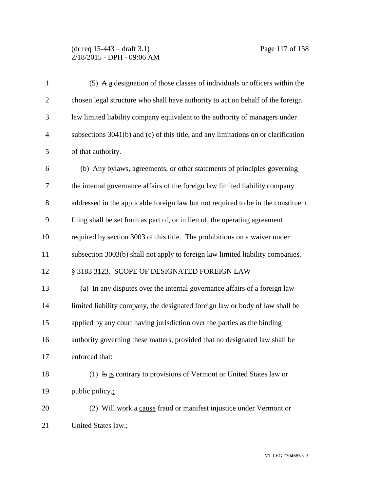| $\mathbf{1}$   | (5) A $\underline{a}$ designation of those classes of individuals or officers within the |
|----------------|------------------------------------------------------------------------------------------|
| $\mathbf{2}$   | chosen legal structure who shall have authority to act on behalf of the foreign          |
| 3              | law limited liability company equivalent to the authority of managers under              |
| $\overline{4}$ | subsections $3041(b)$ and (c) of this title, and any limitations on or clarification     |
| 5              | of that authority.                                                                       |
| 6              | (b) Any bylaws, agreements, or other statements of principles governing                  |
| 7              | the internal governance affairs of the foreign law limited liability company             |
| 8              | addressed in the applicable foreign law but not required to be in the constituent        |
| 9              | filing shall be set forth as part of, or in lieu of, the operating agreement             |
| 10             | required by section 3003 of this title. The prohibitions on a waiver under               |
| 11             | subsection 3003(b) shall not apply to foreign law limited liability companies.           |
| 12             | § 3183 3123. SCOPE OF DESIGNATED FOREIGN LAW                                             |
| 13             | (a) In any disputes over the internal governance affairs of a foreign law                |
| 14             | limited liability company, the designated foreign law or body of law shall be            |
| 15             | applied by any court having jurisdiction over the parties as the binding                 |
| 16             | authority governing these matters, provided that no designated law shall be              |
| 17             | enforced that:                                                                           |
| 18             | (1) Is is contrary to provisions of Vermont or United States law or                      |
| 19             | public policy.;                                                                          |
| 20             | (2) Will work a cause fraud or manifest injustice under Vermont or                       |
| 21             | United States law.;                                                                      |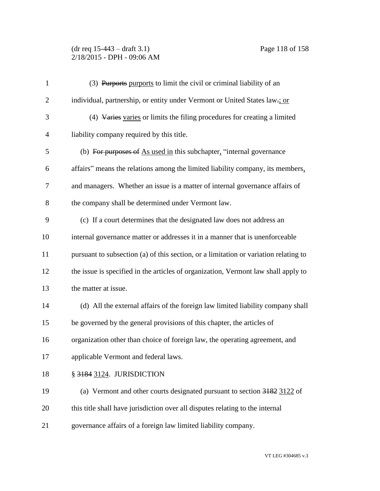### (dr req 15-443 – draft 3.1) Page 118 of 158 2/18/2015 - DPH - 09:06 AM

| $\mathbf{1}$   | (3) Purports purports to limit the civil or criminal liability of an                 |
|----------------|--------------------------------------------------------------------------------------|
| $\overline{2}$ | individual, partnership, or entity under Vermont or United States law-; or           |
| 3              | (4) Varies varies or limits the filing procedures for creating a limited             |
| $\overline{4}$ | liability company required by this title.                                            |
| 5              | (b) For purposes of As used in this subchapter, "internal governance                 |
| 6              | affairs" means the relations among the limited liability company, its members,       |
| 7              | and managers. Whether an issue is a matter of internal governance affairs of         |
| 8              | the company shall be determined under Vermont law.                                   |
| 9              | (c) If a court determines that the designated law does not address an                |
| 10             | internal governance matter or addresses it in a manner that is unenforceable         |
| 11             | pursuant to subsection (a) of this section, or a limitation or variation relating to |
| 12             | the issue is specified in the articles of organization, Vermont law shall apply to   |
| 13             | the matter at issue.                                                                 |
| 14             | (d) All the external affairs of the foreign law limited liability company shall      |
| 15             | be governed by the general provisions of this chapter, the articles of               |
| 16             | organization other than choice of foreign law, the operating agreement, and          |
| 17             | applicable Vermont and federal laws.                                                 |
| 18             | § 3184 3124. JURISDICTION                                                            |
| 19             | (a) Vermont and other courts designated pursuant to section 3182 3122 of             |
| 20             | this title shall have jurisdiction over all disputes relating to the internal        |
| 21             | governance affairs of a foreign law limited liability company.                       |
|                |                                                                                      |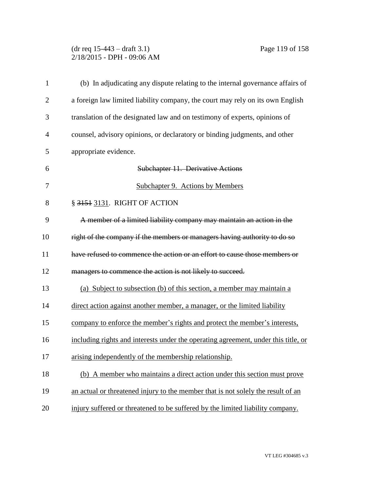### (dr req 15-443 – draft 3.1) Page 119 of 158 2/18/2015 - DPH - 09:06 AM

| $\mathbf{1}$   | (b) In adjudicating any dispute relating to the internal governance affairs of     |
|----------------|------------------------------------------------------------------------------------|
| $\overline{2}$ | a foreign law limited liability company, the court may rely on its own English     |
| 3              | translation of the designated law and on testimony of experts, opinions of         |
| 4              | counsel, advisory opinions, or declaratory or binding judgments, and other         |
| 5              | appropriate evidence.                                                              |
| 6              | Subchapter 11. Derivative Actions                                                  |
| 7              | Subchapter 9. Actions by Members                                                   |
| 8              | § 3151 3131. RIGHT OF ACTION                                                       |
| 9              | A member of a limited liability company may maintain an action in the              |
| 10             | right of the company if the members or managers having authority to do so          |
| 11             | have refused to commence the action or an effort to cause those members or         |
| 12             | managers to commence the action is not likely to succeed.                          |
| 13             | (a) Subject to subsection (b) of this section, a member may maintain a             |
| 14             | direct action against another member, a manager, or the limited liability          |
| 15             | company to enforce the member's rights and protect the member's interests,         |
| 16             | including rights and interests under the operating agreement, under this title, or |
| 17             | arising independently of the membership relationship.                              |
| 18             | (b) A member who maintains a direct action under this section must prove           |
| 19             | an actual or threatened injury to the member that is not solely the result of an   |
| 20             | injury suffered or threatened to be suffered by the limited liability company.     |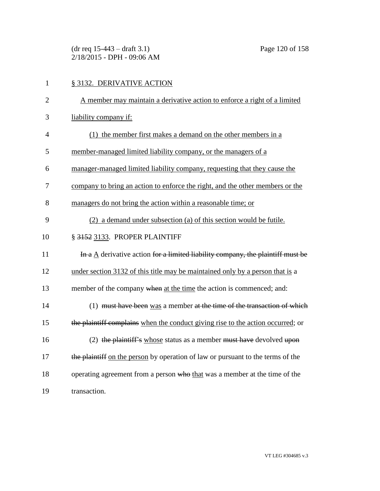(dr req 15-443 – draft 3.1) Page 120 of 158 2/18/2015 - DPH - 09:06 AM

| $\mathbf{1}$   | § 3132. DERIVATIVE ACTION                                                                     |
|----------------|-----------------------------------------------------------------------------------------------|
| $\overline{2}$ | A member may maintain a derivative action to enforce a right of a limited                     |
| 3              | liability company if:                                                                         |
| $\overline{4}$ | (1) the member first makes a demand on the other members in a                                 |
| 5              | member-managed limited liability company, or the managers of a                                |
| 6              | manager-managed limited liability company, requesting that they cause the                     |
| 7              | company to bring an action to enforce the right, and the other members or the                 |
| 8              | managers do not bring the action within a reasonable time; or                                 |
| 9              | (2) a demand under subsection (a) of this section would be futile.                            |
| 10             | § 3152 3133. PROPER PLAINTIFF                                                                 |
| 11             | In a $\underline{A}$ derivative action for a limited liability company, the plaintiff must be |
| 12             | under section 3132 of this title may be maintained only by a person that is a                 |
| 13             | member of the company when at the time the action is commenced; and:                          |
| 14             | (1) must have been was a member at the time of the transaction of which                       |
| 15             | the plaintiff complains when the conduct giving rise to the action occurred; or               |
| 16             | (2) the plaintiff's whose status as a member must have devolved upon                          |
| 17             | the plaintiff on the person by operation of law or pursuant to the terms of the               |
| 18             | operating agreement from a person who that was a member at the time of the                    |
| 19             | transaction.                                                                                  |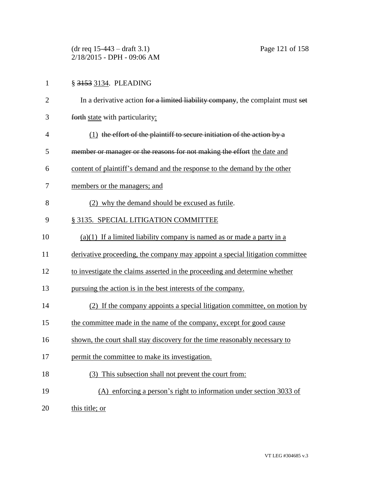(dr req 15-443 – draft 3.1) Page 121 of 158 2/18/2015 - DPH - 09:06 AM

# 1 § 3153 3134. PLEADING

| $\overline{2}$ | In a derivative action for a limited liability company, the complaint must set |
|----------------|--------------------------------------------------------------------------------|
| 3              | forth state with particularity:                                                |
| $\overline{4}$ | $(1)$ the effort of the plaintiff to secure initiation of the action by a      |
| 5              | member or manager or the reasons for not making the effort the date and        |
| 6              | content of plaintiff's demand and the response to the demand by the other      |
| 7              | members or the managers; and                                                   |
| 8              | (2) why the demand should be excused as futile.                                |
| 9              | § 3135. SPECIAL LITIGATION COMMITTEE                                           |
| 10             | $(a)(1)$ If a limited liability company is named as or made a party in a       |
| 11             | derivative proceeding, the company may appoint a special litigation committee  |
| 12             | to investigate the claims asserted in the proceeding and determine whether     |
| 13             | pursuing the action is in the best interests of the company.                   |
| 14             | (2) If the company appoints a special litigation committee, on motion by       |
| 15             | the committee made in the name of the company, except for good cause           |
| 16             | shown, the court shall stay discovery for the time reasonably necessary to     |
| 17             | permit the committee to make its investigation.                                |
| 18             | (3) This subsection shall not prevent the court from:                          |
| 19             | (A) enforcing a person's right to information under section 3033 of            |
| 20             | this title; or                                                                 |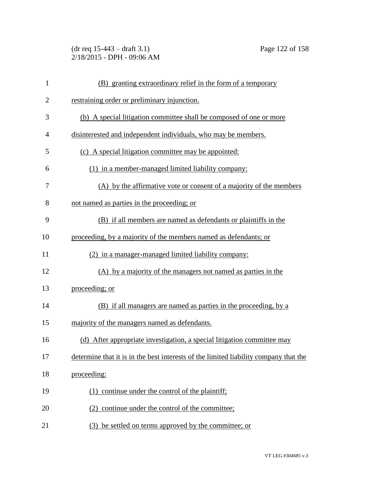(dr req 15-443 – draft 3.1) Page 122 of 158 2/18/2015 - DPH - 09:06 AM

| $\mathbf{1}$   | (B) granting extraordinary relief in the form of a temporary                         |
|----------------|--------------------------------------------------------------------------------------|
| $\overline{2}$ | restraining order or preliminary injunction.                                         |
| 3              | (b) A special litigation committee shall be composed of one or more                  |
| 4              | disinterested and independent individuals, who may be members.                       |
| 5              | (c) A special litigation committee may be appointed:                                 |
| 6              | (1) in a member-managed limited liability company:                                   |
| 7              | (A) by the affirmative vote or consent of a majority of the members                  |
| 8              | not named as parties in the proceeding; or                                           |
| 9              | (B) if all members are named as defendants or plaintiffs in the                      |
| 10             | proceeding, by a majority of the members named as defendants; or                     |
| 11             | (2) in a manager-managed limited liability company:                                  |
| 12             | (A) by a majority of the managers not named as parties in the                        |
| 13             | proceeding; or                                                                       |
| 14             | (B) if all managers are named as parties in the proceeding, by a                     |
| 15             | majority of the managers named as defendants.                                        |
| 16             | (d) After appropriate investigation, a special litigation committee may              |
| 17             | determine that it is in the best interests of the limited liability company that the |
| 18             | proceeding:                                                                          |
| 19             | (1) continue under the control of the plaintiff;                                     |
| 20             | (2) continue under the control of the committee;                                     |
| 21             | be settled on terms approved by the committee; or<br>(3)                             |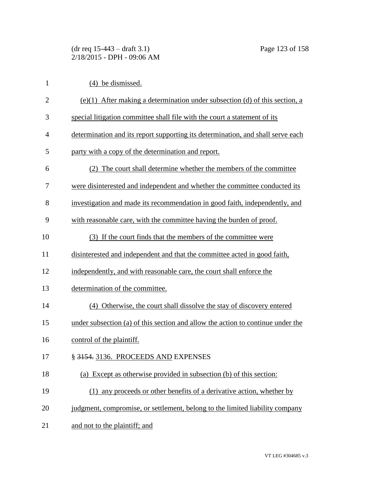(dr req 15-443 – draft 3.1) Page 123 of 158 2/18/2015 - DPH - 09:06 AM

| $\mathbf{1}$   | (4) be dismissed.                                                               |
|----------------|---------------------------------------------------------------------------------|
| $\overline{2}$ | $(e)(1)$ After making a determination under subsection (d) of this section, a   |
| 3              | special litigation committee shall file with the court a statement of its       |
| 4              | determination and its report supporting its determination, and shall serve each |
| 5              | party with a copy of the determination and report.                              |
| 6              | (2) The court shall determine whether the members of the committee              |
| 7              | were disinterested and independent and whether the committee conducted its      |
| 8              | investigation and made its recommendation in good faith, independently, and     |
| 9              | with reasonable care, with the committee having the burden of proof.            |
| 10             | (3) If the court finds that the members of the committee were                   |
| 11             | disinterested and independent and that the committee acted in good faith,       |
| 12             | independently, and with reasonable care, the court shall enforce the            |
| 13             | determination of the committee.                                                 |
| 14             | (4) Otherwise, the court shall dissolve the stay of discovery entered           |
| 15             | under subsection (a) of this section and allow the action to continue under the |
| 16             | control of the plaintiff.                                                       |
| 17             | § 3154. 3136. PROCEEDS AND EXPENSES                                             |
| 18             | (a) Except as otherwise provided in subsection (b) of this section:             |
| 19             | (1) any proceeds or other benefits of a derivative action, whether by           |
| 20             | judgment, compromise, or settlement, belong to the limited liability company    |
| 21             | and not to the plaintiff; and                                                   |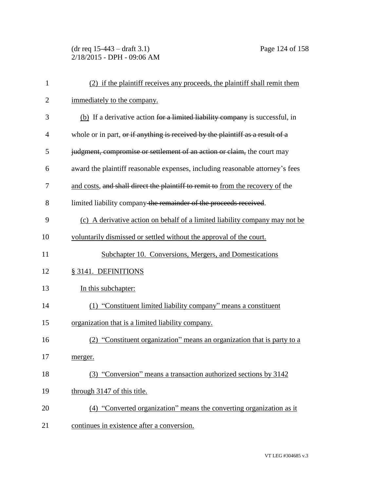(dr req 15-443 – draft 3.1) Page 124 of 158 2/18/2015 - DPH - 09:06 AM

| $\mathbf{1}$   | (2) if the plaintiff receives any proceeds, the plaintiff shall remit them     |
|----------------|--------------------------------------------------------------------------------|
| $\overline{2}$ | immediately to the company.                                                    |
| 3              | (b) If a derivative action for a limited liability company is successful, in   |
| 4              | whole or in part, or if anything is received by the plaintiff as a result of a |
| 5              | judgment, compromise or settlement of an action or claim, the court may        |
| 6              | award the plaintiff reasonable expenses, including reasonable attorney's fees  |
| 7              | and costs, and shall direct the plaintiff to remit to from the recovery of the |
| 8              | limited liability company the remainder of the proceeds received.              |
| 9              | (c) A derivative action on behalf of a limited liability company may not be    |
| 10             | voluntarily dismissed or settled without the approval of the court.            |
| 11             | Subchapter 10. Conversions, Mergers, and Domestications                        |
| 12             | § 3141. DEFINITIONS                                                            |
| 13             | In this subchapter:                                                            |
| 14             | (1) "Constituent limited liability company" means a constituent                |
| 15             | organization that is a limited liability company.                              |
| 16             | (2) "Constituent organization" means an organization that is party to a        |
| 17             | merger.                                                                        |
| 18             | (3) "Conversion" means a transaction authorized sections by 3142               |
| 19             | through 3147 of this title.                                                    |
| 20             | (4) "Converted organization" means the converting organization as it           |
| 21             | continues in existence after a conversion.                                     |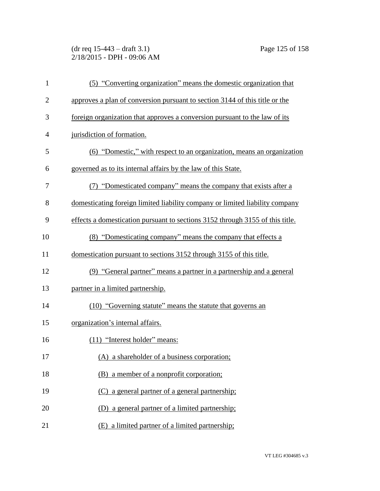(dr req 15-443 – draft 3.1) Page 125 of 158 2/18/2015 - DPH - 09:06 AM

| $\mathbf{1}$   | (5) "Converting organization" means the domestic organization that            |
|----------------|-------------------------------------------------------------------------------|
| $\mathbf{2}$   | approves a plan of conversion pursuant to section 3144 of this title or the   |
| 3              | foreign organization that approves a conversion pursuant to the law of its    |
| $\overline{4}$ | jurisdiction of formation.                                                    |
| 5              | (6) "Domestic," with respect to an organization, means an organization        |
| 6              | governed as to its internal affairs by the law of this State.                 |
| 7              | (7) "Domesticated company" means the company that exists after a              |
| 8              | domesticating foreign limited liability company or limited liability company  |
| 9              | effects a domestication pursuant to sections 3152 through 3155 of this title. |
| 10             | (8) "Domesticating company" means the company that effects a                  |
| 11             | domestication pursuant to sections 3152 through 3155 of this title.           |
| 12             | (9) "General partner" means a partner in a partnership and a general          |
| 13             | partner in a limited partnership.                                             |
| 14             | (10) "Governing statute" means the statute that governs an                    |
| 15             | organization's internal affairs.                                              |
| 16             | $(11)$ "Interest holder" means:                                               |
| 17             | (A) a shareholder of a business corporation;                                  |
| 18             | (B) a member of a nonprofit corporation;                                      |
| 19             | (C) a general partner of a general partnership;                               |
| 20             | (D) a general partner of a limited partnership;                               |
| 21             | (E) a limited partner of a limited partnership;                               |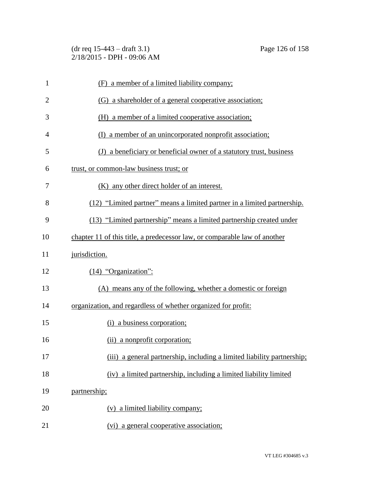(dr req 15-443 – draft 3.1) Page 126 of 158 2/18/2015 - DPH - 09:06 AM

| $\mathbf{1}$   | (F) a member of a limited liability company;                              |
|----------------|---------------------------------------------------------------------------|
| $\overline{2}$ | (G) a shareholder of a general cooperative association;                   |
| 3              | (H) a member of a limited cooperative association;                        |
| 4              | (I) a member of an unincorporated nonprofit association;                  |
| 5              | (J) a beneficiary or beneficial owner of a statutory trust, business      |
| 6              | trust, or common-law business trust; or                                   |
| 7              | (K) any other direct holder of an interest.                               |
| 8              | (12) "Limited partner" means a limited partner in a limited partnership.  |
| 9              | (13) "Limited partnership" means a limited partnership created under      |
| 10             | chapter 11 of this title, a predecessor law, or comparable law of another |
| 11             | jurisdiction.                                                             |
| 12             | $(14)$ "Organization":                                                    |
| 13             | (A) means any of the following, whether a domestic or foreign             |
| 14             | organization, and regardless of whether organized for profit:             |
| 15             | (i) a business corporation;                                               |
| 16             | (ii) a nonprofit corporation;                                             |
| 17             | (iii) a general partnership, including a limited liability partnership;   |
| 18             | (iv) a limited partnership, including a limited liability limited         |
| 19             | partnership;                                                              |
| 20             | (v) a limited liability company;                                          |
| 21             | (vi) a general cooperative association;                                   |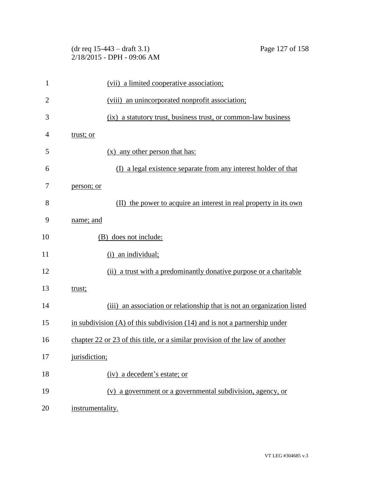| $\mathbf{1}$   | (vii) a limited cooperative association;                                       |
|----------------|--------------------------------------------------------------------------------|
| $\overline{2}$ | (viii) an unincorporated nonprofit association;                                |
| 3              | (ix) a statutory trust, business trust, or common-law business                 |
| $\overline{4}$ | trust; or                                                                      |
| 5              | (x) any other person that has:                                                 |
| 6              | (I) a legal existence separate from any interest holder of that                |
| 7              | person; or                                                                     |
| 8              | the power to acquire an interest in real property in its own<br>(II)           |
| 9              | name; and                                                                      |
| 10             | (B) does not include:                                                          |
| 11             | (i) an individual;                                                             |
| 12             | (ii) a trust with a predominantly donative purpose or a charitable             |
| 13             | trust;                                                                         |
| 14             | (iii) an association or relationship that is not an organization listed        |
| 15             | in subdivision $(A)$ of this subdivision $(14)$ and is not a partnership under |
| 16             | chapter 22 or 23 of this title, or a similar provision of the law of another   |
| 17             | jurisdiction;                                                                  |
| 18             | (iv) a decedent's estate; or                                                   |
| 19             | (v) a government or a governmental subdivision, agency, or                     |
| 20             | instrumentality.                                                               |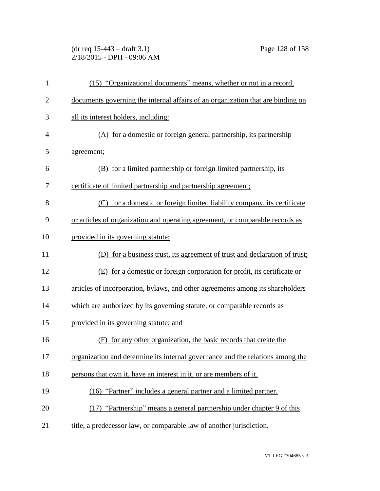(dr req 15-443 – draft 3.1) Page 128 of 158 2/18/2015 - DPH - 09:06 AM

| 1              | (15) "Organizational documents" means, whether or not in a record,              |
|----------------|---------------------------------------------------------------------------------|
| $\overline{2}$ | documents governing the internal affairs of an organization that are binding on |
| 3              | all its interest holders, including:                                            |
| $\overline{4}$ | (A) for a domestic or foreign general partnership, its partnership              |
| 5              | agreement;                                                                      |
| 6              | (B) for a limited partnership or foreign limited partnership, its               |
| 7              | certificate of limited partnership and partnership agreement;                   |
| 8              | (C) for a domestic or foreign limited liability company, its certificate        |
| 9              | or articles of organization and operating agreement, or comparable records as   |
| 10             | provided in its governing statute;                                              |
| 11             | (D) for a business trust, its agreement of trust and declaration of trust;      |
| 12             | (E) for a domestic or foreign corporation for profit, its certificate or        |
| 13             | articles of incorporation, bylaws, and other agreements among its shareholders  |
| 14             | which are authorized by its governing statute, or comparable records as         |
| 15             | provided in its governing statute; and                                          |
| 16             | for any other organization, the basic records that create the<br>(F)            |
| 17             | organization and determine its internal governance and the relations among the  |
| 18             | persons that own it, have an interest in it, or are members of it.              |
| 19             | (16) "Partner" includes a general partner and a limited partner.                |
| 20             | (17) "Partnership" means a general partnership under chapter 9 of this          |
| 21             | title, a predecessor law, or comparable law of another jurisdiction.            |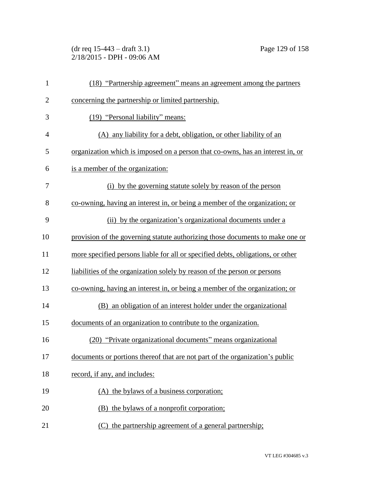(dr req 15-443 – draft 3.1) Page 129 of 158 2/18/2015 - DPH - 09:06 AM

| $\mathbf{1}$   | (18) "Partnership agreement" means an agreement among the partners              |
|----------------|---------------------------------------------------------------------------------|
| $\overline{2}$ | concerning the partnership or limited partnership.                              |
| 3              | (19) "Personal liability" means:                                                |
| $\overline{4}$ | (A) any liability for a debt, obligation, or other liability of an              |
| 5              | organization which is imposed on a person that co-owns, has an interest in, or  |
| 6              | is a member of the organization:                                                |
| 7              | (i) by the governing statute solely by reason of the person                     |
| 8              | co-owning, having an interest in, or being a member of the organization; or     |
| 9              | (ii) by the organization's organizational documents under a                     |
| 10             | provision of the governing statute authorizing those documents to make one or   |
| 11             | more specified persons liable for all or specified debts, obligations, or other |
| 12             | liabilities of the organization solely by reason of the person or persons       |
| 13             | co-owning, having an interest in, or being a member of the organization; or     |
| 14             | (B) an obligation of an interest holder under the organizational                |
| 15             | documents of an organization to contribute to the organization.                 |
| 16             | (20) "Private organizational documents" means organizational                    |
| 17             | documents or portions thereof that are not part of the organization's public    |
| 18             | record, if any, and includes:                                                   |
| 19             | (A) the bylaws of a business corporation;                                       |
| 20             | (B) the bylaws of a nonprofit corporation;                                      |
| 21             | (C) the partnership agreement of a general partnership;                         |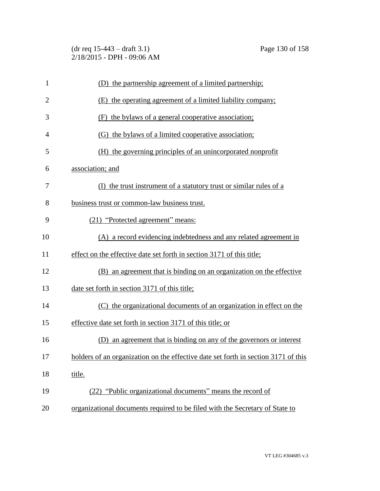(dr req 15-443 – draft 3.1) Page 130 of 158 2/18/2015 - DPH - 09:06 AM

| $\mathbf{1}$   | (D) the partnership agreement of a limited partnership;                            |
|----------------|------------------------------------------------------------------------------------|
| $\overline{2}$ | (E) the operating agreement of a limited liability company;                        |
| 3              | (F) the bylaws of a general cooperative association;                               |
| 4              | (G) the bylaws of a limited cooperative association;                               |
| 5              | (H) the governing principles of an unincorporated nonprofit                        |
| 6              | association; and                                                                   |
| 7              | (I) the trust instrument of a statutory trust or similar rules of a                |
| 8              | business trust or common-law business trust.                                       |
| 9              | (21) "Protected agreement" means:                                                  |
| 10             | (A) a record evidencing indebtedness and any related agreement in                  |
| 11             | effect on the effective date set forth in section 3171 of this title;              |
| 12             | (B) an agreement that is binding on an organization on the effective               |
| 13             | date set forth in section 3171 of this title;                                      |
| 14             | (C) the organizational documents of an organization in effect on the               |
| 15             | effective date set forth in section 3171 of this title; or                         |
| 16             | an agreement that is binding on any of the governors or interest<br>(D)            |
| 17             | holders of an organization on the effective date set forth in section 3171 of this |
| 18             | title.                                                                             |
| 19             | (22) "Public organizational documents" means the record of                         |
| 20             | organizational documents required to be filed with the Secretary of State to       |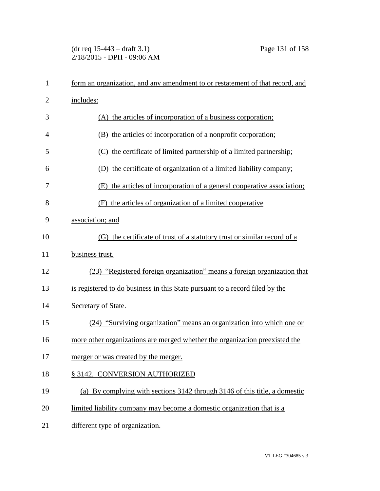## (dr req 15-443 – draft 3.1) Page 131 of 158 2/18/2015 - DPH - 09:06 AM

| $\mathbf{1}$   | form an organization, and any amendment to or restatement of that record, and |
|----------------|-------------------------------------------------------------------------------|
| $\overline{2}$ | includes:                                                                     |
| 3              | (A) the articles of incorporation of a business corporation;                  |
| $\overline{4}$ | (B) the articles of incorporation of a nonprofit corporation;                 |
| 5              | (C) the certificate of limited partnership of a limited partnership;          |
| 6              | (D) the certificate of organization of a limited liability company;           |
| 7              | (E) the articles of incorporation of a general cooperative association;       |
| 8              | (F) the articles of organization of a limited cooperative                     |
| 9              | association; and                                                              |
| 10             | (G) the certificate of trust of a statutory trust or similar record of a      |
| 11             | business trust.                                                               |
| 12             | (23) "Registered foreign organization" means a foreign organization that      |
| 13             | is registered to do business in this State pursuant to a record filed by the  |
| 14             | Secretary of State.                                                           |
| 15             | (24) "Surviving organization" means an organization into which one or         |
| 16             | more other organizations are merged whether the organization preexisted the   |
| 17             | merger or was created by the merger.                                          |
| 18             | § 3142. CONVERSION AUTHORIZED                                                 |
| 19             | (a) By complying with sections 3142 through 3146 of this title, a domestic    |
| 20             | limited liability company may become a domestic organization that is a        |
| 21             | different type of organization.                                               |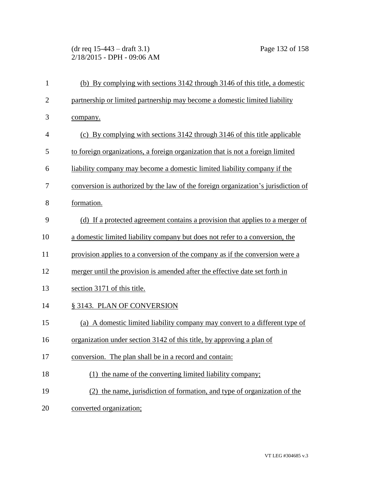(dr req 15-443 – draft 3.1) Page 132 of 158 2/18/2015 - DPH - 09:06 AM

| $\mathbf{1}$   | (b) By complying with sections 3142 through 3146 of this title, a domestic        |
|----------------|-----------------------------------------------------------------------------------|
| $\overline{2}$ | partnership or limited partnership may become a domestic limited liability        |
| 3              | company.                                                                          |
| $\overline{4}$ | (c) By complying with sections 3142 through 3146 of this title applicable         |
| 5              | to foreign organizations, a foreign organization that is not a foreign limited    |
| 6              | liability company may become a domestic limited liability company if the          |
| 7              | conversion is authorized by the law of the foreign organization's jurisdiction of |
| 8              | formation.                                                                        |
| 9              | (d) If a protected agreement contains a provision that applies to a merger of     |
| 10             | a domestic limited liability company but does not refer to a conversion, the      |
| 11             | provision applies to a conversion of the company as if the conversion were a      |
| 12             | merger until the provision is amended after the effective date set forth in       |
| 13             | section 3171 of this title.                                                       |
| 14             | § 3143. PLAN OF CONVERSION                                                        |
| 15             | (a) A domestic limited liability company may convert to a different type of       |
| 16             | organization under section 3142 of this title, by approving a plan of             |
| 17             | conversion. The plan shall be in a record and contain:                            |
| 18             | (1) the name of the converting limited liability company;                         |
| 19             | (2) the name, jurisdiction of formation, and type of organization of the          |
| 20             | converted organization;                                                           |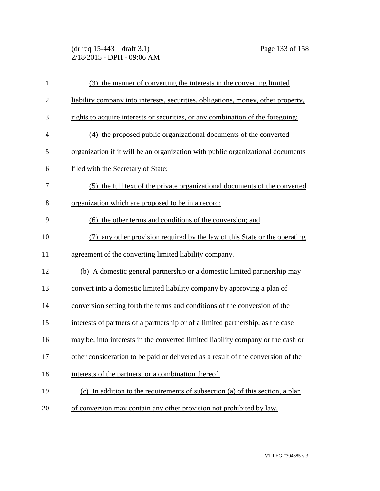(dr req 15-443 – draft 3.1) Page 133 of 158 2/18/2015 - DPH - 09:06 AM

| $\mathbf{1}$   | (3) the manner of converting the interests in the converting limited              |
|----------------|-----------------------------------------------------------------------------------|
| $\overline{2}$ | liability company into interests, securities, obligations, money, other property, |
| 3              | rights to acquire interests or securities, or any combination of the foregoing;   |
| $\overline{4}$ | (4) the proposed public organizational documents of the converted                 |
| 5              | organization if it will be an organization with public organizational documents   |
| 6              | filed with the Secretary of State;                                                |
| 7              | (5) the full text of the private organizational documents of the converted        |
| 8              | organization which are proposed to be in a record;                                |
| 9              | (6) the other terms and conditions of the conversion; and                         |
| 10             | (7) any other provision required by the law of this State or the operating        |
| 11             | agreement of the converting limited liability company.                            |
| 12             | (b) A domestic general partnership or a domestic limited partnership may          |
| 13             | convert into a domestic limited liability company by approving a plan of          |
| 14             | conversion setting forth the terms and conditions of the conversion of the        |
| 15             | interests of partners of a partnership or of a limited partnership, as the case   |
| 16             | may be, into interests in the converted limited liability company or the cash or  |
| 17             | other consideration to be paid or delivered as a result of the conversion of the  |
| 18             | interests of the partners, or a combination thereof.                              |
| 19             | (c) In addition to the requirements of subsection (a) of this section, a plan     |
| 20             | of conversion may contain any other provision not prohibited by law.              |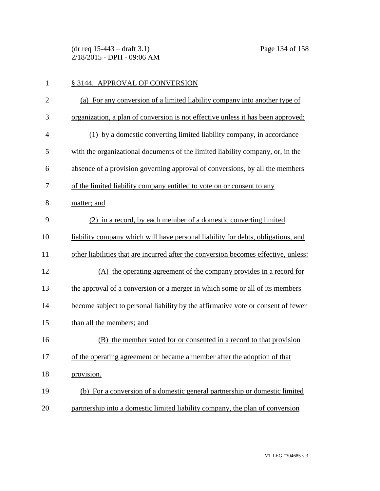(dr req 15-443 – draft 3.1) Page 134 of 158 2/18/2015 - DPH - 09:06 AM

| 1              | § 3144. APPROVAL OF CONVERSION                                                      |
|----------------|-------------------------------------------------------------------------------------|
| $\overline{2}$ | (a) For any conversion of a limited liability company into another type of          |
| 3              | organization, a plan of conversion is not effective unless it has been approved:    |
| $\overline{4}$ | (1) by a domestic converting limited liability company, in accordance               |
| 5              | with the organizational documents of the limited liability company, or, in the      |
| 6              | absence of a provision governing approval of conversions, by all the members        |
| 7              | of the limited liability company entitled to vote on or consent to any              |
| 8              | matter; and                                                                         |
| 9              | (2) in a record, by each member of a domestic converting limited                    |
| 10             | liability company which will have personal liability for debts, obligations, and    |
| 11             | other liabilities that are incurred after the conversion becomes effective, unless: |
| 12             | (A) the operating agreement of the company provides in a record for                 |
| 13             | the approval of a conversion or a merger in which some or all of its members        |
| 14             | become subject to personal liability by the affirmative vote or consent of fewer    |
| 15             | than all the members; and                                                           |
| 16             | (B) the member voted for or consented in a record to that provision                 |
| 17             | of the operating agreement or became a member after the adoption of that            |
| 18             | provision.                                                                          |
| 19             | (b) For a conversion of a domestic general partnership or domestic limited          |
| 20             | partnership into a domestic limited liability company, the plan of conversion       |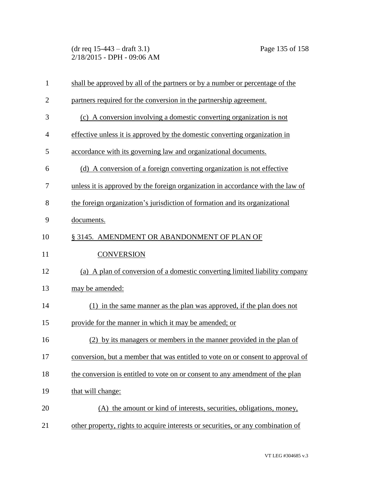(dr req 15-443 – draft 3.1) Page 135 of 158 2/18/2015 - DPH - 09:06 AM

| $\mathbf{1}$   | shall be approved by all of the partners or by a number or percentage of the     |
|----------------|----------------------------------------------------------------------------------|
| $\overline{2}$ | partners required for the conversion in the partnership agreement.               |
| 3              | (c) A conversion involving a domestic converting organization is not             |
| $\overline{4}$ | effective unless it is approved by the domestic converting organization in       |
| 5              | accordance with its governing law and organizational documents.                  |
| 6              | (d) A conversion of a foreign converting organization is not effective           |
| 7              | unless it is approved by the foreign organization in accordance with the law of  |
| 8              | the foreign organization's jurisdiction of formation and its organizational      |
| 9              | documents.                                                                       |
| 10             | § 3145. AMENDMENT OR ABANDONMENT OF PLAN OF                                      |
| 11             | <b>CONVERSION</b>                                                                |
| 12             | (a) A plan of conversion of a domestic converting limited liability company      |
| 13             | may be amended:                                                                  |
| 14             | (1) in the same manner as the plan was approved, if the plan does not            |
| 15             | provide for the manner in which it may be amended; or                            |
| 16             | (2) by its managers or members in the manner provided in the plan of             |
| 17             | conversion, but a member that was entitled to vote on or consent to approval of  |
| 18             | the conversion is entitled to vote on or consent to any amendment of the plan    |
| 19             | that will change:                                                                |
| 20             | (A) the amount or kind of interests, securities, obligations, money,             |
| 21             | other property, rights to acquire interests or securities, or any combination of |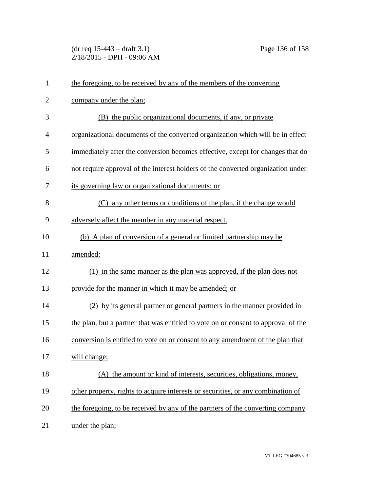(dr req 15-443 – draft 3.1) Page 136 of 158 2/18/2015 - DPH - 09:06 AM

| $\mathbf{1}$   | the foregoing, to be received by any of the members of the converting              |
|----------------|------------------------------------------------------------------------------------|
| $\overline{2}$ | company under the plan;                                                            |
| 3              | (B) the public organizational documents, if any, or private                        |
| $\overline{4}$ | organizational documents of the converted organization which will be in effect     |
| 5              | immediately after the conversion becomes effective, except for changes that do     |
| 6              | not require approval of the interest holders of the converted organization under   |
| 7              | its governing law or organizational documents; or                                  |
| 8              | (C) any other terms or conditions of the plan, if the change would                 |
| 9              | adversely affect the member in any material respect.                               |
| 10             | (b) A plan of conversion of a general or limited partnership may be                |
| 11             | amended:                                                                           |
| 12             | (1) in the same manner as the plan was approved, if the plan does not              |
| 13             | provide for the manner in which it may be amended; or                              |
| 14             | (2) by its general partner or general partners in the manner provided in           |
| 15             | the plan, but a partner that was entitled to vote on or consent to approval of the |
| 16             | conversion is entitled to vote on or consent to any amendment of the plan that     |
| 17             | will change:                                                                       |
| 18             | (A) the amount or kind of interests, securities, obligations, money,               |
| 19             | other property, rights to acquire interests or securities, or any combination of   |
| 20             | the foregoing, to be received by any of the partners of the converting company     |
| 21             | under the plan;                                                                    |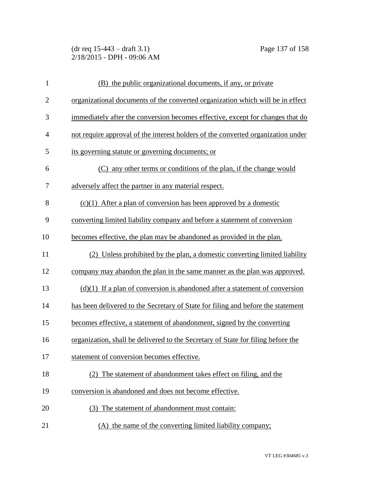(dr req 15-443 – draft 3.1) Page 137 of 158 2/18/2015 - DPH - 09:06 AM

| $\mathbf{1}$   | (B) the public organizational documents, if any, or private                      |
|----------------|----------------------------------------------------------------------------------|
| $\overline{2}$ | organizational documents of the converted organization which will be in effect   |
| 3              | immediately after the conversion becomes effective, except for changes that do   |
| $\overline{4}$ | not require approval of the interest holders of the converted organization under |
| 5              | its governing statute or governing documents; or                                 |
| 6              | (C) any other terms or conditions of the plan, if the change would               |
| 7              | adversely affect the partner in any material respect.                            |
| 8              | $(c)(1)$ After a plan of conversion has been approved by a domestic              |
| 9              | converting limited liability company and before a statement of conversion        |
| 10             | becomes effective, the plan may be abandoned as provided in the plan.            |
| 11             | (2) Unless prohibited by the plan, a domestic converting limited liability       |
| 12             | company may abandon the plan in the same manner as the plan was approved.        |
| 13             | $(d)(1)$ If a plan of conversion is abandoned after a statement of conversion    |
| 14             | has been delivered to the Secretary of State for filing and before the statement |
| 15             | becomes effective, a statement of abandonment, signed by the converting          |
| 16             | organization, shall be delivered to the Secretary of State for filing before the |
| 17             | statement of conversion becomes effective.                                       |
| 18             | (2) The statement of abandonment takes effect on filing, and the                 |
| 19             | conversion is abandoned and does not become effective.                           |
| 20             | The statement of abandonment must contain:                                       |
| 21             | (A) the name of the converting limited liability company;                        |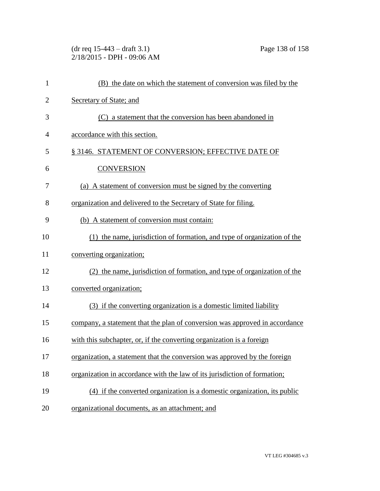(dr req 15-443 – draft 3.1) Page 138 of 158 2/18/2015 - DPH - 09:06 AM

| $\mathbf{1}$   | (B) the date on which the statement of conversion was filed by the          |
|----------------|-----------------------------------------------------------------------------|
| $\overline{c}$ | Secretary of State; and                                                     |
| 3              | (C) a statement that the conversion has been abandoned in                   |
| 4              | accordance with this section.                                               |
| 5              | § 3146. STATEMENT OF CONVERSION; EFFECTIVE DATE OF                          |
| 6              | <b>CONVERSION</b>                                                           |
| 7              | (a) A statement of conversion must be signed by the converting              |
| 8              | organization and delivered to the Secretary of State for filing.            |
| 9              | (b) A statement of conversion must contain:                                 |
| 10             | (1) the name, jurisdiction of formation, and type of organization of the    |
| 11             | converting organization;                                                    |
| 12             | (2) the name, jurisdiction of formation, and type of organization of the    |
| 13             | converted organization;                                                     |
| 14             | (3) if the converting organization is a domestic limited liability          |
| 15             | company, a statement that the plan of conversion was approved in accordance |
| 16             | with this subchapter, or, if the converting organization is a foreign       |
| 17             | organization, a statement that the conversion was approved by the foreign   |
| 18             | organization in accordance with the law of its jurisdiction of formation;   |
| 19             | (4) if the converted organization is a domestic organization, its public    |
| 20             | organizational documents, as an attachment; and                             |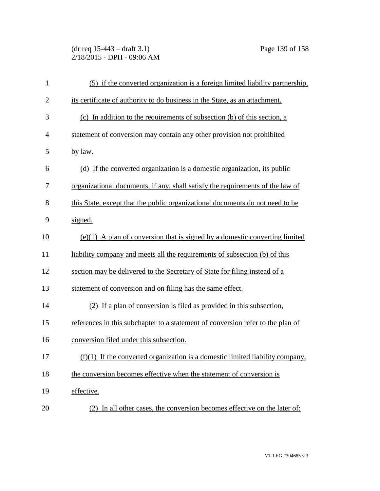(dr req 15-443 – draft 3.1) Page 139 of 158 2/18/2015 - DPH - 09:06 AM

| $\mathbf{1}$   | (5) if the converted organization is a foreign limited liability partnership,   |
|----------------|---------------------------------------------------------------------------------|
| $\overline{2}$ | its certificate of authority to do business in the State, as an attachment.     |
| 3              | (c) In addition to the requirements of subsection (b) of this section, a        |
| $\overline{4}$ | statement of conversion may contain any other provision not prohibited          |
| 5              | by law.                                                                         |
| 6              | (d) If the converted organization is a domestic organization, its public        |
| 7              | organizational documents, if any, shall satisfy the requirements of the law of  |
| 8              | this State, except that the public organizational documents do not need to be   |
| 9              | signed.                                                                         |
| 10             | $(e)(1)$ A plan of conversion that is signed by a domestic converting limited   |
| 11             | liability company and meets all the requirements of subsection (b) of this      |
| 12             | section may be delivered to the Secretary of State for filing instead of a      |
| 13             | statement of conversion and on filing has the same effect.                      |
| 14             | (2) If a plan of conversion is filed as provided in this subsection,            |
| 15             | references in this subchapter to a statement of conversion refer to the plan of |
| 16             | conversion filed under this subsection.                                         |
| 17             | $(f)(1)$ If the converted organization is a domestic limited liability company, |
| 18             | the conversion becomes effective when the statement of conversion is            |
| 19             | effective.                                                                      |
| 20             | (2) In all other cases, the conversion becomes effective on the later of:       |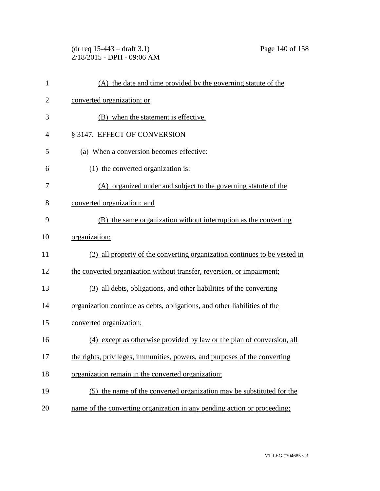(dr req 15-443 – draft 3.1) Page 140 of 158 2/18/2015 - DPH - 09:06 AM

| $\mathbf{1}$   | (A) the date and time provided by the governing statute of the             |
|----------------|----------------------------------------------------------------------------|
| $\overline{2}$ | converted organization; or                                                 |
| 3              | (B) when the statement is effective.                                       |
| $\overline{4}$ | § 3147. EFFECT OF CONVERSION                                               |
| 5              | (a) When a conversion becomes effective:                                   |
| 6              | (1) the converted organization is:                                         |
| 7              | (A) organized under and subject to the governing statute of the            |
| 8              | converted organization; and                                                |
| 9              | (B) the same organization without interruption as the converting           |
| 10             | organization;                                                              |
| 11             | (2) all property of the converting organization continues to be vested in  |
| 12             | the converted organization without transfer, reversion, or impairment;     |
| 13             | (3) all debts, obligations, and other liabilities of the converting        |
| 14             | organization continue as debts, obligations, and other liabilities of the  |
| 15             | converted organization;                                                    |
| 16             | (4) except as otherwise provided by law or the plan of conversion, all     |
| 17             | the rights, privileges, immunities, powers, and purposes of the converting |
| 18             | organization remain in the converted organization;                         |
| 19             | (5) the name of the converted organization may be substituted for the      |
| 20             | name of the converting organization in any pending action or proceeding;   |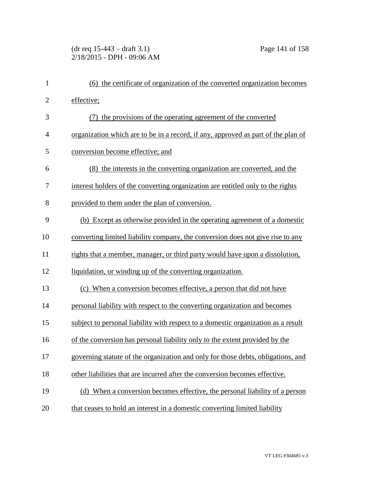## (dr req 15-443 – draft 3.1) Page 141 of 158 2/18/2015 - DPH - 09:06 AM

| $\mathbf{1}$   | (6) the certificate of organization of the converted organization becomes         |
|----------------|-----------------------------------------------------------------------------------|
| $\overline{c}$ | effective;                                                                        |
| 3              | (7) the provisions of the operating agreement of the converted                    |
| 4              | organization which are to be in a record, if any, approved as part of the plan of |
| 5              | conversion become effective; and                                                  |
| 6              | (8) the interests in the converting organization are converted, and the           |
| 7              | interest holders of the converting organization are entitled only to the rights   |
| 8              | provided to them under the plan of conversion.                                    |
| 9              | (b) Except as otherwise provided in the operating agreement of a domestic         |
| 10             | converting limited liability company, the conversion does not give rise to any    |
| 11             | rights that a member, manager, or third party would have upon a dissolution,      |
| 12             | liquidation, or winding up of the converting organization.                        |
| 13             | (c) When a conversion becomes effective, a person that did not have               |
| 14             | personal liability with respect to the converting organization and becomes        |
| 15             | subject to personal liability with respect to a domestic organization as a result |
| 16             | of the conversion has personal liability only to the extent provided by the       |
| 17             | governing statute of the organization and only for those debts, obligations, and  |
| 18             | other liabilities that are incurred after the conversion becomes effective.       |
| 19             | (d) When a conversion becomes effective, the personal liability of a person       |
| 20             | that ceases to hold an interest in a domestic converting limited liability        |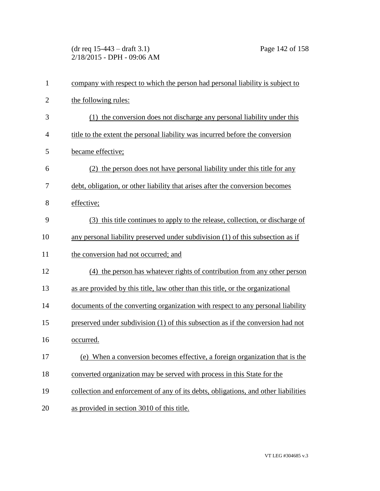(dr req 15-443 – draft 3.1) Page 142 of 158 2/18/2015 - DPH - 09:06 AM

| $\mathbf{1}$   | company with respect to which the person had personal liability is subject to      |
|----------------|------------------------------------------------------------------------------------|
| $\overline{c}$ | the following rules:                                                               |
| 3              | (1) the conversion does not discharge any personal liability under this            |
| 4              | title to the extent the personal liability was incurred before the conversion      |
| 5              | became effective;                                                                  |
| 6              | (2) the person does not have personal liability under this title for any           |
| 7              | debt, obligation, or other liability that arises after the conversion becomes      |
| 8              | effective;                                                                         |
| 9              | (3) this title continues to apply to the release, collection, or discharge of      |
| 10             | any personal liability preserved under subdivision (1) of this subsection as if    |
| 11             | the conversion had not occurred; and                                               |
| 12             | (4) the person has whatever rights of contribution from any other person           |
| 13             | as are provided by this title, law other than this title, or the organizational    |
| 14             | documents of the converting organization with respect to any personal liability    |
| 15             | preserved under subdivision (1) of this subsection as if the conversion had not    |
| 16             | occurred.                                                                          |
| 17             | (e) When a conversion becomes effective, a foreign organization that is the        |
| 18             | converted organization may be served with process in this State for the            |
| 19             | collection and enforcement of any of its debts, obligations, and other liabilities |
| 20             | as provided in section 3010 of this title.                                         |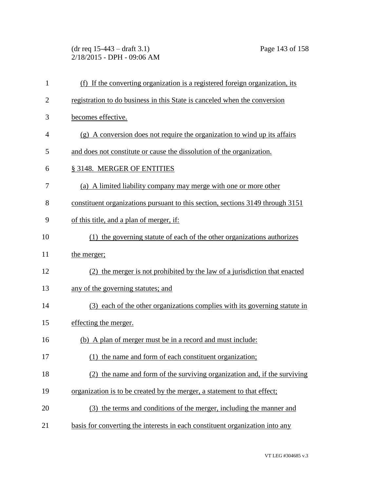(dr req 15-443 – draft 3.1) Page 143 of 158 2/18/2015 - DPH - 09:06 AM

| $\mathbf{1}$   | (f) If the converting organization is a registered foreign organization, its   |
|----------------|--------------------------------------------------------------------------------|
| $\overline{2}$ | registration to do business in this State is canceled when the conversion      |
| 3              | becomes effective.                                                             |
| 4              | $(g)$ A conversion does not require the organization to wind up its affairs    |
| 5              | and does not constitute or cause the dissolution of the organization.          |
| 6              | § 3148. MERGER OF ENTITIES                                                     |
| 7              | (a) A limited liability company may merge with one or more other               |
| 8              | constituent organizations pursuant to this section, sections 3149 through 3151 |
| 9              | of this title, and a plan of merger, if:                                       |
| 10             | (1) the governing statute of each of the other organizations authorizes        |
| 11             | the merger;                                                                    |
| 12             | (2) the merger is not prohibited by the law of a jurisdiction that enacted     |
| 13             | any of the governing statutes; and                                             |
| 14             | (3) each of the other organizations complies with its governing statute in     |
| 15             | effecting the merger.                                                          |
| 16             | (b) A plan of merger must be in a record and must include:                     |
| 17             | (1) the name and form of each constituent organization;                        |
| 18             | (2) the name and form of the surviving organization and, if the surviving      |
| 19             | organization is to be created by the merger, a statement to that effect;       |
| 20             | (3) the terms and conditions of the merger, including the manner and           |
| 21             | basis for converting the interests in each constituent organization into any   |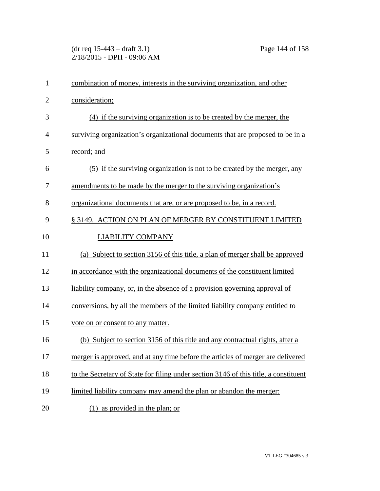(dr req 15-443 – draft 3.1) Page 144 of 158 2/18/2015 - DPH - 09:06 AM

| $\mathbf{1}$   | combination of money, interests in the surviving organization, and other             |
|----------------|--------------------------------------------------------------------------------------|
| $\overline{2}$ | consideration;                                                                       |
| 3              | (4) if the surviving organization is to be created by the merger, the                |
| $\overline{4}$ | surviving organization's organizational documents that are proposed to be in a       |
| 5              | record; and                                                                          |
| 6              | (5) if the surviving organization is not to be created by the merger, any            |
| 7              | amendments to be made by the merger to the surviving organization's                  |
| 8              | organizational documents that are, or are proposed to be, in a record.               |
| 9              | § 3149. ACTION ON PLAN OF MERGER BY CONSTITUENT LIMITED                              |
| 10             | <b>LIABILITY COMPANY</b>                                                             |
| 11             | (a) Subject to section 3156 of this title, a plan of merger shall be approved        |
| 12             | in accordance with the organizational documents of the constituent limited           |
| 13             | liability company, or, in the absence of a provision governing approval of           |
| 14             | conversions, by all the members of the limited liability company entitled to         |
| 15             | vote on or consent to any matter.                                                    |
| 16             | (b) Subject to section 3156 of this title and any contractual rights, after a        |
| 17             | merger is approved, and at any time before the articles of merger are delivered      |
| 18             | to the Secretary of State for filing under section 3146 of this title, a constituent |
| 19             | limited liability company may amend the plan or abandon the merger:                  |
| 20             | $(1)$ as provided in the plan; or                                                    |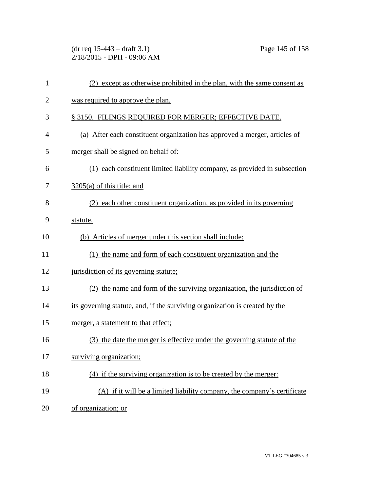(dr req 15-443 – draft 3.1) Page 145 of 158 2/18/2015 - DPH - 09:06 AM

| 1              | (2) except as otherwise prohibited in the plan, with the same consent as    |
|----------------|-----------------------------------------------------------------------------|
| $\overline{c}$ | was required to approve the plan.                                           |
| 3              | § 3150. FILINGS REQUIRED FOR MERGER; EFFECTIVE DATE.                        |
| 4              | (a) After each constituent organization has approved a merger, articles of  |
| 5              | merger shall be signed on behalf of:                                        |
| 6              | (1) each constituent limited liability company, as provided in subsection   |
| 7              | $3205(a)$ of this title; and                                                |
| 8              | (2) each other constituent organization, as provided in its governing       |
| 9              | statute.                                                                    |
| 10             | (b) Articles of merger under this section shall include:                    |
| 11             | (1) the name and form of each constituent organization and the              |
| 12             | jurisdiction of its governing statute;                                      |
| 13             | (2) the name and form of the surviving organization, the jurisdiction of    |
| 14             | its governing statute, and, if the surviving organization is created by the |
| 15             | merger, a statement to that effect;                                         |
| 16             | (3) the date the merger is effective under the governing statute of the     |
| 17             | surviving organization;                                                     |
| 18             | (4) if the surviving organization is to be created by the merger:           |
| 19             | (A) if it will be a limited liability company, the company's certificate    |
| 20             | of organization; or                                                         |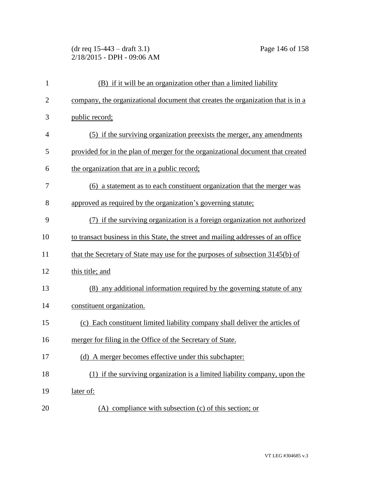(dr req 15-443 – draft 3.1) Page 146 of 158 2/18/2015 - DPH - 09:06 AM

| $\mathbf{1}$   | (B) if it will be an organization other than a limited liability                  |
|----------------|-----------------------------------------------------------------------------------|
| $\overline{c}$ | company, the organizational document that creates the organization that is in a   |
| 3              | public record;                                                                    |
| 4              | (5) if the surviving organization preexists the merger, any amendments            |
| 5              | provided for in the plan of merger for the organizational document that created   |
| 6              | the organization that are in a public record;                                     |
| 7              | (6) a statement as to each constituent organization that the merger was           |
| 8              | approved as required by the organization's governing statute;                     |
| 9              | (7) if the surviving organization is a foreign organization not authorized        |
| 10             | to transact business in this State, the street and mailing addresses of an office |
| 11             | that the Secretary of State may use for the purposes of subsection 3145(b) of     |
| 12             | this title; and                                                                   |
| 13             | (8) any additional information required by the governing statute of any           |
| 14             | constituent organization.                                                         |
| 15             | (c) Each constituent limited liability company shall deliver the articles of      |
| 16             | merger for filing in the Office of the Secretary of State.                        |
| 17             | (d) A merger becomes effective under this subchapter:                             |
| 18             | (1) if the surviving organization is a limited liability company, upon the        |
| 19             | later of:                                                                         |
| 20             | $(A)$ compliance with subsection $(c)$ of this section; or                        |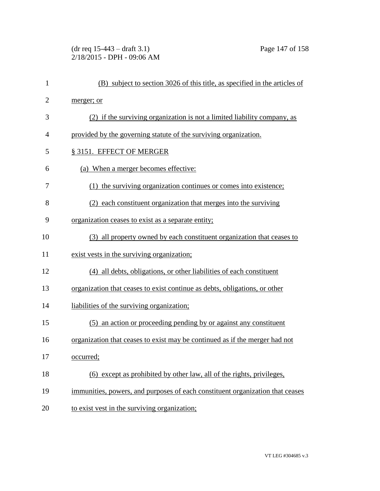(dr req 15-443 – draft 3.1) Page 147 of 158 2/18/2015 - DPH - 09:06 AM

| $\mathbf{1}$   | (B) subject to section 3026 of this title, as specified in the articles of    |
|----------------|-------------------------------------------------------------------------------|
| $\overline{2}$ | merger; or                                                                    |
| 3              | (2) if the surviving organization is not a limited liability company, as      |
| 4              | provided by the governing statute of the surviving organization.              |
| 5              | § 3151. EFFECT OF MERGER                                                      |
| 6              | (a) When a merger becomes effective:                                          |
| 7              | (1) the surviving organization continues or comes into existence;             |
| 8              | (2) each constituent organization that merges into the surviving              |
| 9              | organization ceases to exist as a separate entity;                            |
| 10             | (3) all property owned by each constituent organization that ceases to        |
| 11             | exist vests in the surviving organization;                                    |
| 12             | (4) all debts, obligations, or other liabilities of each constituent          |
| 13             | organization that ceases to exist continue as debts, obligations, or other    |
| 14             | liabilities of the surviving organization;                                    |
| 15             | (5) an action or proceeding pending by or against any constituent             |
| 16             | organization that ceases to exist may be continued as if the merger had not   |
| 17             | occurred;                                                                     |
| 18             | (6) except as prohibited by other law, all of the rights, privileges,         |
| 19             | immunities, powers, and purposes of each constituent organization that ceases |
| 20             | to exist vest in the surviving organization;                                  |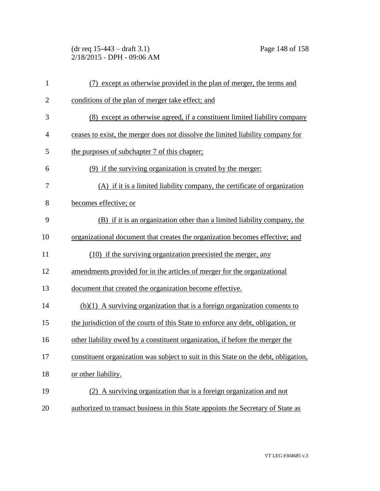(dr req 15-443 – draft 3.1) Page 148 of 158 2/18/2015 - DPH - 09:06 AM

| $\mathbf{1}$   | (7) except as otherwise provided in the plan of merger, the terms and               |
|----------------|-------------------------------------------------------------------------------------|
| $\overline{2}$ | conditions of the plan of merger take effect; and                                   |
| 3              | (8) except as otherwise agreed, if a constituent limited liability company          |
| 4              | ceases to exist, the merger does not dissolve the limited liability company for     |
| 5              | the purposes of subchapter 7 of this chapter;                                       |
| 6              | (9) if the surviving organization is created by the merger:                         |
| 7              | (A) if it is a limited liability company, the certificate of organization           |
| 8              | becomes effective; or                                                               |
| 9              | (B) if it is an organization other than a limited liability company, the            |
| 10             | organizational document that creates the organization becomes effective; and        |
| 11             | (10) if the surviving organization preexisted the merger, any                       |
| 12             | amendments provided for in the articles of merger for the organizational            |
| 13             | document that created the organization become effective.                            |
| 14             | $(b)(1)$ A surviving organization that is a foreign organization consents to        |
| 15             | the jurisdiction of the courts of this State to enforce any debt, obligation, or    |
| 16             | other liability owed by a constituent organization, if before the merger the        |
| 17             | constituent organization was subject to suit in this State on the debt, obligation, |
| 18             | or other liability.                                                                 |
| 19             | (2) A surviving organization that is a foreign organization and not                 |
| 20             | authorized to transact business in this State appoints the Secretary of State as    |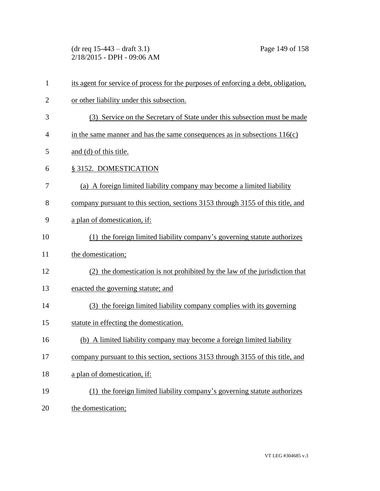(dr req 15-443 – draft 3.1) Page 149 of 158 2/18/2015 - DPH - 09:06 AM

| $\mathbf{1}$   | its agent for service of process for the purposes of enforcing a debt, obligation, |
|----------------|------------------------------------------------------------------------------------|
| $\overline{2}$ | or other liability under this subsection.                                          |
| 3              | (3) Service on the Secretary of State under this subsection must be made           |
| $\overline{4}$ | in the same manner and has the same consequences as in subsections $116(c)$        |
| 5              | and (d) of this title.                                                             |
| 6              | § 3152. DOMESTICATION                                                              |
| 7              | (a) A foreign limited liability company may become a limited liability             |
| 8              | company pursuant to this section, sections 3153 through 3155 of this title, and    |
| 9              | a plan of domestication, if:                                                       |
| 10             | (1) the foreign limited liability company's governing statute authorizes           |
| 11             | the domestication;                                                                 |
| 12             | (2) the domestication is not prohibited by the law of the jurisdiction that        |
| 13             | enacted the governing statute; and                                                 |
| 14             | (3) the foreign limited liability company complies with its governing              |
| 15             | statute in effecting the domestication.                                            |
| 16             | (b) A limited liability company may become a foreign limited liability             |
| 17             | company pursuant to this section, sections 3153 through 3155 of this title, and    |
| 18             | a plan of domestication, if:                                                       |
| 19             | (1) the foreign limited liability company's governing statute authorizes           |
| 20             | the domestication;                                                                 |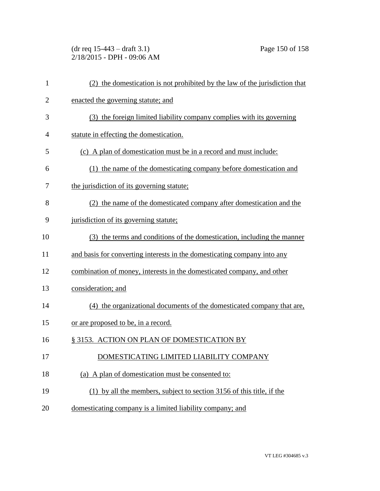(dr req 15-443 – draft 3.1) Page 150 of 158 2/18/2015 - DPH - 09:06 AM

| $\mathbf{1}$   | (2) the domestication is not prohibited by the law of the jurisdiction that |
|----------------|-----------------------------------------------------------------------------|
| $\overline{c}$ | enacted the governing statute; and                                          |
| 3              | (3) the foreign limited liability company complies with its governing       |
| 4              | statute in effecting the domestication.                                     |
| 5              | (c) A plan of domestication must be in a record and must include:           |
| 6              | (1) the name of the domesticating company before domestication and          |
| 7              | the jurisdiction of its governing statute;                                  |
| 8              | (2) the name of the domesticated company after domestication and the        |
| 9              | jurisdiction of its governing statute;                                      |
| 10             | (3) the terms and conditions of the domestication, including the manner     |
| 11             | and basis for converting interests in the domesticating company into any    |
| 12             | combination of money, interests in the domesticated company, and other      |
| 13             | consideration; and                                                          |
| 14             | (4) the organizational documents of the domesticated company that are,      |
| 15             | or are proposed to be, in a record.                                         |
| 16             | § 3153. ACTION ON PLAN OF DOMESTICATION BY                                  |
| 17             | DOMESTICATING LIMITED LIABILITY COMPANY                                     |
| 18             | (a) A plan of domestication must be consented to:                           |
| 19             | (1) by all the members, subject to section 3156 of this title, if the       |
| 20             | domesticating company is a limited liability company; and                   |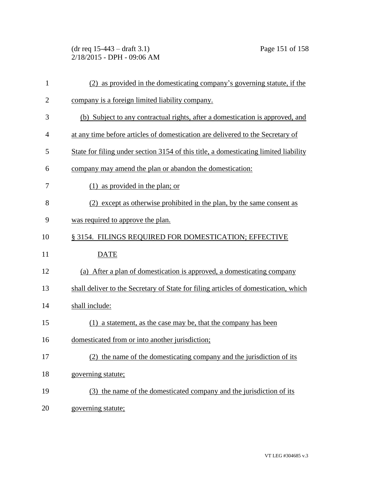(dr req 15-443 – draft 3.1) Page 151 of 158 2/18/2015 - DPH - 09:06 AM

| $\mathbf{1}$   | (2) as provided in the domesticating company's governing statute, if the             |
|----------------|--------------------------------------------------------------------------------------|
| $\overline{2}$ | company is a foreign limited liability company.                                      |
| 3              | (b) Subject to any contractual rights, after a domestication is approved, and        |
| $\overline{4}$ | at any time before articles of domestication are delivered to the Secretary of       |
| 5              | State for filing under section 3154 of this title, a domesticating limited liability |
| 6              | company may amend the plan or abandon the domestication:                             |
| 7              | $(1)$ as provided in the plan; or                                                    |
| 8              | (2) except as otherwise prohibited in the plan, by the same consent as               |
| 9              | was required to approve the plan.                                                    |
| 10             | § 3154. FILINGS REQUIRED FOR DOMESTICATION; EFFECTIVE                                |
|                |                                                                                      |
| 11             | <b>DATE</b>                                                                          |
| 12             | (a) After a plan of domestication is approved, a domesticating company               |
| 13             | shall deliver to the Secretary of State for filing articles of domestication, which  |
| 14             | shall include:                                                                       |
| 15             | (1) a statement, as the case may be, that the company has been                       |
| 16             | domesticated from or into another jurisdiction;                                      |
| 17             | (2) the name of the domesticating company and the jurisdiction of its                |
| 18             | governing statute;                                                                   |
| 19             | (3) the name of the domesticated company and the jurisdiction of its                 |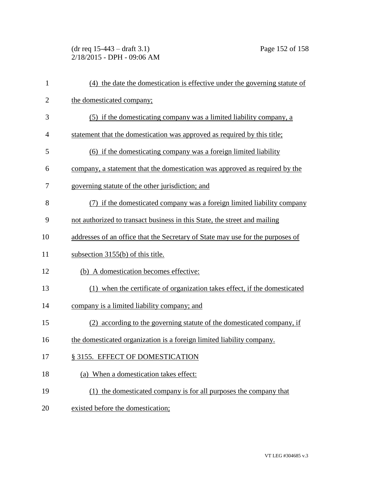(dr req 15-443 – draft 3.1) Page 152 of 158 2/18/2015 - DPH - 09:06 AM

| $\mathbf{1}$   | (4) the date the domestication is effective under the governing statute of     |
|----------------|--------------------------------------------------------------------------------|
| $\overline{2}$ | the domesticated company;                                                      |
| 3              | (5) if the domesticating company was a limited liability company, a            |
| 4              | statement that the domestication was approved as required by this title;       |
| 5              | (6) if the domesticating company was a foreign limited liability               |
| 6              | company, a statement that the domestication was approved as required by the    |
| 7              | governing statute of the other jurisdiction; and                               |
| 8              | (7) if the domesticated company was a foreign limited liability company        |
| 9              | not authorized to transact business in this State, the street and mailing      |
| 10             | addresses of an office that the Secretary of State may use for the purposes of |
| 11             | subsection 3155(b) of this title.                                              |
| 12             | (b) A domestication becomes effective:                                         |
| 13             | (1) when the certificate of organization takes effect, if the domesticated     |
| 14             | company is a limited liability company; and                                    |
| 15             | (2) according to the governing statute of the domesticated company, if         |
| 16             | the domesticated organization is a foreign limited liability company.          |
| 17             | § 3155. EFFECT OF DOMESTICATION                                                |
| 18             | (a) When a domestication takes effect:                                         |
| 19             | (1) the domesticated company is for all purposes the company that              |
| 20             | existed before the domestication;                                              |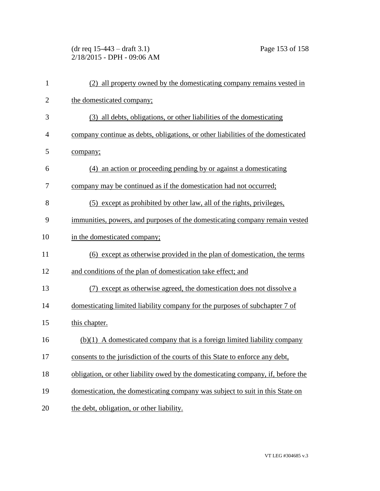(dr req 15-443 – draft 3.1) Page 153 of 158 2/18/2015 - DPH - 09:06 AM

| $\mathbf{1}$   | (2) all property owned by the domesticating company remains vested in            |
|----------------|----------------------------------------------------------------------------------|
| $\overline{c}$ | the domesticated company;                                                        |
| 3              | (3) all debts, obligations, or other liabilities of the domesticating            |
| 4              | company continue as debts, obligations, or other liabilities of the domesticated |
| 5              | company;                                                                         |
| 6              | (4) an action or proceeding pending by or against a domesticating                |
| 7              | company may be continued as if the domestication had not occurred;               |
| 8              | (5) except as prohibited by other law, all of the rights, privileges,            |
| 9              | immunities, powers, and purposes of the domesticating company remain vested      |
| 10             | in the domesticated company;                                                     |
| 11             | (6) except as otherwise provided in the plan of domestication, the terms         |
| 12             | and conditions of the plan of domestication take effect; and                     |
| 13             | (7) except as otherwise agreed, the domestication does not dissolve a            |
| 14             | domesticating limited liability company for the purposes of subchapter 7 of      |
| 15             | this chapter.                                                                    |
| 16             | $(b)(1)$ A domesticated company that is a foreign limited liability company      |
| 17             | consents to the jurisdiction of the courts of this State to enforce any debt,    |
| 18             | obligation, or other liability owed by the domesticating company, if, before the |
| 19             | domestication, the domesticating company was subject to suit in this State on    |
| 20             | the debt, obligation, or other liability.                                        |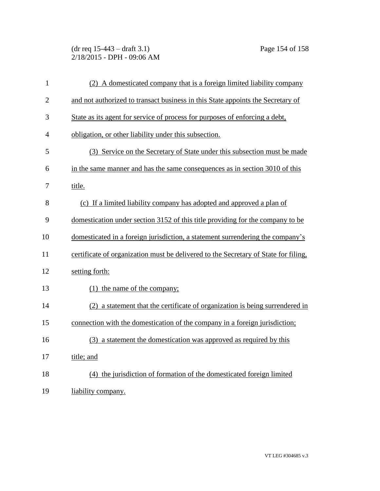(dr req 15-443 – draft 3.1) Page 154 of 158 2/18/2015 - DPH - 09:06 AM

| $\mathbf{1}$   | (2) A domesticated company that is a foreign limited liability company              |
|----------------|-------------------------------------------------------------------------------------|
| $\overline{2}$ | and not authorized to transact business in this State appoints the Secretary of     |
| 3              | State as its agent for service of process for purposes of enforcing a debt,         |
| $\overline{4}$ | obligation, or other liability under this subsection.                               |
| 5              | (3) Service on the Secretary of State under this subsection must be made            |
| 6              | in the same manner and has the same consequences as in section 3010 of this         |
| 7              | title.                                                                              |
| 8              | (c) If a limited liability company has adopted and approved a plan of               |
| 9              | domestication under section 3152 of this title providing for the company to be      |
| 10             | domesticated in a foreign jurisdiction, a statement surrendering the company's      |
| 11             | certificate of organization must be delivered to the Secretary of State for filing, |
| 12             | setting forth:                                                                      |
| 13             | (1) the name of the company;                                                        |
| 14             | (2) a statement that the certificate of organization is being surrendered in        |
| 15             | connection with the domestication of the company in a foreign jurisdiction;         |
| 16             | (3) a statement the domestication was approved as required by this                  |
| 17             | title; and                                                                          |
| 18             | (4) the jurisdiction of formation of the domesticated foreign limited               |
| 19             | liability company.                                                                  |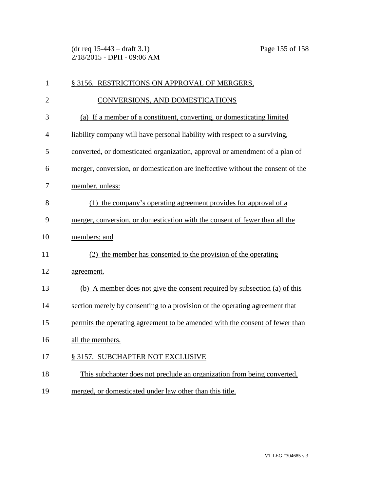(dr req 15-443 – draft 3.1) Page 155 of 158 2/18/2015 - DPH - 09:06 AM

| $\mathbf{1}$   | § 3156. RESTRICTIONS ON APPROVAL OF MERGERS,                                    |
|----------------|---------------------------------------------------------------------------------|
| $\overline{2}$ | CONVERSIONS, AND DOMESTICATIONS                                                 |
| 3              | (a) If a member of a constituent, converting, or domesticating limited          |
| $\overline{4}$ | liability company will have personal liability with respect to a surviving,     |
| 5              | converted, or domesticated organization, approval or amendment of a plan of     |
| 6              | merger, conversion, or domestication are ineffective without the consent of the |
| 7              | member, unless:                                                                 |
| 8              | (1) the company's operating agreement provides for approval of a                |
| 9              | merger, conversion, or domestication with the consent of fewer than all the     |
| 10             | members; and                                                                    |
| 11             | (2) the member has consented to the provision of the operating                  |
| 12             | agreement.                                                                      |
| 13             | (b) A member does not give the consent required by subsection (a) of this       |
| 14             | section merely by consenting to a provision of the operating agreement that     |
| 15             | permits the operating agreement to be amended with the consent of fewer than    |
| 16             | all the members.                                                                |
| 17             | § 3157. SUBCHAPTER NOT EXCLUSIVE                                                |
| 18             | This subchapter does not preclude an organization from being converted,         |
| 19             | merged, or domesticated under law other than this title.                        |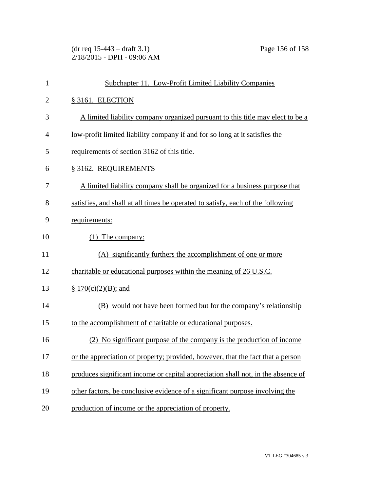(dr req 15-443 – draft 3.1) Page 156 of 158 2/18/2015 - DPH - 09:06 AM

| $\mathbf{1}$   | Subchapter 11. Low-Profit Limited Liability Companies                            |
|----------------|----------------------------------------------------------------------------------|
| $\overline{2}$ | § 3161. ELECTION                                                                 |
| 3              | A limited liability company organized pursuant to this title may elect to be a   |
| 4              | low-profit limited liability company if and for so long at it satisfies the      |
| 5              | requirements of section 3162 of this title.                                      |
| 6              | § 3162. REQUIREMENTS                                                             |
| 7              | A limited liability company shall be organized for a business purpose that       |
| 8              | satisfies, and shall at all times be operated to satisfy, each of the following  |
| 9              | requirements:                                                                    |
| 10             | (1) The company:                                                                 |
| 11             | (A) significantly furthers the accomplishment of one or more                     |
| 12             | charitable or educational purposes within the meaning of 26 U.S.C.               |
| 13             | $\S 170(c)(2)(B)$ ; and                                                          |
| 14             | (B) would not have been formed but for the company's relationship                |
| 15             | to the accomplishment of charitable or educational purposes.                     |
| 16             | (2) No significant purpose of the company is the production of income            |
| 17             | or the appreciation of property; provided, however, that the fact that a person  |
| 18             | produces significant income or capital appreciation shall not, in the absence of |
| 19             | other factors, be conclusive evidence of a significant purpose involving the     |
| 20             | production of income or the appreciation of property.                            |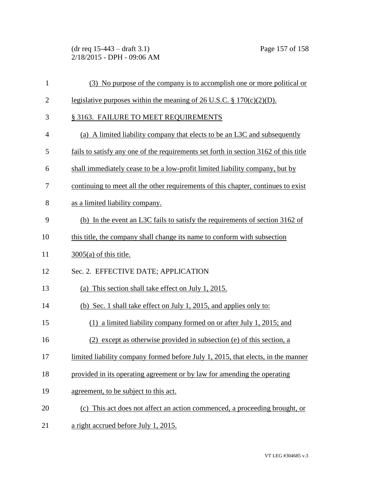(dr req 15-443 – draft 3.1) Page 157 of 158 2/18/2015 - DPH - 09:06 AM

| 1              | (3) No purpose of the company is to accomplish one or more political or              |
|----------------|--------------------------------------------------------------------------------------|
| $\overline{2}$ | legislative purposes within the meaning of 26 U.S.C. $\S 170(c)(2)(D)$ .             |
| 3              | § 3163. FAILURE TO MEET REQUIREMENTS                                                 |
| $\overline{4}$ | (a) A limited liability company that elects to be an L3C and subsequently            |
| 5              | fails to satisfy any one of the requirements set forth in section 3162 of this title |
| 6              | shall immediately cease to be a low-profit limited liability company, but by         |
| 7              | continuing to meet all the other requirements of this chapter, continues to exist    |
| 8              | as a limited liability company.                                                      |
| 9              | (b) In the event an L3C fails to satisfy the requirements of section 3162 of         |
| 10             | this title, the company shall change its name to conform with subsection             |
| 11             | $3005(a)$ of this title.                                                             |
| 12             | Sec. 2. EFFECTIVE DATE; APPLICATION                                                  |
| 13             | (a) This section shall take effect on July 1, 2015.                                  |
| 14             | (b) Sec. 1 shall take effect on July 1, 2015, and applies only to:                   |
| 15             | (1) a limited liability company formed on or after July 1, 2015; and                 |
| 16             | (2) except as otherwise provided in subsection (e) of this section, a                |
| 17             | limited liability company formed before July 1, 2015, that elects, in the manner     |
| 18             | provided in its operating agreement or by law for amending the operating             |
| 19             | agreement, to be subject to this act.                                                |
| 20             | (c) This act does not affect an action commenced, a proceeding brought, or           |
| 21             | a right accrued before July 1, 2015.                                                 |